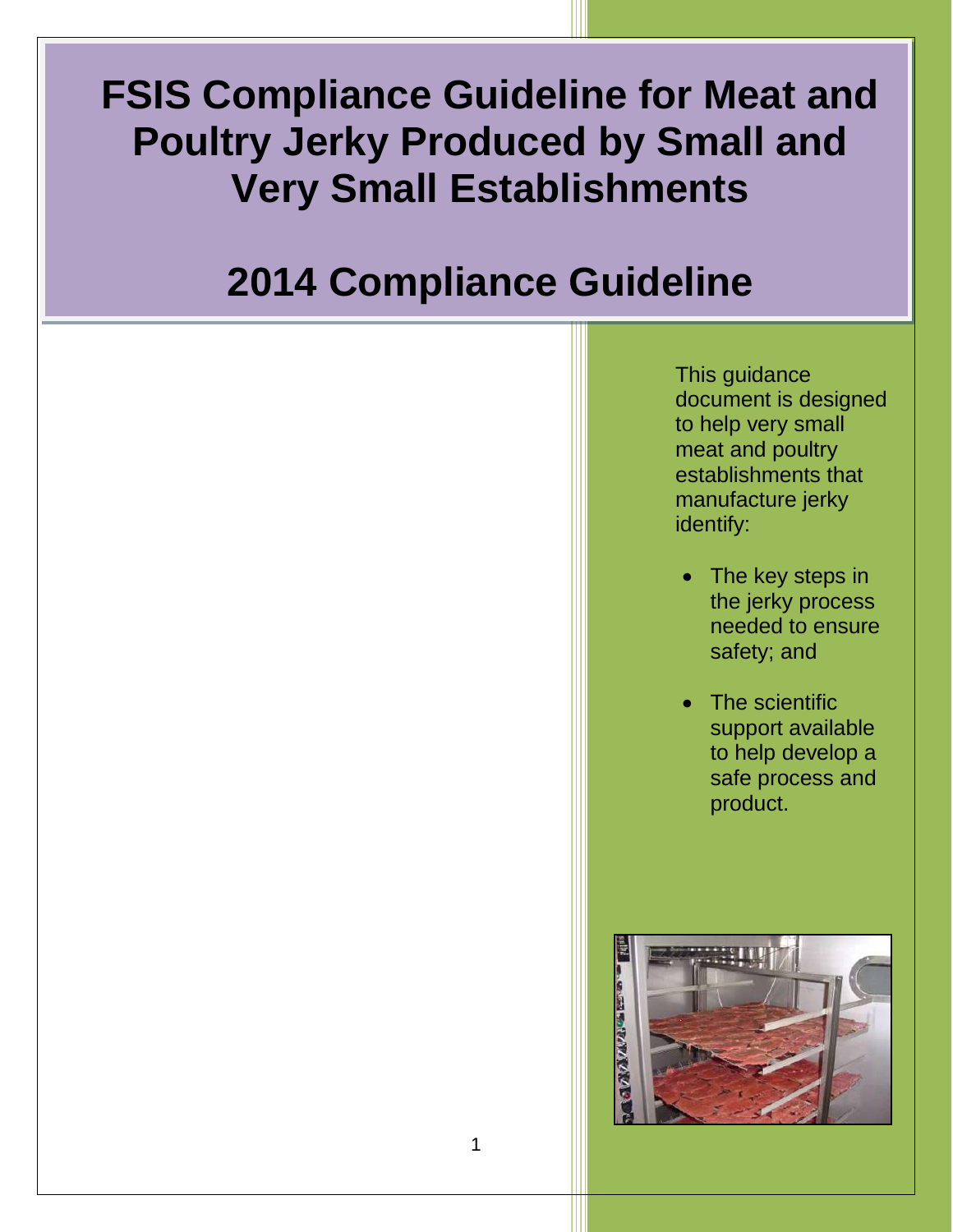# **FSIS Compliance Guideline for Meat and Poultry Jerky Produced by Small and Very Small Establishments**

## $\overline{\phantom{a}}$ **2014 Compliance Guideline**

This guidance document is designed to help very small meat and poultry establishments that manufacture jerky identify:

- The key steps in the jerky process needed to ensure safety; and
- The scientific support available to help develop a safe process and product.

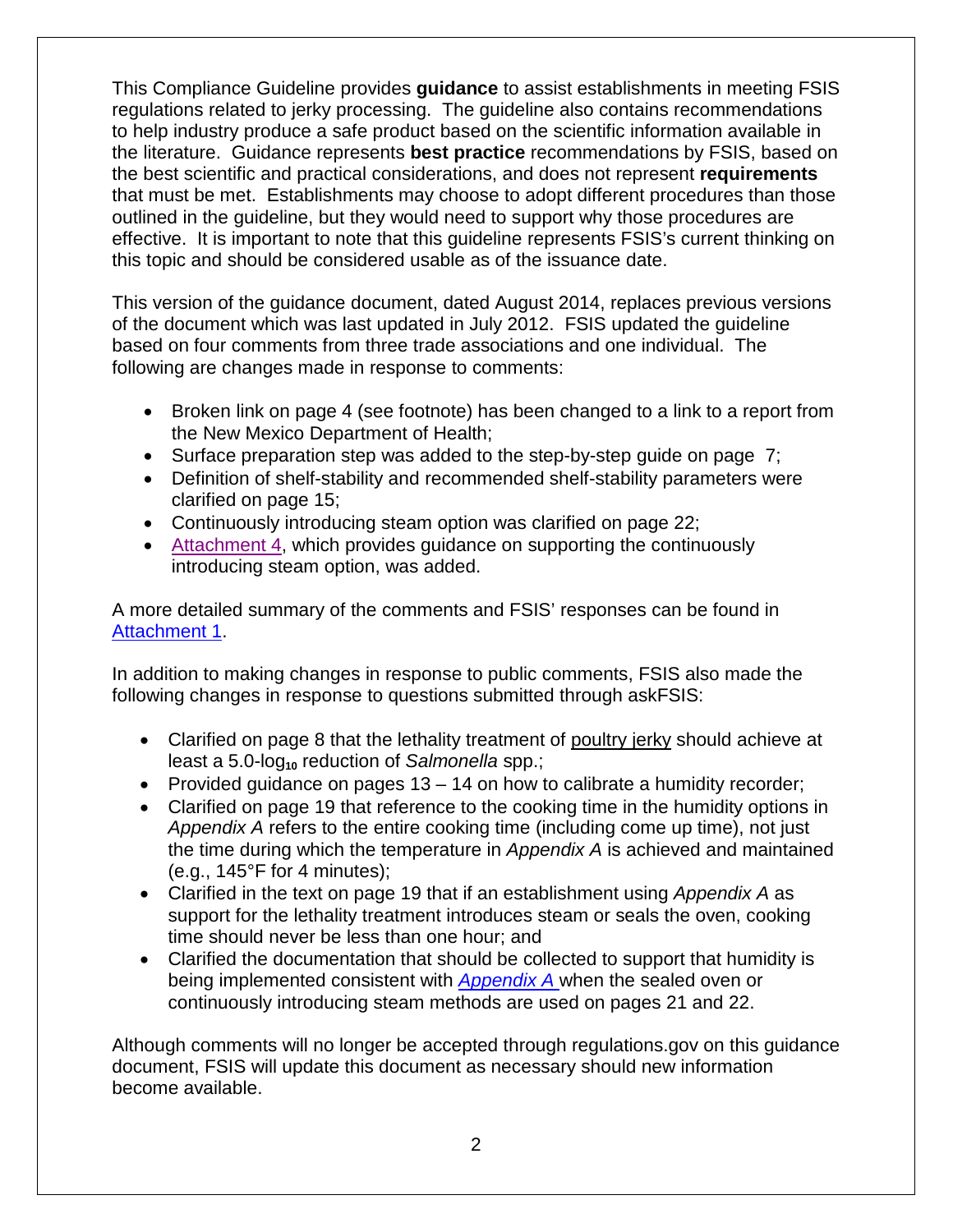This Compliance Guideline provides **guidance** to assist establishments in meeting FSIS regulations related to jerky processing. The guideline also contains recommendations to help industry produce a safe product based on the scientific information available in the literature. Guidance represents **best practice** recommendations by FSIS, based on the best scientific and practical considerations, and does not represent **requirements**  that must be met. Establishments may choose to adopt different procedures than those outlined in the guideline, but they would need to support why those procedures are effective. It is important to note that this guideline represents FSIS's current thinking on this topic and should be considered usable as of the issuance date.

This version of the guidance document, dated August 2014, replaces previous versions of the document which was last updated in July 2012. FSIS updated the guideline based on four comments from three trade associations and one individual. The following are changes made in response to comments:

- Broken link on page 4 (see footnote) has been changed to a link to a report from the New Mexico Department of Health;
- Surface preparation step was added to the step-by-step guide on page 7;
- Definition of shelf-stability and recommended shelf-stability parameters were clarified on page 15;
- Continuously introducing steam option was clarified on page 22;
- [Attachment](#page-52-0) 4, which provides guidance on supporting the continuously introducing steam option, was added.

A more detailed summary of the comments and FSIS' responses can be found in [Attachment](#page-31-0) 1.

In addition to making changes in response to public comments, FSIS also made the following changes in response to questions submitted through askFSIS:

- Clarified on page 8 that the lethality treatment of poultry jerky should achieve at least a 5.0-log<sub>10</sub> reduction of *Salmonella* spp.;
- Provided guidance on pages 13 14 on how to calibrate a humidity recorder;
- Clarified on page 19 that reference to the cooking time in the humidity options in *Appendix A* refers to the entire cooking time (including come up time), not just the time during which the temperature in *Appendix A* is achieved and maintained (e.g., 145°F for 4 minutes);
- Clarified in the text on page 19 that if an establishment using *Appendix A* as support for the lethality treatment introduces steam or seals the oven, cooking time should never be less than one hour; and
- Clarified the documentation that should be collected to support that humidity is being implemented consistent with *[Appendix A](http://www.fsis.usda.gov/wps/wcm/connect/212e40b3-b59d-43aa-882e-e5431ea7035f/95033F-a.pdf?MOD=AJPERES)* when the sealed oven or continuously introducing steam methods are used on pages 21 and 22.

Although comments will no longer be accepted through regulations.gov on this guidance document, FSIS will update this document as necessary should new information become available.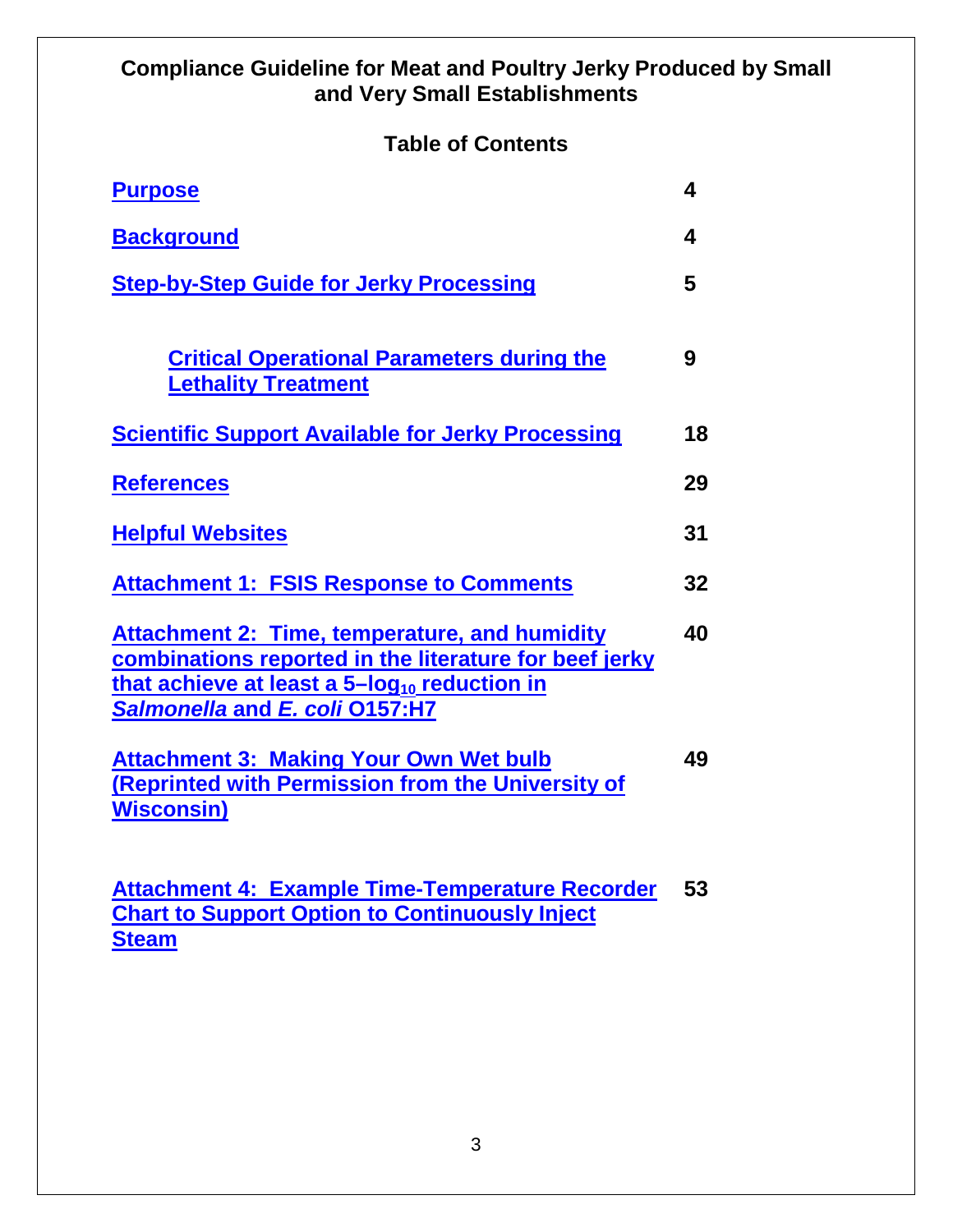## **Compliance Guideline for Meat and Poultry Jerky Produced by Small and Very Small Establishments**

## **Table of Contents**

| <b>Purpose</b>                                                                                                                                                                                               | 4  |
|--------------------------------------------------------------------------------------------------------------------------------------------------------------------------------------------------------------|----|
| <b>Background</b>                                                                                                                                                                                            | 4  |
| <b>Step-by-Step Guide for Jerky Processing</b>                                                                                                                                                               | 5  |
| <b>Critical Operational Parameters during the</b><br><b>Lethality Treatment</b>                                                                                                                              | 9  |
| <b>Scientific Support Available for Jerky Processing</b>                                                                                                                                                     | 18 |
| <b>References</b>                                                                                                                                                                                            | 29 |
| <b>Helpful Websites</b>                                                                                                                                                                                      | 31 |
| <b>Attachment 1: FSIS Response to Comments</b>                                                                                                                                                               | 32 |
| <b>Attachment 2: Time, temperature, and humidity</b><br>combinations reported in the literature for beef jerky<br>that achieve at least a 5-log <sub>10</sub> reduction in<br>Salmonella and E. coli 0157:H7 | 40 |
| <b>Attachment 3: Making Your Own Wet bulb</b><br>(Reprinted with Permission from the University of<br><b>Wisconsin)</b>                                                                                      | 49 |

**[Attachment 4: Example Time-Temperature Recorder](#page-52-0)  53[Chart to Support Option to Continuously Inject](#page-52-0)  [Steam](#page-52-0)**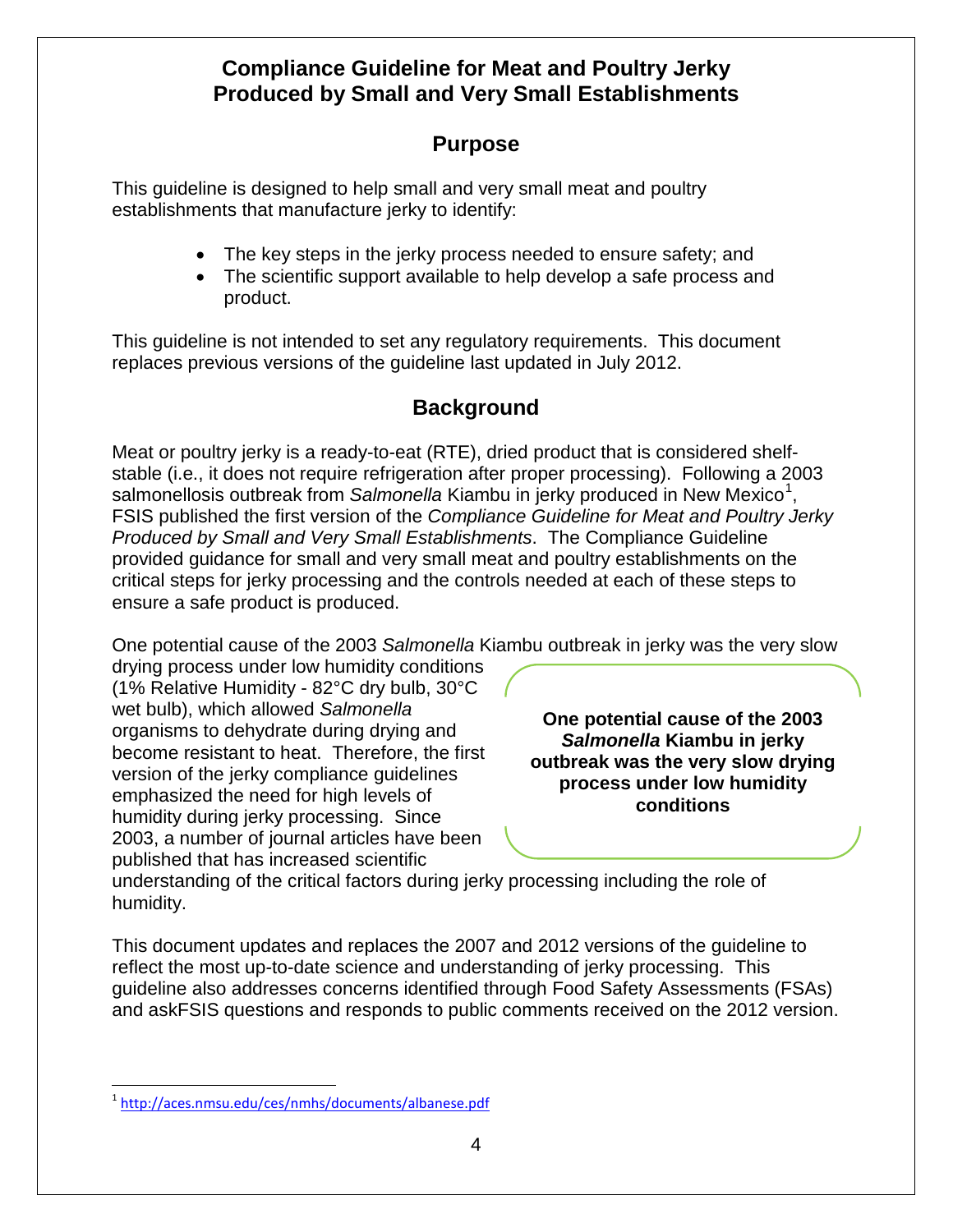## **Compliance Guideline for Meat and Poultry Jerky Produced by Small and Very Small Establishments**

## **Purpose**

<span id="page-3-0"></span>This guideline is designed to help small and very small meat and poultry establishments that manufacture jerky to identify:

- The key steps in the jerky process needed to ensure safety; and
- The scientific support available to help develop a safe process and product.

This guideline is not intended to set any regulatory requirements. This document replaces previous versions of the guideline last updated in July 2012.

## **Background**

<span id="page-3-1"></span>Meat or poultry jerky is a ready-to-eat (RTE), dried product that is considered shelfstable (i.e., it does not require refrigeration after proper processing). Following a 2003 salmonellosis outbreak from Salmonella Kiambu in jerky produced in New Mexico<sup>[1](#page-3-2)</sup>, FSIS published the first version of the *Compliance Guideline for Meat and Poultry Jerky Produced by Small and Very Small Establishments*. The Compliance Guideline provided guidance for small and very small meat and poultry establishments on the critical steps for jerky processing and the controls needed at each of these steps to ensure a safe product is produced.

One potential cause of the 2003 *Salmonella* Kiambu outbreak in jerky was the very slow

drying process under low humidity conditions (1% Relative Humidity - 82°C dry bulb, 30°C wet bulb), which allowed *Salmonella* organisms to dehydrate during drying and become resistant to heat. Therefore, the first version of the jerky compliance guidelines emphasized the need for high levels of humidity during jerky processing. Since 2003, a number of journal articles have been published that has increased scientific

**One potential cause of the 2003**  *Salmonella* **Kiambu in jerky outbreak was the very slow drying process under low humidity conditions**

understanding of the critical factors during jerky processing including the role of humidity.

This document updates and replaces the 2007 and 2012 versions of the guideline to reflect the most up-to-date science and understanding of jerky processing. This guideline also addresses concerns identified through Food Safety Assessments (FSAs) and askFSIS questions and responds to public comments received on the 2012 version.

<span id="page-3-2"></span> <sup>1</sup> <http://aces.nmsu.edu/ces/nmhs/documents/albanese.pdf>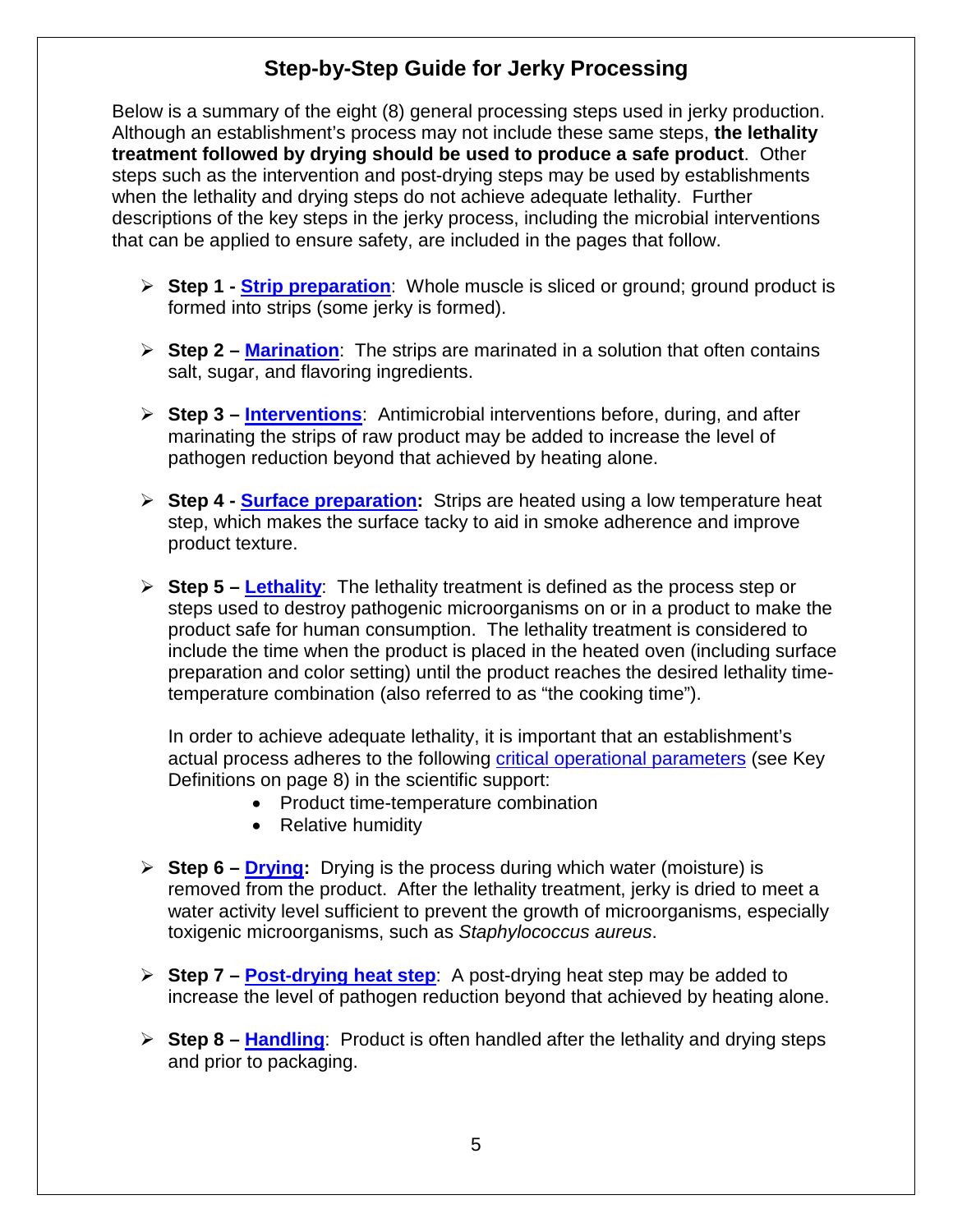## **Step-by-Step Guide for Jerky Processing**

<span id="page-4-0"></span>Below is a summary of the eight (8) general processing steps used in jerky production. Although an establishment's process may not include these same steps, **the lethality treatment followed by drying should be used to produce a safe product**. Other steps such as the intervention and post-drying steps may be used by establishments when the lethality and drying steps do not achieve adequate lethality. Further descriptions of the key steps in the jerky process, including the microbial interventions that can be applied to ensure safety, are included in the pages that follow.

- **Step 1 - [Strip preparation](#page-5-0)**: Whole muscle is sliced or ground; ground product is formed into strips (some jerky is formed).
- **Step 2 – [Marination](#page-5-1)**: The strips are marinated in a solution that often contains salt, sugar, and flavoring ingredients.
- **Step 3 – [Interventions](#page-5-2)**: Antimicrobial interventions before, during, and after marinating the strips of raw product may be added to increase the level of pathogen reduction beyond that achieved by heating alone.
- <span id="page-4-1"></span> **Step 4 - [Surface preparation:](#page-4-1)** Strips are heated using a low temperature heat step, which makes the surface tacky to aid in smoke adherence and improve product texture.
- **Step 5 – [Lethality](#page-6-0)**: The lethality treatment is defined as the process step or steps used to destroy pathogenic microorganisms on or in a product to make the product safe for human consumption. The lethality treatment is considered to include the time when the product is placed in the heated oven (including surface preparation and color setting) until the product reaches the desired lethality timetemperature combination (also referred to as "the cooking time").

In order to achieve adequate lethality, it is important that an establishment's actual process adheres to the following [critical operational parameters](#page-7-0) (see Key Definitions on page 8) in the scientific support:

- Product time-temperature combination
- Relative humidity
- **Step 6 – [Drying:](#page-13-0)** Drying is the process during which water (moisture) is removed from the product. After the lethality treatment, jerky is dried to meet a water activity level sufficient to prevent the growth of microorganisms, especially toxigenic microorganisms, such as *Staphylococcus aureus*.
- **Step 7 – [Post-drying heat step](#page-15-0)**: A post-drying heat step may be added to increase the level of pathogen reduction beyond that achieved by heating alone.
- **Step 8 – [Handling](#page-15-1)**: Product is often handled after the lethality and drying steps and prior to packaging.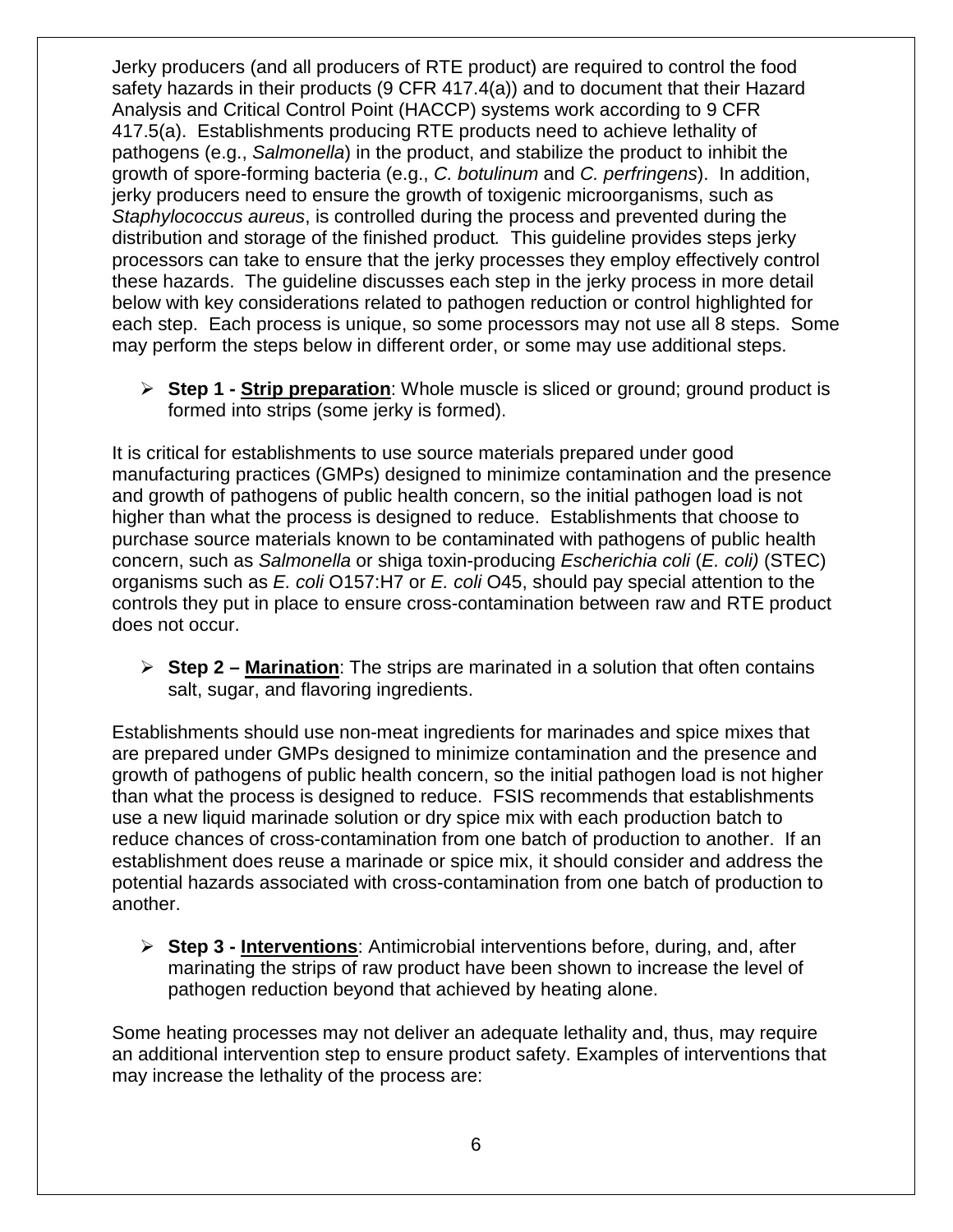Jerky producers (and all producers of RTE product) are required to control the food safety hazards in their products (9 CFR 417.4(a)) and to document that their Hazard Analysis and Critical Control Point (HACCP) systems work according to 9 CFR 417.5(a). Establishments producing RTE products need to achieve lethality of pathogens (e.g., *Salmonella*) in the product, and stabilize the product to inhibit the growth of spore-forming bacteria (e.g., *C. botulinum* and *C. perfringens*). In addition, jerky producers need to ensure the growth of toxigenic microorganisms, such as *Staphylococcus aureus*, is controlled during the process and prevented during the distribution and storage of the finished product*.* This guideline provides steps jerky processors can take to ensure that the jerky processes they employ effectively control these hazards. The guideline discusses each step in the jerky process in more detail below with key considerations related to pathogen reduction or control highlighted for each step. Each process is unique, so some processors may not use all 8 steps. Some may perform the steps below in different order, or some may use additional steps.

<span id="page-5-0"></span> **Step 1 - Strip preparation**: Whole muscle is sliced or ground; ground product is formed into strips (some jerky is formed).

It is critical for establishments to use source materials prepared under good manufacturing practices (GMPs) designed to minimize contamination and the presence and growth of pathogens of public health concern, so the initial pathogen load is not higher than what the process is designed to reduce. Establishments that choose to purchase source materials known to be contaminated with pathogens of public health concern, such as *Salmonella* or shiga toxin-producing *Escherichia coli* (*E. coli)* (STEC) organisms such as *E. coli* O157:H7 or *E. coli* O45, should pay special attention to the controls they put in place to ensure cross-contamination between raw and RTE product does not occur.

<span id="page-5-1"></span> **Step 2 – Marination**: The strips are marinated in a solution that often contains salt, sugar, and flavoring ingredients.

Establishments should use non-meat ingredients for marinades and spice mixes that are prepared under GMPs designed to minimize contamination and the presence and growth of pathogens of public health concern, so the initial pathogen load is not higher than what the process is designed to reduce. FSIS recommends that establishments use a new liquid marinade solution or dry spice mix with each production batch to reduce chances of cross-contamination from one batch of production to another. If an establishment does reuse a marinade or spice mix, it should consider and address the potential hazards associated with cross-contamination from one batch of production to another.

<span id="page-5-2"></span> **Step 3 - Interventions**: Antimicrobial interventions before, during, and, after marinating the strips of raw product have been shown to increase the level of pathogen reduction beyond that achieved by heating alone.

Some heating processes may not deliver an adequate lethality and, thus, may require an additional intervention step to ensure product safety. Examples of interventions that may increase the lethality of the process are: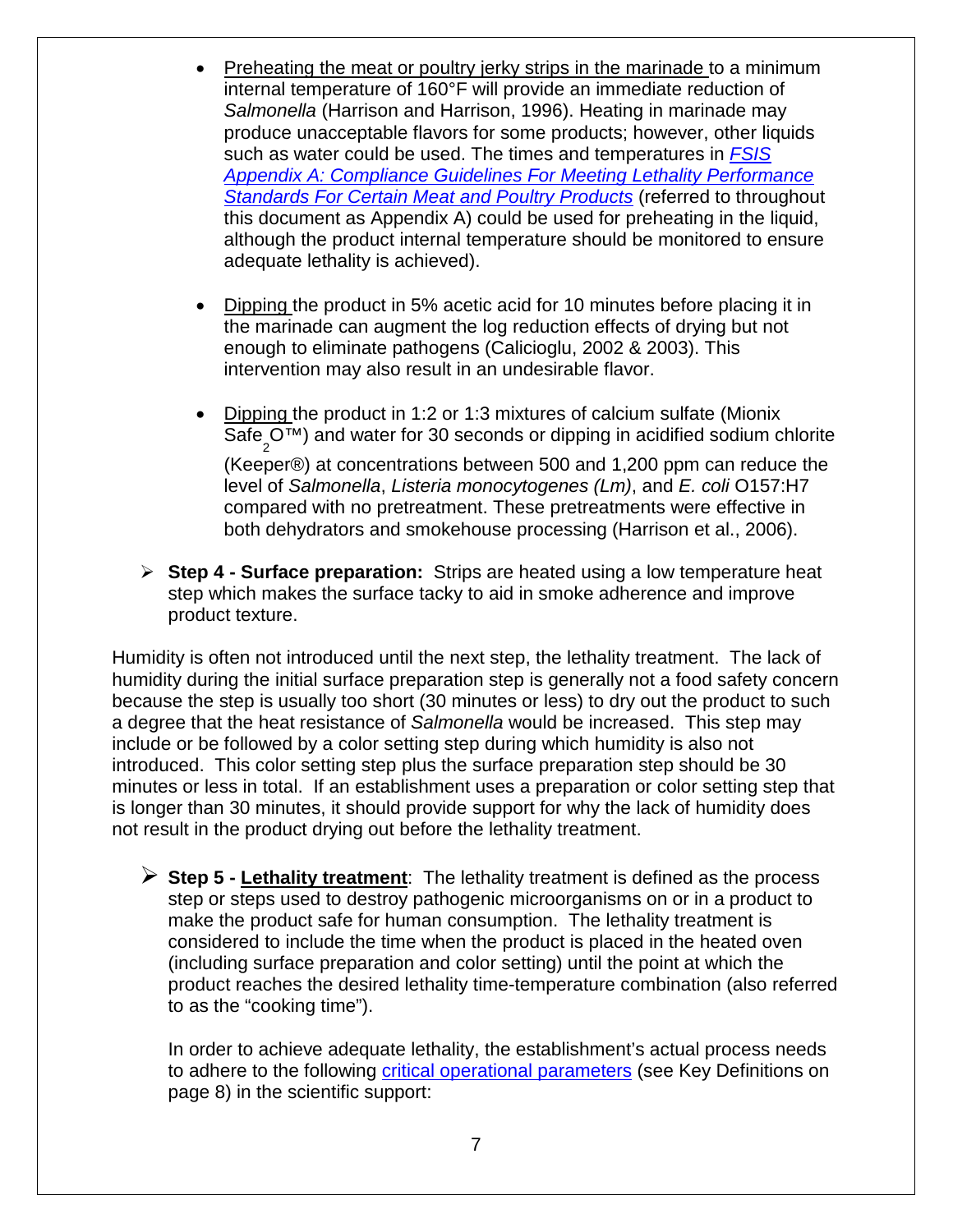- Preheating the meat or poultry jerky strips in the marinade to a minimum internal temperature of 160°F will provide an immediate reduction of *Salmonella* (Harrison and Harrison, 1996). Heating in marinade may produce unacceptable flavors for some products; however, other liquids such as water could be used. The times and temperatures in *[FSIS](http://www.fsis.usda.gov/wps/wcm/connect/212e40b3-b59d-43aa-882e-e5431ea7035f/95033F-a.pdf?MOD=AJPERES)  Appendix A: [Compliance Guidelines For Meeting Lethality Performance](http://www.fsis.usda.gov/wps/wcm/connect/212e40b3-b59d-43aa-882e-e5431ea7035f/95033F-a.pdf?MOD=AJPERES)  [Standards For Certain Meat and Poultry Products](http://www.fsis.usda.gov/wps/wcm/connect/212e40b3-b59d-43aa-882e-e5431ea7035f/95033F-a.pdf?MOD=AJPERES)* (referred to throughout this document as Appendix A) could be used for preheating in the liquid, although the product internal temperature should be monitored to ensure adequate lethality is achieved).
- Dipping the product in 5% acetic acid for 10 minutes before placing it in the marinade can augment the log reduction effects of drying but not enough to eliminate pathogens (Calicioglu, 2002 & 2003). This intervention may also result in an undesirable flavor.
- Dipping the product in 1:2 or 1:3 mixtures of calcium sulfate (Mionix Safe<sub>2</sub>O™) and water for 30 seconds or dipping in acidified sodium chlorite (Keeper®) at concentrations between 500 and 1,200 ppm can reduce the level of *Salmonella*, *Listeria monocytogenes (Lm)*, and *E. coli* O157:H7 compared with no pretreatment. These pretreatments were effective in both dehydrators and smokehouse processing (Harrison et al., 2006).
- **Step 4 - Surface preparation:** Strips are heated using a low temperature heat step which makes the surface tacky to aid in smoke adherence and improve product texture.

Humidity is often not introduced until the next step, the lethality treatment. The lack of humidity during the initial surface preparation step is generally not a food safety concern because the step is usually too short (30 minutes or less) to dry out the product to such a degree that the heat resistance of *Salmonella* would be increased. This step may include or be followed by a color setting step during which humidity is also not introduced. This color setting step plus the surface preparation step should be 30 minutes or less in total. If an establishment uses a preparation or color setting step that is longer than 30 minutes, it should provide support for why the lack of humidity does not result in the product drying out before the lethality treatment.

<span id="page-6-0"></span> **Step 5 - Lethality treatment**: The lethality treatment is defined as the process step or steps used to destroy pathogenic microorganisms on or in a product to make the product safe for human consumption. The lethality treatment is considered to include the time when the product is placed in the heated oven (including surface preparation and color setting) until the point at which the product reaches the desired lethality time-temperature combination (also referred to as the "cooking time").

In order to achieve adequate lethality, the establishment's actual process needs to adhere to the following [critical operational parameters](#page-7-0) (see Key Definitions on page 8) in the scientific support: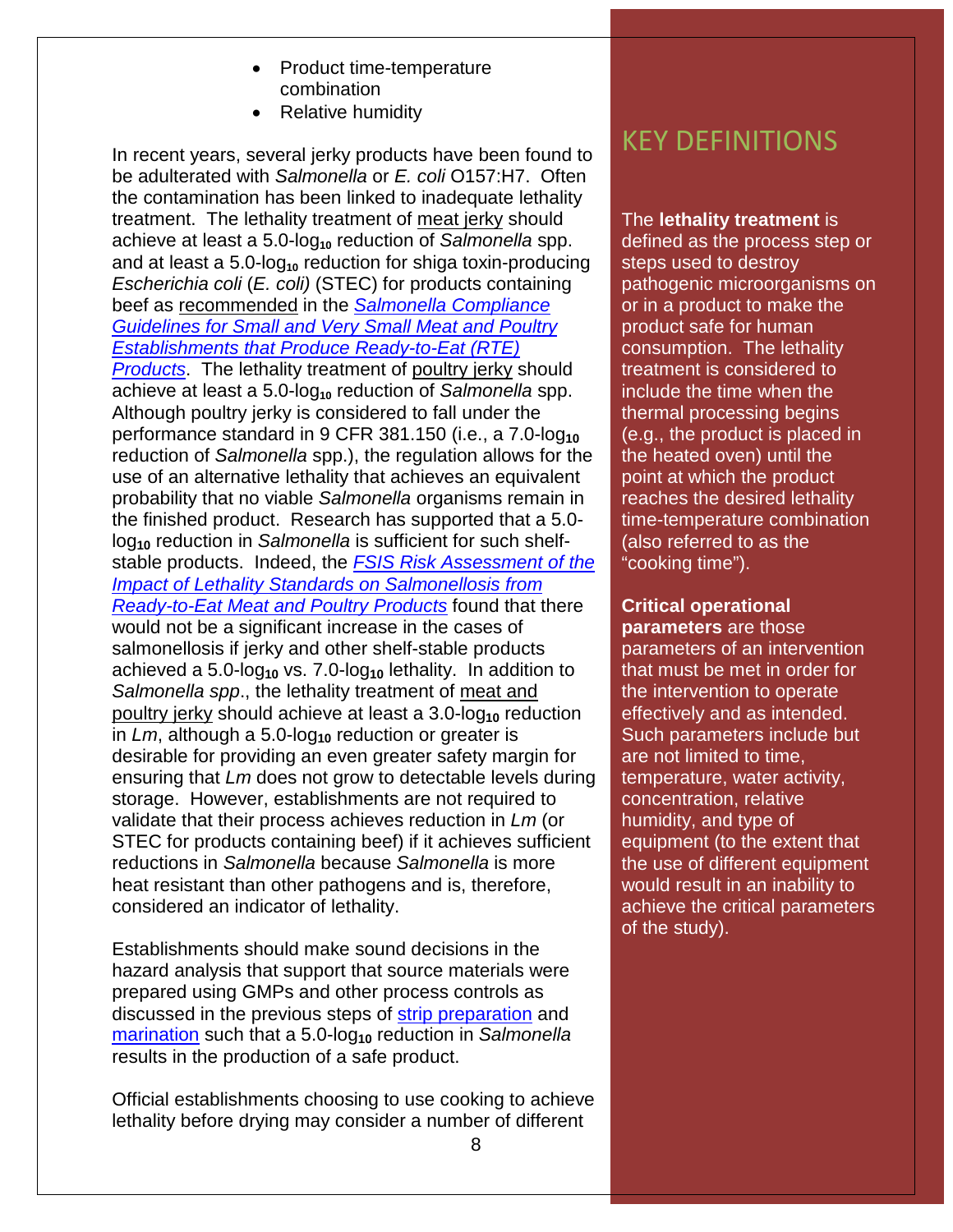- Product time-temperature combination
- Relative humidity

In recent years, several jerky products have been found to be adulterated with *Salmonella* or *E. coli* O157:H7. Often the contamination has been linked to inadequate lethality treatment. The lethality treatment of meat jerky should achieve at least a 5.0-log**<sup>10</sup>** reduction of *Salmonella* spp. and at least a 5.0-log<sub>10</sub> reduction for shiga toxin-producing *Escherichia coli* (*E. coli)* (STEC) for products containing beef as recommended in the *Salmonella [Compliance](http://www.fsis.usda.gov/wps/wcm/connect/2ed353b4-7a3a-4f31-80d8-20262c1950c8/Salmonella_Comp_Guide_091912.pdf?MOD=AJPERES)  [Guidelines for Small and Very Small Meat and Poultry](http://www.fsis.usda.gov/wps/wcm/connect/2ed353b4-7a3a-4f31-80d8-20262c1950c8/Salmonella_Comp_Guide_091912.pdf?MOD=AJPERES)  [Establishments that Produce Ready-to-Eat \(RTE\)](http://www.fsis.usda.gov/wps/wcm/connect/2ed353b4-7a3a-4f31-80d8-20262c1950c8/Salmonella_Comp_Guide_091912.pdf?MOD=AJPERES)  [Products](http://www.fsis.usda.gov/wps/wcm/connect/2ed353b4-7a3a-4f31-80d8-20262c1950c8/Salmonella_Comp_Guide_091912.pdf?MOD=AJPERES)*. The lethality treatment of poultry jerky should achieve at least a 5.0-log**<sup>10</sup>** reduction of *Salmonella* spp. Although poultry jerky is considered to fall under the performance standard in 9 CFR 381.150 (i.e., a 7.0-log<sub>10</sub> reduction of *Salmonella* spp.), the regulation allows for the use of an alternative lethality that achieves an equivalent probability that no viable *Salmonella* organisms remain in the finished product. Research has supported that a 5.0 log**<sup>10</sup>** reduction in *Salmonella* is sufficient for such shelfstable products. Indeed, the *[FSIS Risk Assessment of the](http://www.fsis.usda.gov/wps/wcm/connect/210d3d19-96bc-4b1e-8829-325e25e63e0b/Salm_RTE_Risk_Assess_Sep2005.pdf?MOD=AJPERES)  [Impact of Lethality Standards on Salmonellosis from](http://www.fsis.usda.gov/wps/wcm/connect/210d3d19-96bc-4b1e-8829-325e25e63e0b/Salm_RTE_Risk_Assess_Sep2005.pdf?MOD=AJPERES)  [Ready-to-Eat Meat and Poultry Products](http://www.fsis.usda.gov/wps/wcm/connect/210d3d19-96bc-4b1e-8829-325e25e63e0b/Salm_RTE_Risk_Assess_Sep2005.pdf?MOD=AJPERES)* found that there would not be a significant increase in the cases of salmonellosis if jerky and other shelf-stable products achieved a 5.0-log**<sup>10</sup>** vs. 7.0-log**<sup>10</sup>** lethality. In addition to *Salmonella spp*., the lethality treatment of meat and poultry jerky should achieve at least a 3.0-log<sub>10</sub> reduction in *Lm*, although a 5.0-log<sub>10</sub> reduction or greater is desirable for providing an even greater safety margin for ensuring that *Lm* does not grow to detectable levels during storage. However, establishments are not required to validate that their process achieves reduction in *Lm* (or STEC for products containing beef) if it achieves sufficient reductions in *Salmonella* because *Salmonella* is more heat resistant than other pathogens and is, therefore, considered an indicator of lethality.

Establishments should make sound decisions in the hazard analysis that support that source materials were prepared using GMPs and other process controls as discussed in the previous steps of [strip preparation](#page-5-0) and [marination](#page-5-1) such that a 5.0-log<sub>10</sub> reduction in *Salmonella* results in the production of a safe product.

Official establishments choosing to use cooking to achieve lethality before drying may consider a number of different

## KEY DEFINITIONS

The **lethality treatment** is defined as the process step or steps used to destroy pathogenic microorganisms on or in a product to make the product safe for human consumption. The lethality treatment is considered to include the time when the thermal processing begins (e.g., the product is placed in the heated oven) until the point at which the product reaches the desired lethality time-temperature combination (also referred to as the "cooking time").

## <span id="page-7-0"></span>**Critical operational**

**parameters** are those parameters of an intervention that must be met in order for the intervention to operate effectively and as intended. Such parameters include but are not limited to time, temperature, water activity, concentration, relative humidity, and type of equipment (to the extent that the use of different equipment would result in an inability to achieve the critical parameters of the study).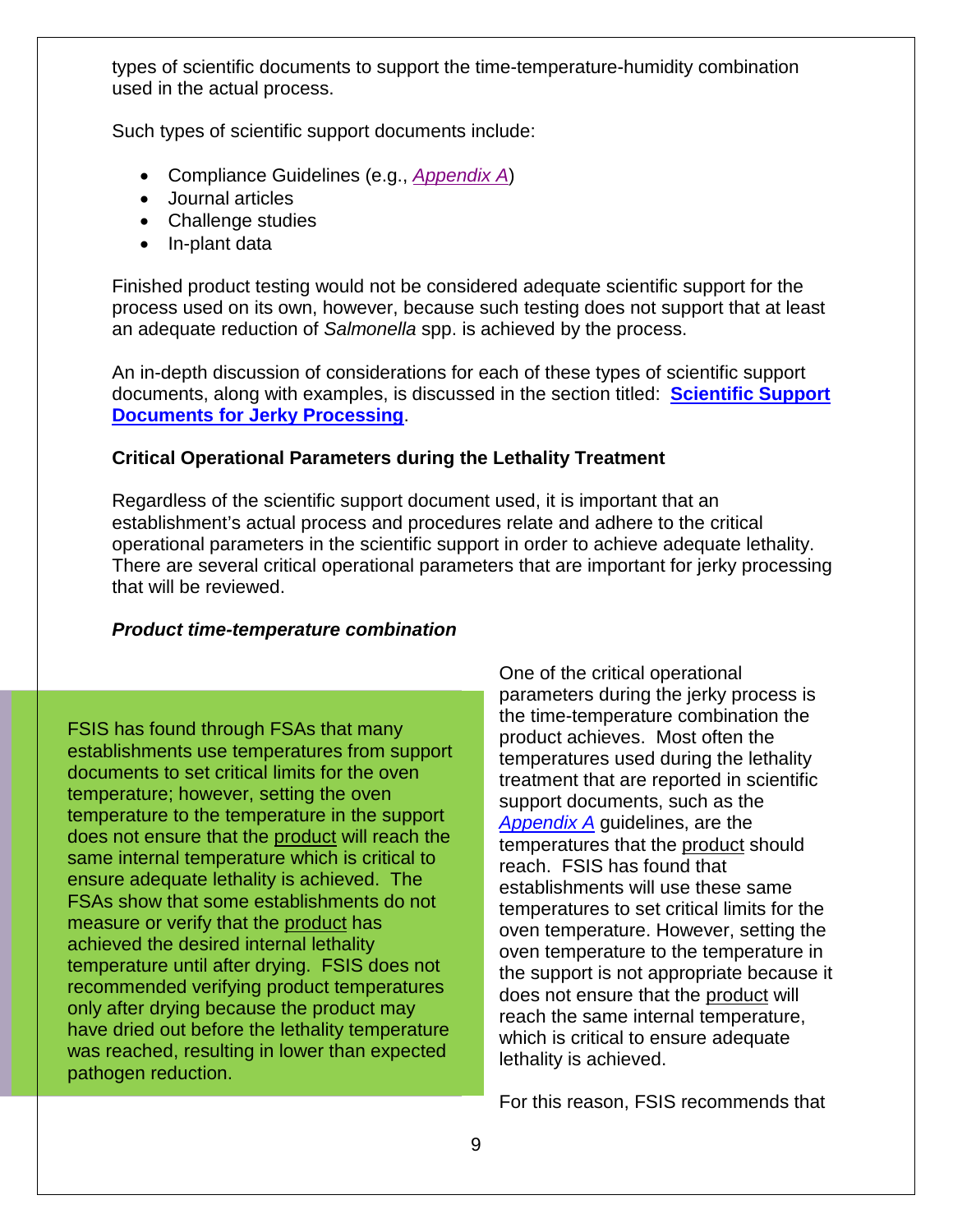types of scientific documents to support the time-temperature-humidity combination used in the actual process.

Such types of scientific support documents include:

- Compliance Guidelines (e.g., *[Appendix A](http://www.fsis.usda.gov/wps/wcm/connect/212e40b3-b59d-43aa-882e-e5431ea7035f/95033F-a.pdf?MOD=AJPERES)*)
- Journal articles
- Challenge studies
- In-plant data

Finished product testing would not be considered adequate scientific support for the process used on its own, however, because such testing does not support that at least an adequate reduction of *Salmonella* spp. is achieved by the process.

An in-depth discussion of considerations for each of these types of scientific support documents, along with examples, is discussed in the section titled: **[Scientific Support](#page-16-0)  [Documents for Jerky Processing](#page-16-0)**.

#### <span id="page-8-0"></span>**Critical Operational Parameters during the Lethality Treatment**

Regardless of the scientific support document used, it is important that an establishment's actual process and procedures relate and adhere to the critical operational parameters in the scientific support in order to achieve adequate lethality. There are several critical operational parameters that are important for jerky processing that will be reviewed.

#### *Product time-temperature combination*

FSIS has found through FSAs that many establishments use temperatures from support documents to set critical limits for the oven temperature; however, setting the oven temperature to the temperature in the support does not ensure that the product will reach the same internal temperature which is critical to ensure adequate lethality is achieved. The FSAs show that some establishments do not measure or verify that the product has achieved the desired internal lethality temperature until after drying. FSIS does not recommended verifying product temperatures only after drying because the product may have dried out before the lethality temperature was reached, resulting in lower than expected pathogen reduction.

One of the critical operational parameters during the jerky process is the time-temperature combination the product achieves. Most often the temperatures used during the lethality treatment that are reported in scientific support documents, such as the *[Appendix A](http://www.fsis.usda.gov/wps/wcm/connect/212e40b3-b59d-43aa-882e-e5431ea7035f/95033F-a.pdf?MOD=AJPERES)* guidelines, are the temperatures that the product should reach. FSIS has found that establishments will use these same temperatures to set critical limits for the oven temperature. However, setting the oven temperature to the temperature in the support is not appropriate because it does not ensure that the product will reach the same internal temperature, which is critical to ensure adequate lethality is achieved.

For this reason, FSIS recommends that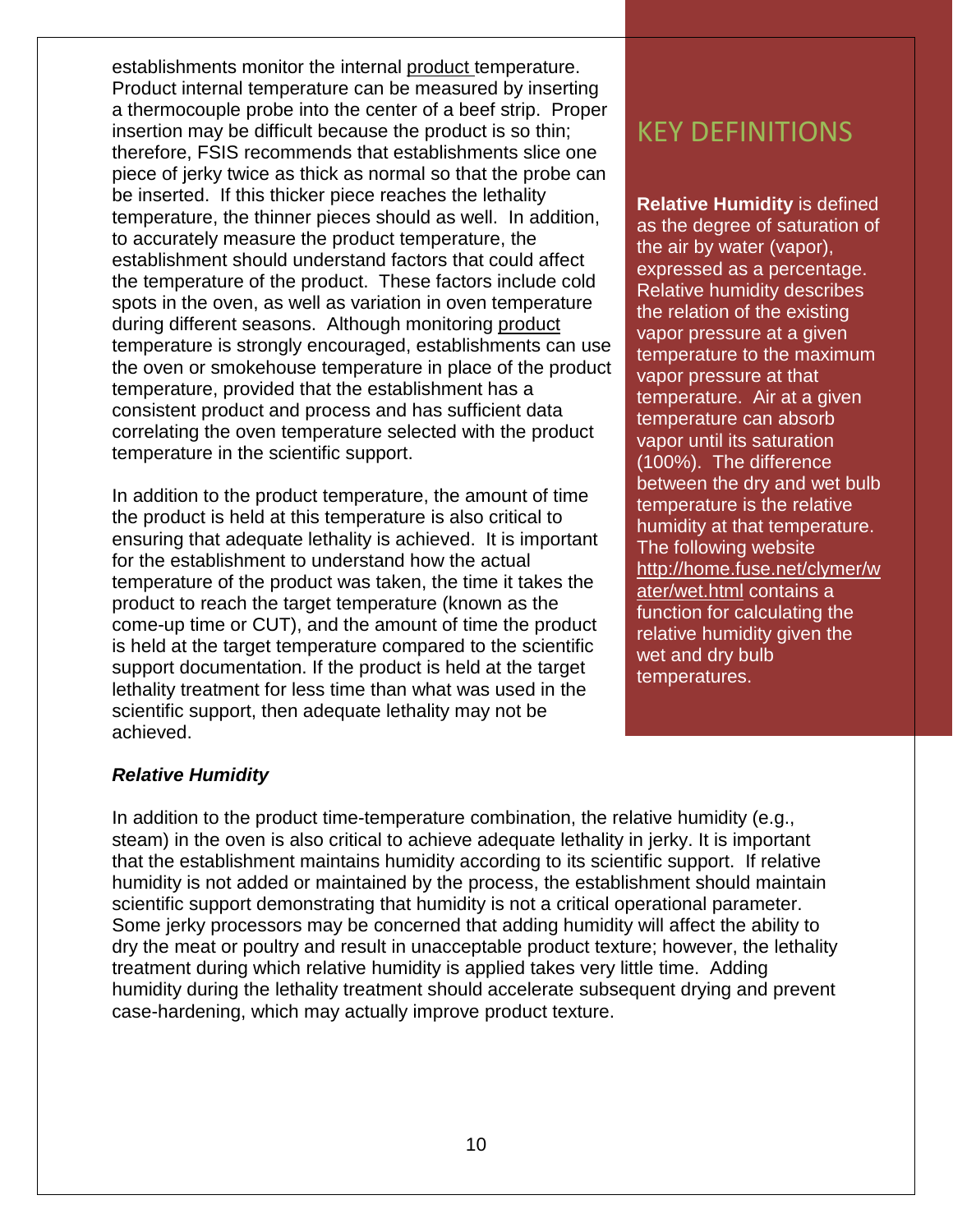establishments monitor the internal product temperature. Product internal temperature can be measured by inserting a thermocouple probe into the center of a beef strip. Proper insertion may be difficult because the product is so thin; therefore, FSIS recommends that establishments slice one piece of jerky twice as thick as normal so that the probe can be inserted. If this thicker piece reaches the lethality temperature, the thinner pieces should as well. In addition, to accurately measure the product temperature, the establishment should understand factors that could affect the temperature of the product. These factors include cold spots in the oven, as well as variation in oven temperature during different seasons. Although monitoring product temperature is strongly encouraged, establishments can use the oven or smokehouse temperature in place of the product temperature, provided that the establishment has a consistent product and process and has sufficient data correlating the oven temperature selected with the product temperature in the scientific support.

In addition to the product temperature, the amount of time the product is held at this temperature is also critical to ensuring that adequate lethality is achieved. It is important for the establishment to understand how the actual temperature of the product was taken, the time it takes the product to reach the target temperature (known as the come-up time or CUT), and the amount of time the product is held at the target temperature compared to the scientific support documentation. If the product is held at the target lethality treatment for less time than what was used in the scientific support, then adequate lethality may not be achieved.

## KEY DEFINITIONS

**Relative Humidity** is defined as the degree of saturation of the air by water (vapor), expressed as a percentage. Relative humidity describes the relation of the existing vapor pressure at a given temperature to the maximum vapor pressure at that temperature. Air at a given temperature can absorb vapor until its saturation (100%). The difference between the dry and wet bulb temperature is the relative humidity at that temperature. The following website [http://home.fuse.net/clymer/w](http://home.fuse.net/clymer/water/wet.html) [ater/wet.html](http://home.fuse.net/clymer/water/wet.html) contains a function for calculating the relative humidity given the wet and dry bulb temperatures.

#### *Relative Humidity*

In addition to the product time-temperature combination, the relative humidity (e.g., steam) in the oven is also critical to achieve adequate lethality in jerky. It is important that the establishment maintains humidity according to its scientific support. If relative humidity is not added or maintained by the process, the establishment should maintain scientific support demonstrating that humidity is not a critical operational parameter. Some jerky processors may be concerned that adding humidity will affect the ability to dry the meat or poultry and result in unacceptable product texture; however, the lethality treatment during which relative humidity is applied takes very little time. Adding humidity during the lethality treatment should accelerate subsequent drying and prevent case-hardening, which may actually improve product texture.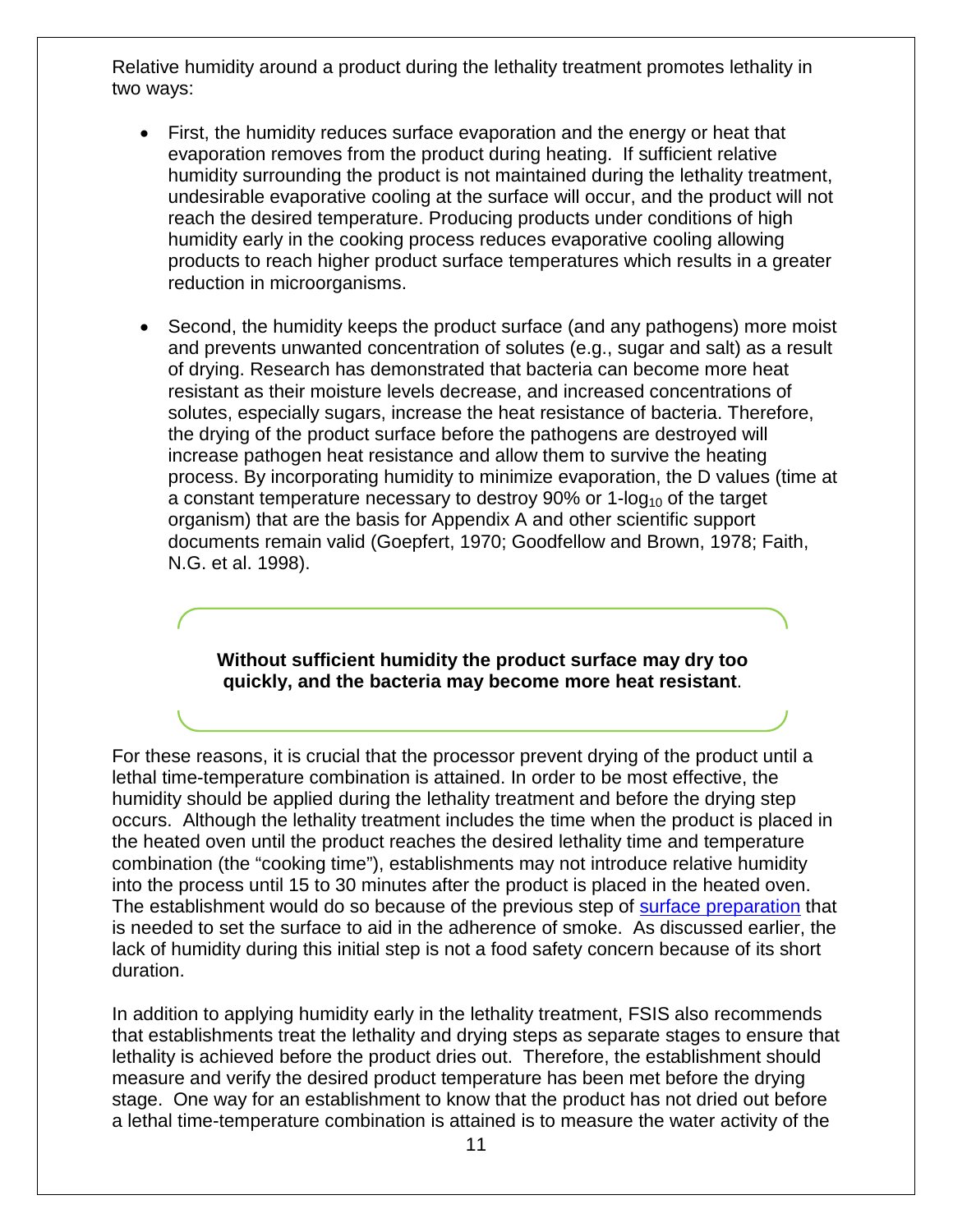Relative humidity around a product during the lethality treatment promotes lethality in two ways:

- First, the humidity reduces surface evaporation and the energy or heat that evaporation removes from the product during heating. If sufficient relative humidity surrounding the product is not maintained during the lethality treatment, undesirable evaporative cooling at the surface will occur, and the product will not reach the desired temperature. Producing products under conditions of high humidity early in the cooking process reduces evaporative cooling allowing products to reach higher product surface temperatures which results in a greater reduction in microorganisms.
- Second, the humidity keeps the product surface (and any pathogens) more moist and prevents unwanted concentration of solutes (e.g., sugar and salt) as a result of drying. Research has demonstrated that bacteria can become more heat resistant as their moisture levels decrease, and increased concentrations of solutes, especially sugars, increase the heat resistance of bacteria. Therefore, the drying of the product surface before the pathogens are destroyed will increase pathogen heat resistance and allow them to survive the heating process. By incorporating humidity to minimize evaporation, the D values (time at a constant temperature necessary to destroy  $90\%$  or 1- $log_{10}$  of the target organism) that are the basis for Appendix A and other scientific support documents remain valid (Goepfert, 1970; Goodfellow and Brown, 1978; Faith, N.G. et al. 1998).

#### **Without sufficient humidity the product surface may dry too quickly, and the bacteria may become more heat resistant**.

For these reasons, it is crucial that the processor prevent drying of the product until a lethal time-temperature combination is attained. In order to be most effective, the humidity should be applied during the lethality treatment and before the drying step occurs. Although the lethality treatment includes the time when the product is placed in the heated oven until the product reaches the desired lethality time and temperature combination (the "cooking time"), establishments may not introduce relative humidity into the process until 15 to 30 minutes after the product is placed in the heated oven. The establishment would do so because of the previous step of [surface preparation](#page-4-1) that is needed to set the surface to aid in the adherence of smoke. As discussed earlier, the lack of humidity during this initial step is not a food safety concern because of its short duration.

In addition to applying humidity early in the lethality treatment, FSIS also recommends that establishments treat the lethality and drying steps as separate stages to ensure that lethality is achieved before the product dries out. Therefore, the establishment should measure and verify the desired product temperature has been met before the drying stage. One way for an establishment to know that the product has not dried out before a lethal time-temperature combination is attained is to measure the water activity of the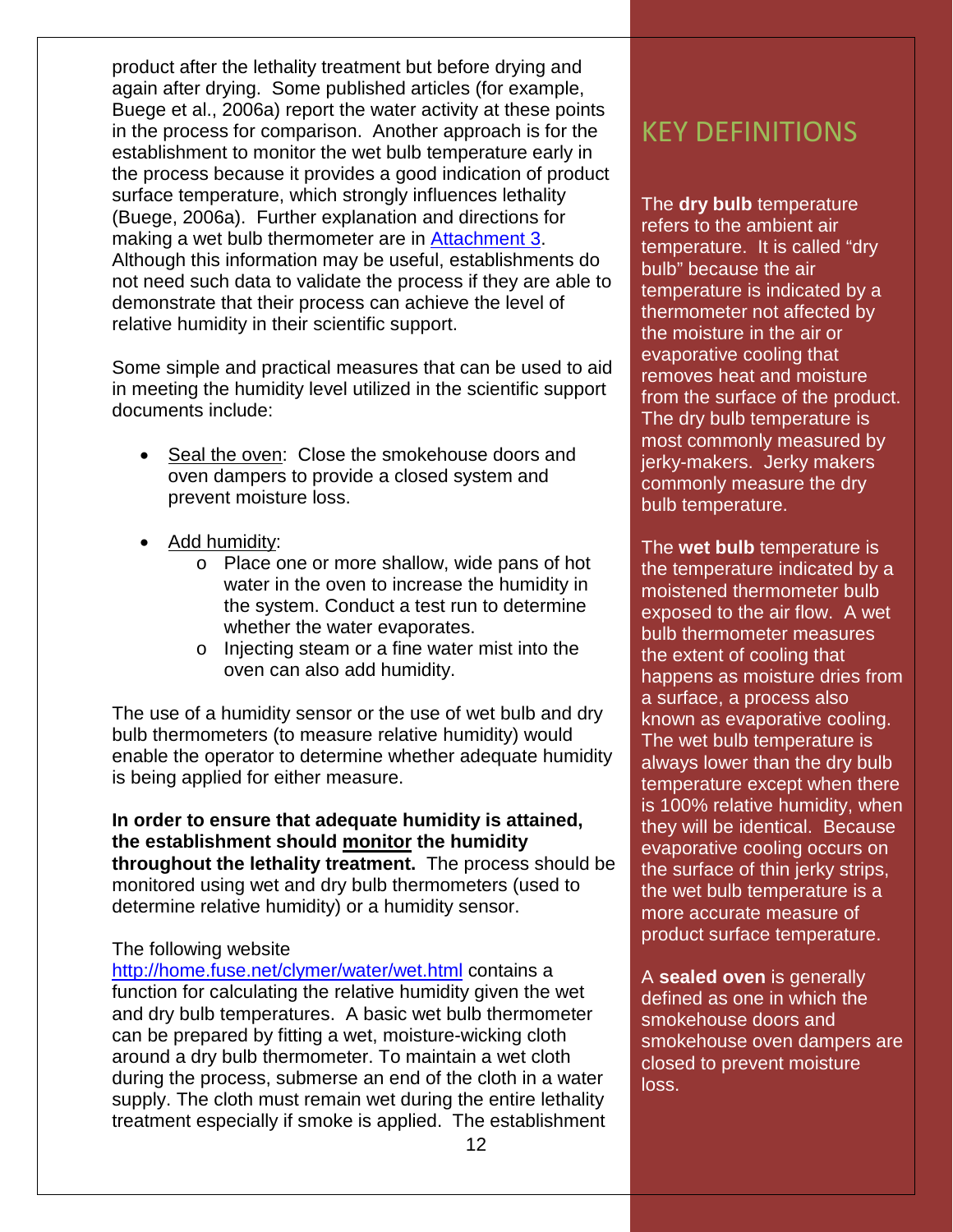product after the lethality treatment but before drying and again after drying. Some published articles (for example, Buege et al., 2006a) report the water activity at these points in the process for comparison. Another approach is for the establishment to monitor the wet bulb temperature early in the process because it provides a good indication of product surface temperature, which strongly influences lethality (Buege, 2006a). Further explanation and directions for making a wet bulb thermometer are in [Attachment 3.](#page-48-0) Although this information may be useful, establishments do not need such data to validate the process if they are able to demonstrate that their process can achieve the level of relative humidity in their scientific support.

Some simple and practical measures that can be used to aid in meeting the humidity level utilized in the scientific support documents include:

- Seal the oven: Close the smokehouse doors and oven dampers to provide a closed system and prevent moisture loss.
- Add humidity:
	- o Place one or more shallow, wide pans of hot water in the oven to increase the humidity in the system. Conduct a test run to determine whether the water evaporates.
	- o Injecting steam or a fine water mist into the oven can also add humidity.

The use of a humidity sensor or the use of wet bulb and dry bulb thermometers (to measure relative humidity) would enable the operator to determine whether adequate humidity is being applied for either measure.

**In order to ensure that adequate humidity is attained, the establishment should monitor the humidity throughout the lethality treatment.** The process should be monitored using wet and dry bulb thermometers (used to determine relative humidity) or a humidity sensor.

#### The following website

<http://home.fuse.net/clymer/water/wet.html> contains a function for calculating the relative humidity given the wet and dry bulb temperatures. A basic wet bulb thermometer can be prepared by fitting a wet, moisture-wicking cloth around a dry bulb thermometer. To maintain a wet cloth during the process, submerse an end of the cloth in a water supply. The cloth must remain wet during the entire lethality treatment especially if smoke is applied. The establishment

## KEY DEFINITIONS

The **dry bulb** temperature refers to the ambient air temperature. It is called "dry bulb" because the air temperature is indicated by a thermometer not affected by the moisture in the air or evaporative cooling that removes heat and moisture from the surface of the product. The dry bulb temperature is most commonly measured by jerky-makers. Jerky makers commonly measure the dry bulb temperature.

The **wet bulb** temperature is the temperature indicated by a moistened thermometer bulb exposed to the air flow. A wet bulb thermometer measures the extent of cooling that happens as moisture dries from a surface, a process also known as evaporative cooling. The wet bulb temperature is always lower than the dry bulb temperature except when there is 100% relative humidity, when they will be identical. Because evaporative cooling occurs on the surface of thin jerky strips, the wet bulb temperature is a more accurate measure of product surface temperature.

A **sealed oven** is generally defined as one in which the smokehouse doors and smokehouse oven dampers are closed to prevent moisture loss.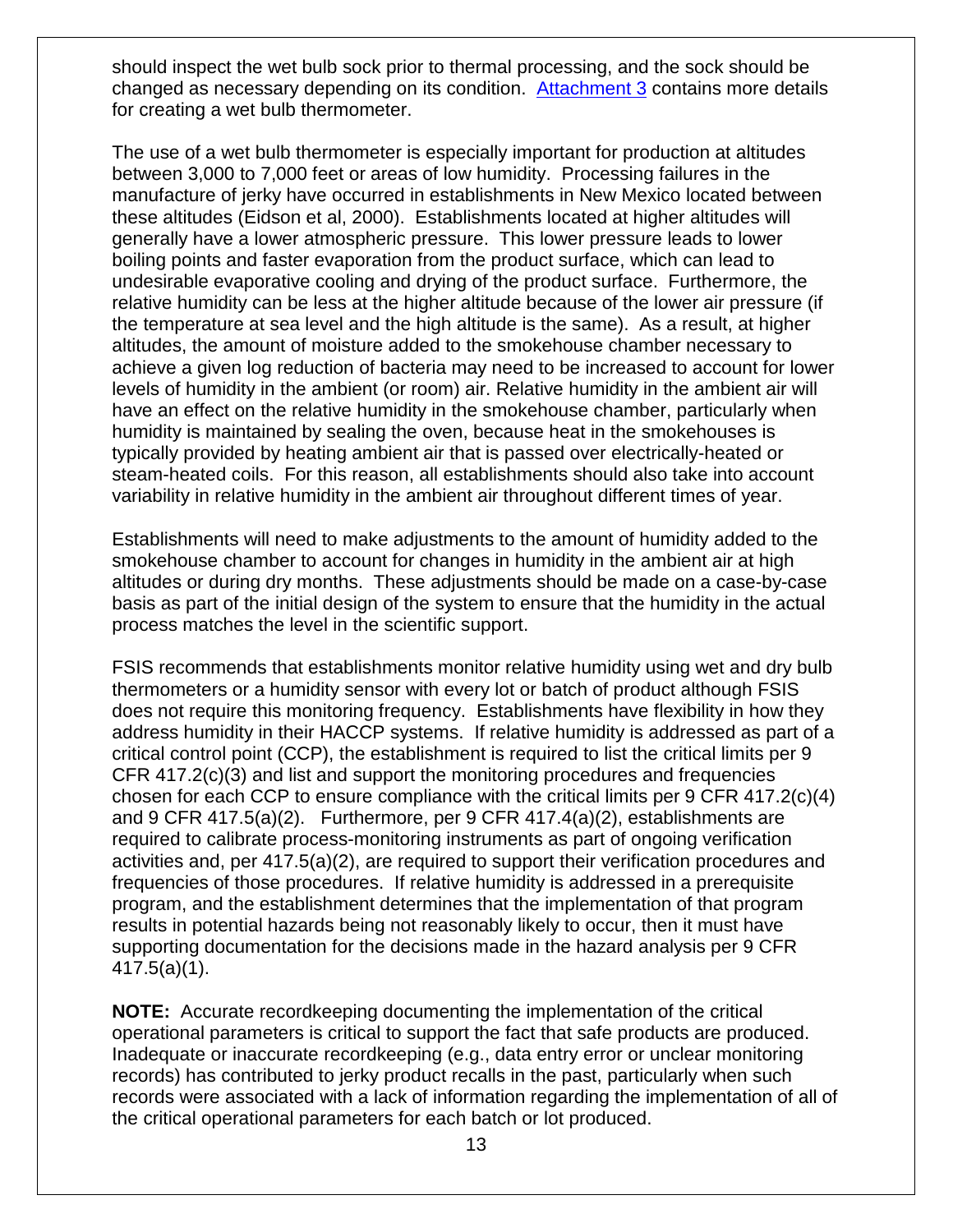should inspect the wet bulb sock prior to thermal processing, and the sock should be changed as necessary depending on its condition. [Attachment](#page-48-0) 3 contains more details for creating a wet bulb thermometer.

The use of a wet bulb thermometer is especially important for production at altitudes between 3,000 to 7,000 feet or areas of low humidity. Processing failures in the manufacture of jerky have occurred in establishments in New Mexico located between these altitudes (Eidson et al, 2000). Establishments located at higher altitudes will generally have a lower atmospheric pressure. This lower pressure leads to lower boiling points and faster evaporation from the product surface, which can lead to undesirable evaporative cooling and drying of the product surface. Furthermore, the relative humidity can be less at the higher altitude because of the lower air pressure (if the temperature at sea level and the high altitude is the same). As a result, at higher altitudes, the amount of moisture added to the smokehouse chamber necessary to achieve a given log reduction of bacteria may need to be increased to account for lower levels of humidity in the ambient (or room) air. Relative humidity in the ambient air will have an effect on the relative humidity in the smokehouse chamber, particularly when humidity is maintained by sealing the oven, because heat in the smokehouses is typically provided by heating ambient air that is passed over electrically-heated or steam-heated coils. For this reason, all establishments should also take into account variability in relative humidity in the ambient air throughout different times of year.

Establishments will need to make adjustments to the amount of humidity added to the smokehouse chamber to account for changes in humidity in the ambient air at high altitudes or during dry months. These adjustments should be made on a case-by-case basis as part of the initial design of the system to ensure that the humidity in the actual process matches the level in the scientific support.

FSIS recommends that establishments monitor relative humidity using wet and dry bulb thermometers or a humidity sensor with every lot or batch of product although FSIS does not require this monitoring frequency. Establishments have flexibility in how they address humidity in their HACCP systems. If relative humidity is addressed as part of a critical control point (CCP), the establishment is required to list the critical limits per 9 CFR 417.2(c)(3) and list and support the monitoring procedures and frequencies chosen for each CCP to ensure compliance with the critical limits per 9 CFR 417.2(c)(4) and 9 CFR 417.5(a)(2). Furthermore, per 9 CFR 417.4(a)(2), establishments are required to calibrate process-monitoring instruments as part of ongoing verification activities and, per 417.5(a)(2), are required to support their verification procedures and frequencies of those procedures. If relative humidity is addressed in a prerequisite program, and the establishment determines that the implementation of that program results in potential hazards being not reasonably likely to occur, then it must have supporting documentation for the decisions made in the hazard analysis per 9 CFR 417.5(a)(1).

**NOTE:** Accurate recordkeeping documenting the implementation of the critical operational parameters is critical to support the fact that safe products are produced. Inadequate or inaccurate recordkeeping (e.g., data entry error or unclear monitoring records) has contributed to jerky product recalls in the past, particularly when such records were associated with a lack of information regarding the implementation of all of the critical operational parameters for each batch or lot produced.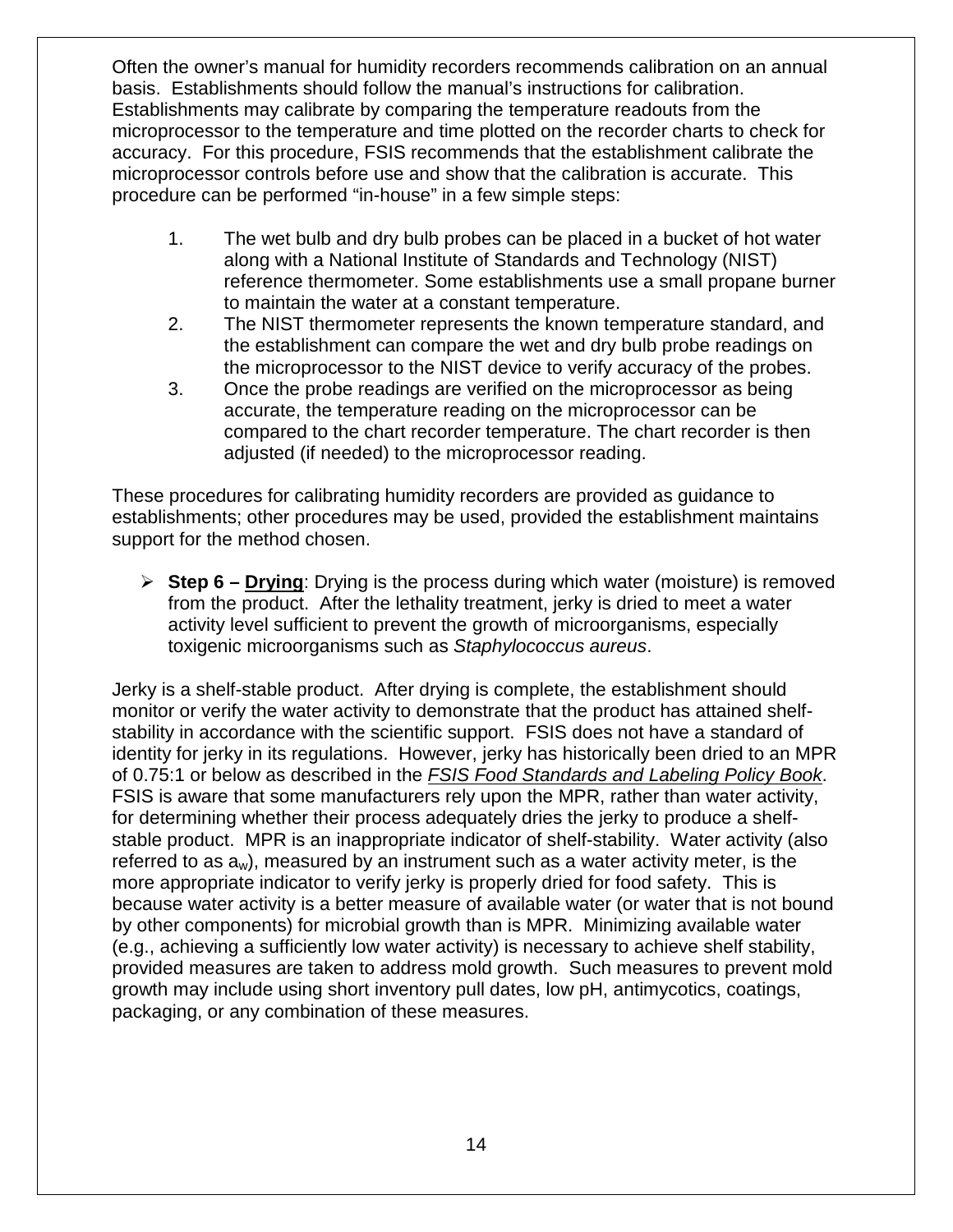Often the owner's manual for humidity recorders recommends calibration on an annual basis. Establishments should follow the manual's instructions for calibration. Establishments may calibrate by comparing the temperature readouts from the microprocessor to the temperature and time plotted on the recorder charts to check for accuracy. For this procedure, FSIS recommends that the establishment calibrate the microprocessor controls before use and show that the calibration is accurate. This procedure can be performed "in-house" in a few simple steps:

- 1. The wet bulb and dry bulb probes can be placed in a bucket of hot water along with a National Institute of Standards and Technology (NIST) reference thermometer. Some establishments use a small propane burner to maintain the water at a constant temperature.
- 2. The NIST thermometer represents the known temperature standard, and the establishment can compare the wet and dry bulb probe readings on the microprocessor to the NIST device to verify accuracy of the probes.
- 3. Once the probe readings are verified on the microprocessor as being accurate, the temperature reading on the microprocessor can be compared to the chart recorder temperature. The chart recorder is then adjusted (if needed) to the microprocessor reading.

These procedures for calibrating humidity recorders are provided as guidance to establishments; other procedures may be used, provided the establishment maintains support for the method chosen.

<span id="page-13-0"></span> **Step 6 – Drying**: Drying is the process during which water (moisture) is removed from the product. After the lethality treatment, jerky is dried to meet a water activity level sufficient to prevent the growth of microorganisms, especially toxigenic microorganisms such as *Staphylococcus aureus*.

Jerky is a shelf-stable product. After drying is complete, the establishment should monitor or verify the water activity to demonstrate that the product has attained shelfstability in accordance with the scientific support. FSIS does not have a standard of identity for jerky in its regulations. However, jerky has historically been dried to an MPR of 0.75:1 or below as described in the *[FSIS Food Standards and Labeling Policy Book](http://www.fsis.usda.gov/wps/wcm/connect/7c48be3e-e516-4ccf-a2d5-b95a128f04ae/Labeling_Policy_Book_082005.pdf?MOD=AJPERES)*. FSIS is aware that some manufacturers rely upon the MPR, rather than water activity, for determining whether their process adequately dries the jerky to produce a shelfstable product. MPR is an inappropriate indicator of shelf-stability. Water activity (also referred to as  $a_w$ ), measured by an instrument such as a water activity meter, is the more appropriate indicator to verify jerky is properly dried for food safety. This is because water activity is a better measure of available water (or water that is not bound by other components) for microbial growth than is MPR. Minimizing available water (e.g., achieving a sufficiently low water activity) is necessary to achieve shelf stability, provided measures are taken to address mold growth. Such measures to prevent mold growth may include using short inventory pull dates, low pH, antimycotics, coatings, packaging, or any combination of these measures.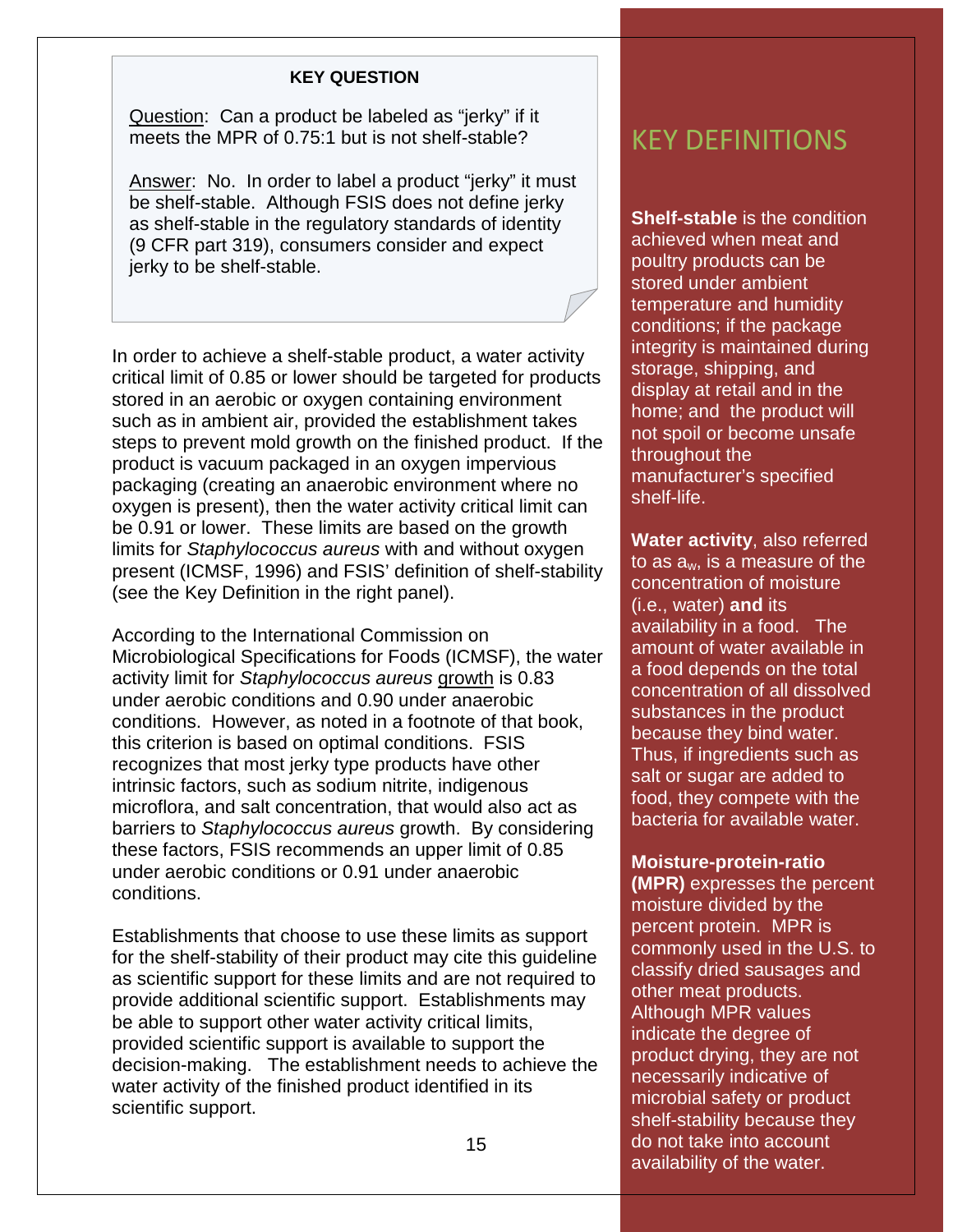#### **KEY QUESTION**

Question: Can a product be labeled as "jerky" if it meets the MPR of 0.75:1 but is not shelf-stable?

Answer: No. In order to label a product "jerky" it must be shelf-stable. Although FSIS does not define jerky as shelf-stable in the regulatory standards of identity (9 CFR part 319), consumers consider and expect jerky to be shelf-stable.

In order to achieve a shelf-stable product, a water activity critical limit of 0.85 or lower should be targeted for products stored in an aerobic or oxygen containing environment such as in ambient air, provided the establishment takes steps to prevent mold growth on the finished product. If the product is vacuum packaged in an oxygen impervious packaging (creating an anaerobic environment where no oxygen is present), then the water activity critical limit can be 0.91 or lower. These limits are based on the growth limits for *Staphylococcus aureus* with and without oxygen present (ICMSF, 1996) and FSIS' definition of shelf-stability (see the Key Definition in the right panel).

According to the International Commission on Microbiological Specifications for Foods (ICMSF), the water activity limit for *Staphylococcus aureus* growth is 0.83 under aerobic conditions and 0.90 under anaerobic conditions. However, as noted in a footnote of that book, this criterion is based on optimal conditions. FSIS recognizes that most jerky type products have other intrinsic factors, such as sodium nitrite, indigenous microflora, and salt concentration, that would also act as barriers to *Staphylococcus aureus* growth. By considering these factors, FSIS recommends an upper limit of 0.85 under aerobic conditions or 0.91 under anaerobic conditions.

Establishments that choose to use these limits as support for the shelf-stability of their product may cite this guideline as scientific support for these limits and are not required to provide additional scientific support. Establishments may be able to support other water activity critical limits, provided scientific support is available to support the decision-making. The establishment needs to achieve the water activity of the finished product identified in its scientific support.

## KEY DEFINITIONS

**Shelf-stable** is the condition achieved when meat and poultry products can be stored under ambient temperature and humidity conditions; if the package integrity is maintained during storage, shipping, and display at retail and in the home; and the product will not spoil or become unsafe throughout the manufacturer's specified shelf-life.

**Water activity**, also referred to as aw, is a measure of the concentration of moisture (i.e., water) **and** its availability in a food. The amount of water available in a food depends on the total concentration of all dissolved substances in the product because they bind water. Thus, if ingredients such as salt or sugar are added to food, they compete with the bacteria for available water.

#### **Moisture-protein-ratio**

**(MPR)** expresses the percent moisture divided by the percent protein. MPR is commonly used in the U.S. to classify dried sausages and other meat products. Although MPR values indicate the degree of product drying, they are not necessarily indicative of microbial safety or product shelf-stability because they do not take into account availability of the water.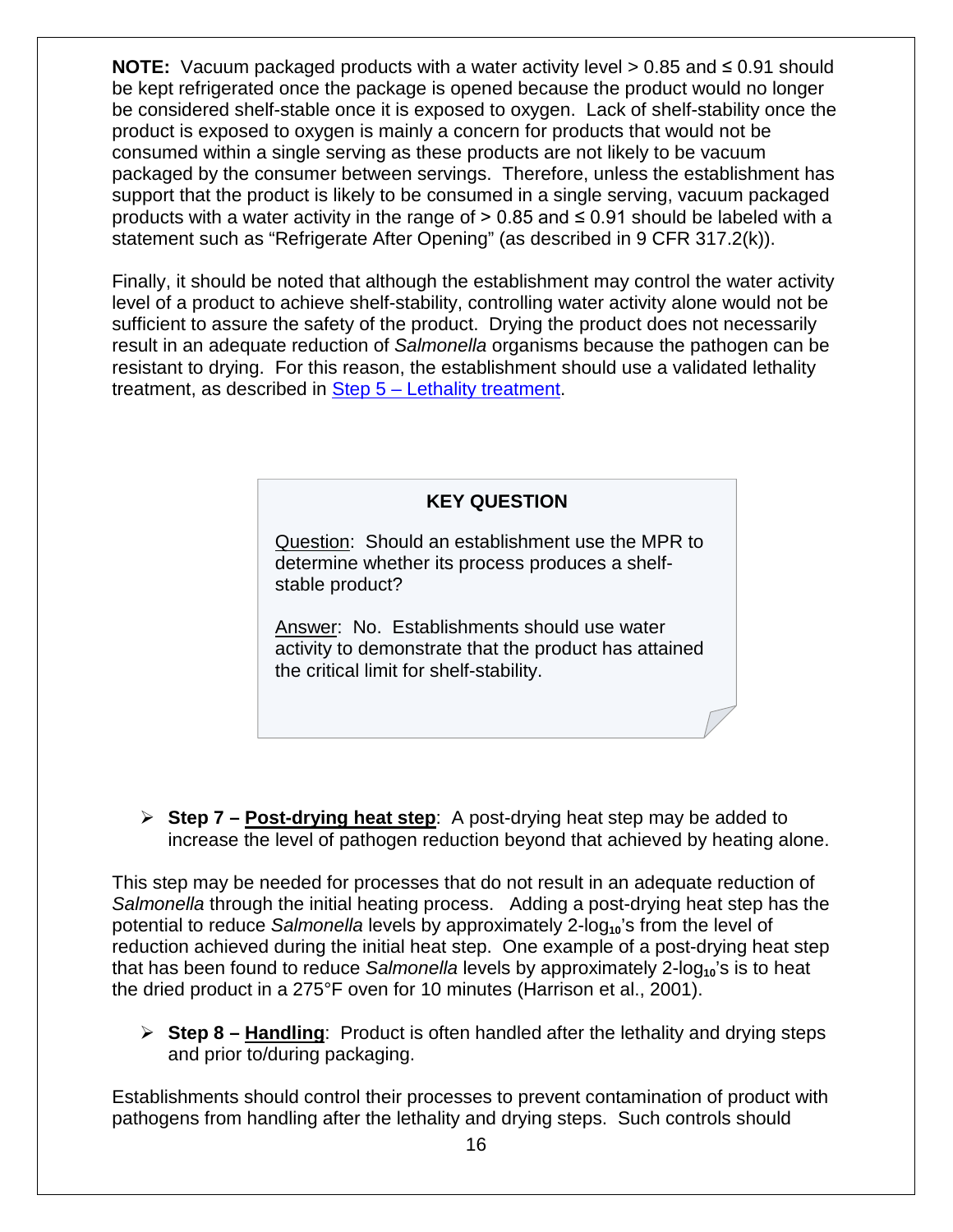**NOTE:** Vacuum packaged products with a water activity level > 0.85 and ≤ 0.91 should be kept refrigerated once the package is opened because the product would no longer be considered shelf-stable once it is exposed to oxygen. Lack of shelf-stability once the product is exposed to oxygen is mainly a concern for products that would not be consumed within a single serving as these products are not likely to be vacuum packaged by the consumer between servings. Therefore, unless the establishment has support that the product is likely to be consumed in a single serving, vacuum packaged products with a water activity in the range of  $> 0.85$  and  $\leq 0.91$  should be labeled with a statement such as "Refrigerate After Opening" (as described in 9 CFR 317.2(k)).

Finally, it should be noted that although the establishment may control the water activity level of a product to achieve shelf-stability, controlling water activity alone would not be sufficient to assure the safety of the product. Drying the product does not necessarily result in an adequate reduction of *Salmonella* organisms because the pathogen can be resistant to drying. For this reason, the establishment should use a validated lethality treatment, as described in Step 5 – [Lethality treatment.](#page-6-0)

#### **KEY QUESTION**

Question: Should an establishment use the MPR to determine whether its process produces a shelfstable product?

Answer: No. Establishments should use water activity to demonstrate that the product has attained the critical limit for shelf-stability.

<span id="page-15-0"></span> **Step 7 – Post-drying heat step**: A post-drying heat step may be added to increase the level of pathogen reduction beyond that achieved by heating alone.

This step may be needed for processes that do not result in an adequate reduction of *Salmonella* through the initial heating process. Adding a post-drying heat step has the potential to reduce *Salmonella* levels by approximately 2-log<sub>10</sub>'s from the level of reduction achieved during the initial heat step. One example of a post-drying heat step that has been found to reduce *Salmonella* levels by approximately 2-log<sub>10</sub>'s is to heat the dried product in a 275°F oven for 10 minutes (Harrison et al., 2001).

<span id="page-15-1"></span> **Step 8 – Handling**: Product is often handled after the lethality and drying steps and prior to/during packaging.

Establishments should control their processes to prevent contamination of product with pathogens from handling after the lethality and drying steps. Such controls should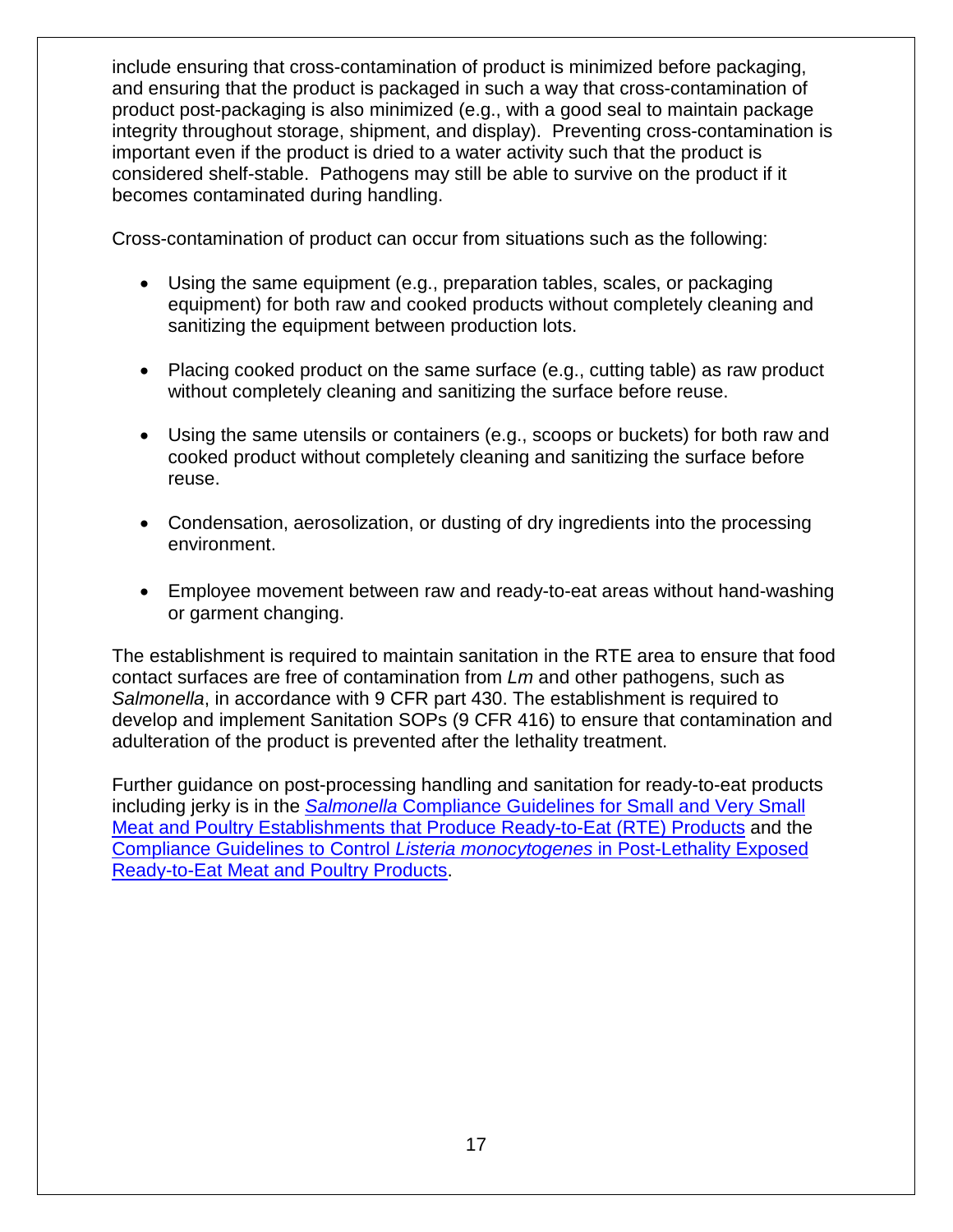include ensuring that cross-contamination of product is minimized before packaging, and ensuring that the product is packaged in such a way that cross-contamination of product post-packaging is also minimized (e.g., with a good seal to maintain package integrity throughout storage, shipment, and display). Preventing cross-contamination is important even if the product is dried to a water activity such that the product is considered shelf-stable. Pathogens may still be able to survive on the product if it becomes contaminated during handling.

Cross-contamination of product can occur from situations such as the following:

- Using the same equipment (e.g., preparation tables, scales, or packaging equipment) for both raw and cooked products without completely cleaning and sanitizing the equipment between production lots.
- Placing cooked product on the same surface (e.g., cutting table) as raw product without completely cleaning and sanitizing the surface before reuse.
- Using the same utensils or containers (e.g., scoops or buckets) for both raw and cooked product without completely cleaning and sanitizing the surface before reuse.
- Condensation, aerosolization, or dusting of dry ingredients into the processing environment.
- Employee movement between raw and ready-to-eat areas without hand-washing or garment changing.

The establishment is required to maintain sanitation in the RTE area to ensure that food contact surfaces are free of contamination from *Lm* and other pathogens, such as *Salmonella*, in accordance with 9 CFR part 430. The establishment is required to develop and implement Sanitation SOPs (9 CFR 416) to ensure that contamination and adulteration of the product is prevented after the lethality treatment.

<span id="page-16-0"></span>Further guidance on post-processing handling and sanitation for ready-to-eat products including jerky is in the *Salmonella* [Compliance Guidelines for Small and Very Small](http://www.fsis.usda.gov/wps/wcm/connect/212e40b3-b59d-43aa-882e-e5431ea7035f/95033F-a.pdf?MOD=AJPERES)  [Meat and Poultry Establishments that Produce Ready-to-Eat \(RTE\) Products](http://www.fsis.usda.gov/wps/wcm/connect/212e40b3-b59d-43aa-882e-e5431ea7035f/95033F-a.pdf?MOD=AJPERES) and the [Compliance Guidelines to Control](http://www.fsis.usda.gov/wps/wcm/connect/d3373299-50e6-47d6-a577-e74a1e549fde/Controlling-Lm-RTE-Guideline.pdf?MOD=AJPERES) *Listeria monocytogenes* in Post-Lethality Exposed [Ready-to-Eat Meat and Poultry Products.](http://www.fsis.usda.gov/wps/wcm/connect/d3373299-50e6-47d6-a577-e74a1e549fde/Controlling-Lm-RTE-Guideline.pdf?MOD=AJPERES)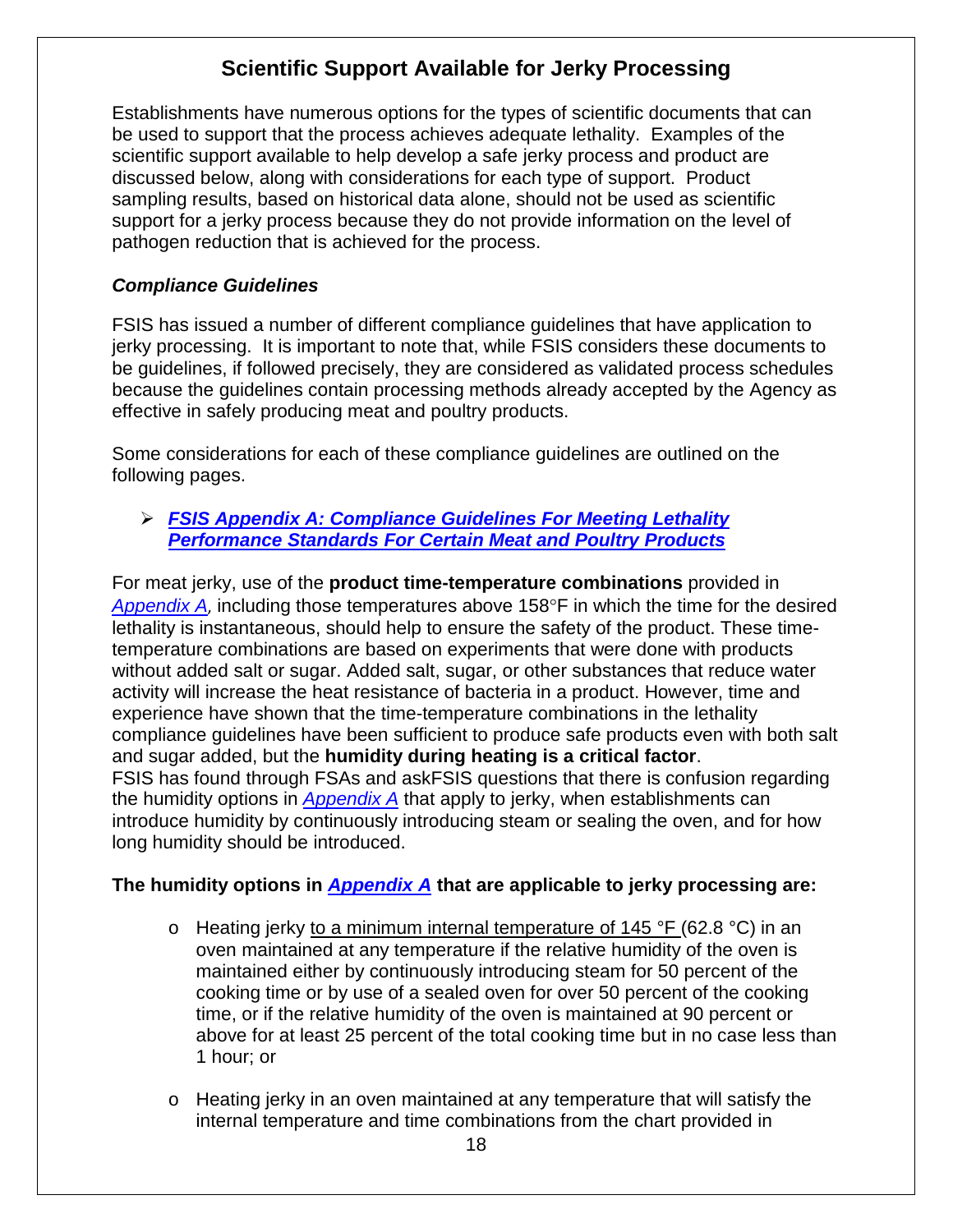## **Scientific Support Available for Jerky Processing**

Establishments have numerous options for the types of scientific documents that can be used to support that the process achieves adequate lethality. Examples of the scientific support available to help develop a safe jerky process and product are discussed below, along with considerations for each type of support. Product sampling results, based on historical data alone, should not be used as scientific support for a jerky process because they do not provide information on the level of pathogen reduction that is achieved for the process.

#### *Compliance Guidelines*

FSIS has issued a number of different compliance guidelines that have application to jerky processing. It is important to note that, while FSIS considers these documents to be guidelines, if followed precisely, they are considered as validated process schedules because the guidelines contain processing methods already accepted by the Agency as effective in safely producing meat and poultry products.

Some considerations for each of these compliance guidelines are outlined on the following pages.

#### *[FSIS Appendix A: Compliance Guidelines For Meeting Lethality](http://www.fsis.usda.gov/wps/wcm/connect/212e40b3-b59d-43aa-882e-e5431ea7035f/95033F-a.pdf?MOD=AJPERES)  [Performance Standards For Certain Meat and Poultry Products](http://www.fsis.usda.gov/wps/wcm/connect/212e40b3-b59d-43aa-882e-e5431ea7035f/95033F-a.pdf?MOD=AJPERES)*

For meat jerky, use of the **product time-temperature combinations** provided in *[Appendix A](http://www.fsis.usda.gov/wps/wcm/connect/212e40b3-b59d-43aa-882e-e5431ea7035f/95033F-a.pdf?MOD=AJPERES)*, including those temperatures above 158°F in which the time for the desired lethality is instantaneous, should help to ensure the safety of the product. These timetemperature combinations are based on experiments that were done with products without added salt or sugar. Added salt, sugar, or other substances that reduce water activity will increase the heat resistance of bacteria in a product. However, time and experience have shown that the time-temperature combinations in the lethality compliance guidelines have been sufficient to produce safe products even with both salt and sugar added, but the **humidity during heating is a critical factor**. FSIS has found through FSAs and askFSIS questions that there is confusion regarding the humidity options in *[Appendix A](http://www.fsis.usda.gov/wps/wcm/connect/212e40b3-b59d-43aa-882e-e5431ea7035f/95033F-a.pdf?MOD=AJPERES)* that apply to jerky, when establishments can introduce humidity by continuously introducing steam or sealing the oven, and for how long humidity should be introduced.

#### **The humidity options in** *[Appendix A](http://www.fsis.usda.gov/wps/wcm/connect/212e40b3-b59d-43aa-882e-e5431ea7035f/95033F-a.pdf?MOD=AJPERES)* **that are applicable to jerky processing are:**

- $\circ$  Heating jerky to a minimum internal temperature of 145 °F (62.8 °C) in an oven maintained at any temperature if the relative humidity of the oven is maintained either by continuously introducing steam for 50 percent of the cooking time or by use of a sealed oven for over 50 percent of the cooking time, or if the relative humidity of the oven is maintained at 90 percent or above for at least 25 percent of the total cooking time but in no case less than 1 hour; or
- o Heating jerky in an oven maintained at any temperature that will satisfy the internal temperature and time combinations from the chart provided in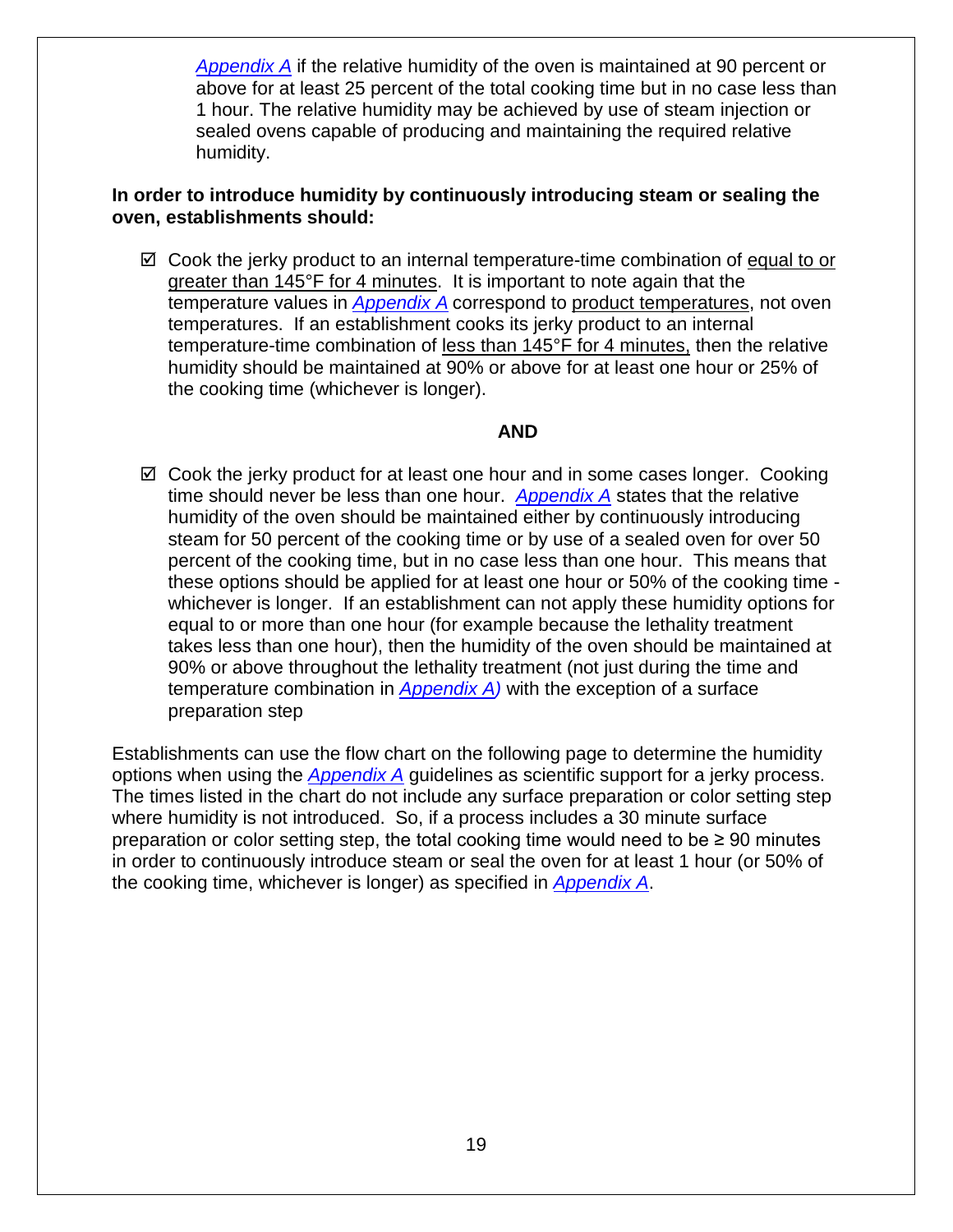*[Appendix A](http://www.fsis.usda.gov/wps/wcm/connect/212e40b3-b59d-43aa-882e-e5431ea7035f/95033F-a.pdf?MOD=AJPERES)* if the relative humidity of the oven is maintained at 90 percent or above for at least 25 percent of the total cooking time but in no case less than 1 hour. The relative humidity may be achieved by use of steam injection or sealed ovens capable of producing and maintaining the required relative humidity.

#### **In order to introduce humidity by continuously introducing steam or sealing the oven, establishments should:**

 $\boxtimes$  Cook the jerky product to an internal temperature-time combination of equal to or greater than 145°F for 4 minutes. It is important to note again that the temperature values in *[Appendix A](http://www.fsis.usda.gov/wps/wcm/connect/212e40b3-b59d-43aa-882e-e5431ea7035f/95033F-a.pdf?MOD=AJPERES)* correspond to product temperatures, not oven temperatures. If an establishment cooks its jerky product to an internal temperature-time combination of less than 145°F for 4 minutes, then the relative humidity should be maintained at 90% or above for at least one hour or 25% of the cooking time (whichever is longer).

#### **AND**

 $\boxtimes$  Cook the jerky product for at least one hour and in some cases longer. Cooking time should never be less than one hour. *[Appendix A](http://www.fsis.usda.gov/wps/wcm/connect/212e40b3-b59d-43aa-882e-e5431ea7035f/95033F-a.pdf?MOD=AJPERES)* states that the relative humidity of the oven should be maintained either by continuously introducing steam for 50 percent of the cooking time or by use of a sealed oven for over 50 percent of the cooking time, but in no case less than one hour. This means that these options should be applied for at least one hour or 50% of the cooking time whichever is longer. If an establishment can not apply these humidity options for equal to or more than one hour (for example because the lethality treatment takes less than one hour), then the humidity of the oven should be maintained at 90% or above throughout the lethality treatment (not just during the time and temperature combination in *[Appendix A\)](http://www.fsis.usda.gov/wps/wcm/connect/212e40b3-b59d-43aa-882e-e5431ea7035f/95033F-a.pdf?MOD=AJPERES)* with the exception of a surface preparation step

Establishments can use the flow chart on the following page to determine the humidity options when using the *[Appendix A](http://www.fsis.usda.gov/wps/wcm/connect/212e40b3-b59d-43aa-882e-e5431ea7035f/95033F-a.pdf?MOD=AJPERES)* guidelines as scientific support for a jerky process. The times listed in the chart do not include any surface preparation or color setting step where humidity is not introduced. So, if a process includes a 30 minute surface preparation or color setting step, the total cooking time would need to be  $\geq 90$  minutes in order to continuously introduce steam or seal the oven for at least 1 hour (or 50% of the cooking time, whichever is longer) as specified in *[Appendix A](http://www.fsis.usda.gov/wps/wcm/connect/212e40b3-b59d-43aa-882e-e5431ea7035f/95033F-a.pdf?MOD=AJPERES)*.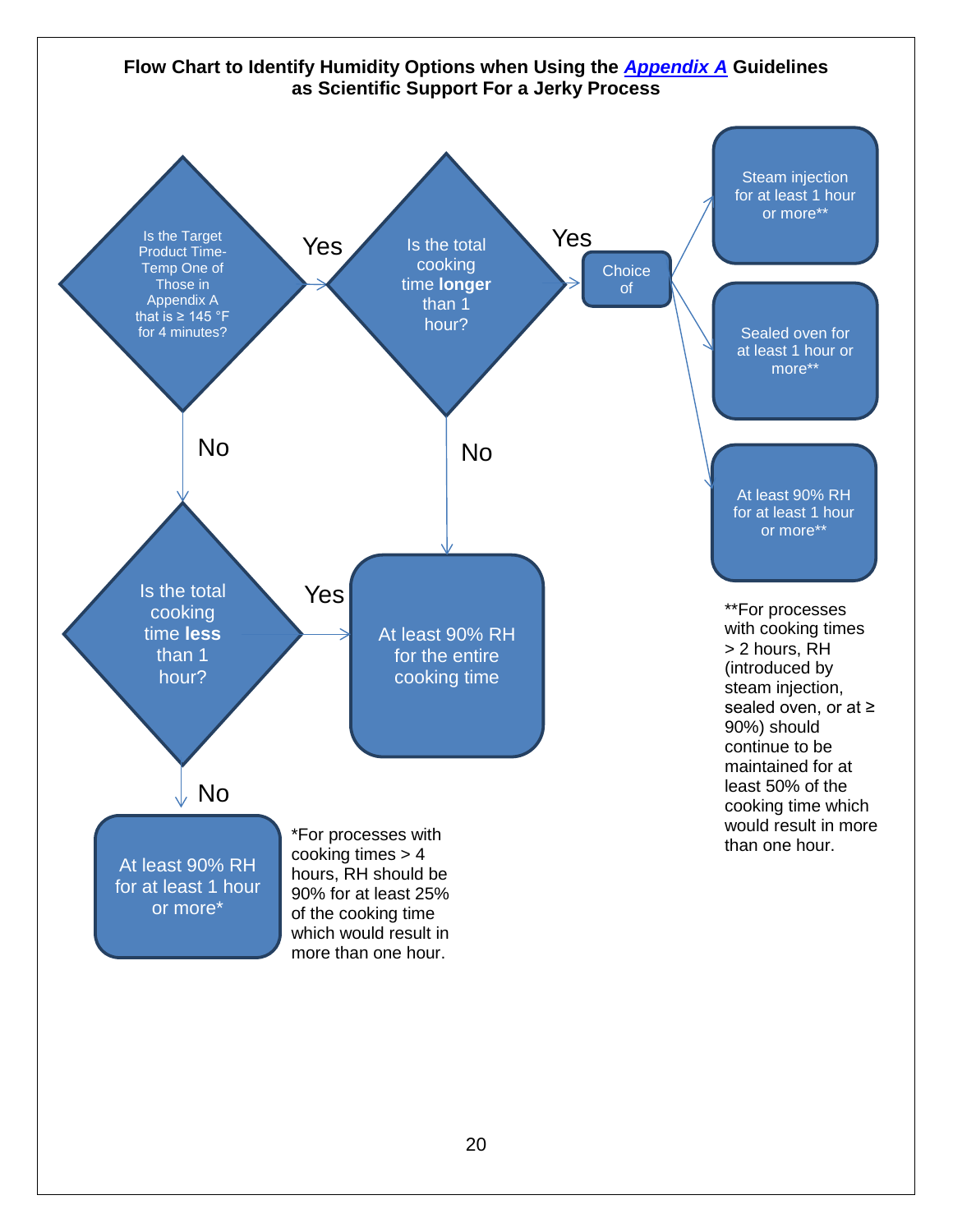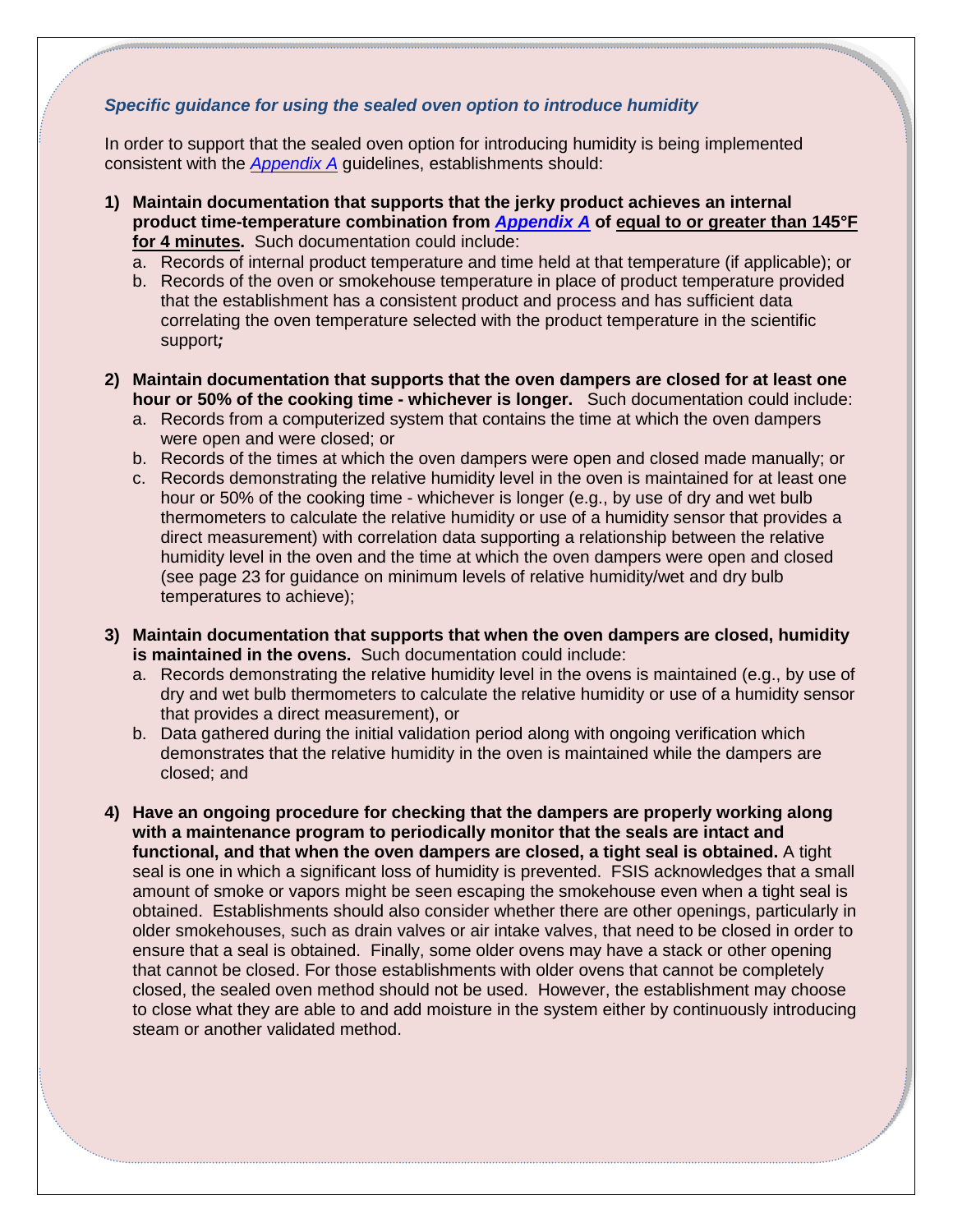#### *Specific guidance for using the sealed oven option to introduce humidity*

In order to support that the sealed oven option for introducing humidity is being implemented consistent with the *[Appendix A](http://www.fsis.usda.gov/wps/wcm/connect/212e40b3-b59d-43aa-882e-e5431ea7035f/95033F-a.pdf?MOD=AJPERES)* guidelines, establishments should:

- **1) Maintain documentation that supports that the jerky product achieves an internal product time-temperature combination from** *[Appendix A](http://www.fsis.usda.gov/wps/wcm/connect/212e40b3-b59d-43aa-882e-e5431ea7035f/95033F-a.pdf?MOD=AJPERES)* **of equal to or greater than 145°F for 4 minutes.** Such documentation could include:
	- a. Records of internal product temperature and time held at that temperature (if applicable); or
	- b. Records of the oven or smokehouse temperature in place of product temperature provided that the establishment has a consistent product and process and has sufficient data correlating the oven temperature selected with the product temperature in the scientific support*;*
- **2) Maintain documentation that supports that the oven dampers are closed for at least one hour or 50% of the cooking time - whichever is longer.** Such documentation could include:
	- a. Records from a computerized system that contains the time at which the oven dampers were open and were closed; or
	- b. Records of the times at which the oven dampers were open and closed made manually; or
	- c. Records demonstrating the relative humidity level in the oven is maintained for at least one hour or 50% of the cooking time - whichever is longer (e.g., by use of dry and wet bulb thermometers to calculate the relative humidity or use of a humidity sensor that provides a direct measurement) with correlation data supporting a relationship between the relative humidity level in the oven and the time at which the oven dampers were open and closed (see page 23 for guidance on minimum levels of relative humidity/wet and dry bulb temperatures to achieve);
- **3) Maintain documentation that supports that when the oven dampers are closed, humidity is maintained in the ovens.** Such documentation could include:
	- a. Records demonstrating the relative humidity level in the ovens is maintained (e.g., by use of dry and wet bulb thermometers to calculate the relative humidity or use of a humidity sensor that provides a direct measurement), or
	- b. Data gathered during the initial validation period along with ongoing verification which demonstrates that the relative humidity in the oven is maintained while the dampers are closed; and
- **4) Have an ongoing procedure for checking that the dampers are properly working along with a maintenance program to periodically monitor that the seals are intact and functional, and that when the oven dampers are closed, a tight seal is obtained.** A tight seal is one in which a significant loss of humidity is prevented. FSIS acknowledges that a small amount of smoke or vapors might be seen escaping the smokehouse even when a tight seal is obtained. Establishments should also consider whether there are other openings, particularly in older smokehouses, such as drain valves or air intake valves, that need to be closed in order to ensure that a seal is obtained. Finally, some older ovens may have a stack or other opening that cannot be closed. For those establishments with older ovens that cannot be completely closed, the sealed oven method should not be used. However, the establishment may choose to close what they are able to and add moisture in the system either by continuously introducing steam or another validated method.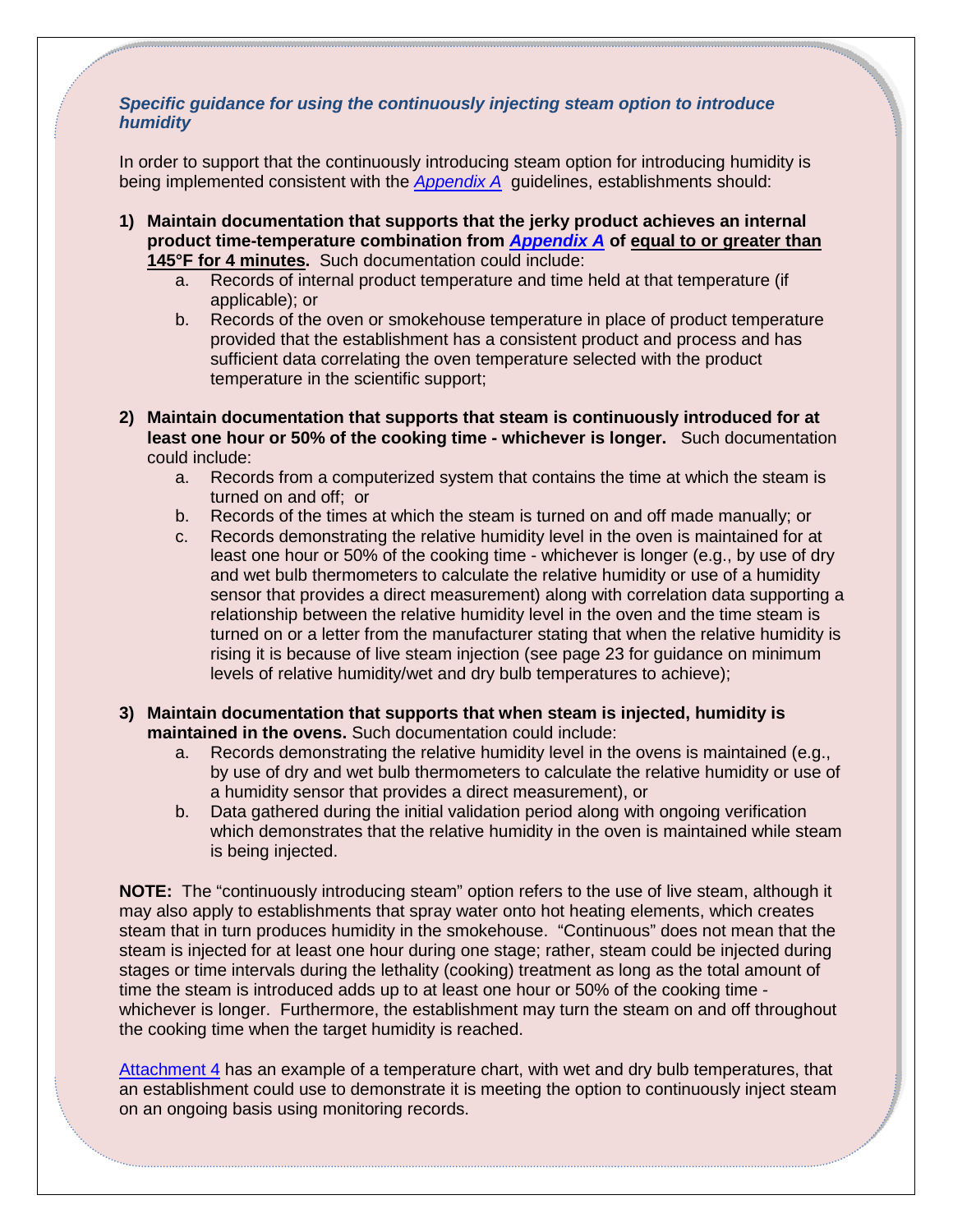#### *Specific guidance for using the continuously injecting steam option to introduce humidity*

In order to support that the continuously introducing steam option for introducing humidity is being implemented consistent with the *[Appendix A](http://www.fsis.usda.gov/wps/wcm/connect/212e40b3-b59d-43aa-882e-e5431ea7035f/95033F-a.pdf?MOD=AJPERES)* guidelines, establishments should:

- **1) Maintain documentation that supports that the jerky product achieves an internal product time-temperature combination from** *[Appendix A](http://www.fsis.usda.gov/wps/wcm/connect/212e40b3-b59d-43aa-882e-e5431ea7035f/95033F-a.pdf?MOD=AJPERES)* **of equal to or greater than 145°F for 4 minutes.** Such documentation could include:
	- a. Records of internal product temperature and time held at that temperature (if applicable); or
	- b. Records of the oven or smokehouse temperature in place of product temperature provided that the establishment has a consistent product and process and has sufficient data correlating the oven temperature selected with the product temperature in the scientific support;
- **2) Maintain documentation that supports that steam is continuously introduced for at least one hour or 50% of the cooking time - whichever is longer.** Such documentation could include:
	- a. Records from a computerized system that contains the time at which the steam is turned on and off; or
	- b. Records of the times at which the steam is turned on and off made manually; or
	- c. Records demonstrating the relative humidity level in the oven is maintained for at least one hour or 50% of the cooking time - whichever is longer (e.g., by use of dry and wet bulb thermometers to calculate the relative humidity or use of a humidity sensor that provides a direct measurement) along with correlation data supporting a relationship between the relative humidity level in the oven and the time steam is turned on or a letter from the manufacturer stating that when the relative humidity is rising it is because of live steam injection (see page 23 for guidance on minimum levels of relative humidity/wet and dry bulb temperatures to achieve);
- **3) Maintain documentation that supports that when steam is injected, humidity is maintained in the ovens.** Such documentation could include:
	- a. Records demonstrating the relative humidity level in the ovens is maintained (e.g., by use of dry and wet bulb thermometers to calculate the relative humidity or use of a humidity sensor that provides a direct measurement), or
	- b. Data gathered during the initial validation period along with ongoing verification which demonstrates that the relative humidity in the oven is maintained while steam is being injected.

**NOTE:** The "continuously introducing steam" option refers to the use of live steam, although it may also apply to establishments that spray water onto hot heating elements, which creates steam that in turn produces humidity in the smokehouse. "Continuous" does not mean that the steam is injected for at least one hour during one stage; rather, steam could be injected during stages or time intervals during the lethality (cooking) treatment as long as the total amount of time the steam is introduced adds up to at least one hour or 50% of the cooking time whichever is longer. Furthermore, the establishment may turn the steam on and off throughout the cooking time when the target humidity is reached.

[Attachment 4](#page-52-0) has an example of a temperature chart, with wet and dry bulb temperatures, that an establishment could use to demonstrate it is meeting the option to continuously inject steam on an ongoing basis using monitoring records.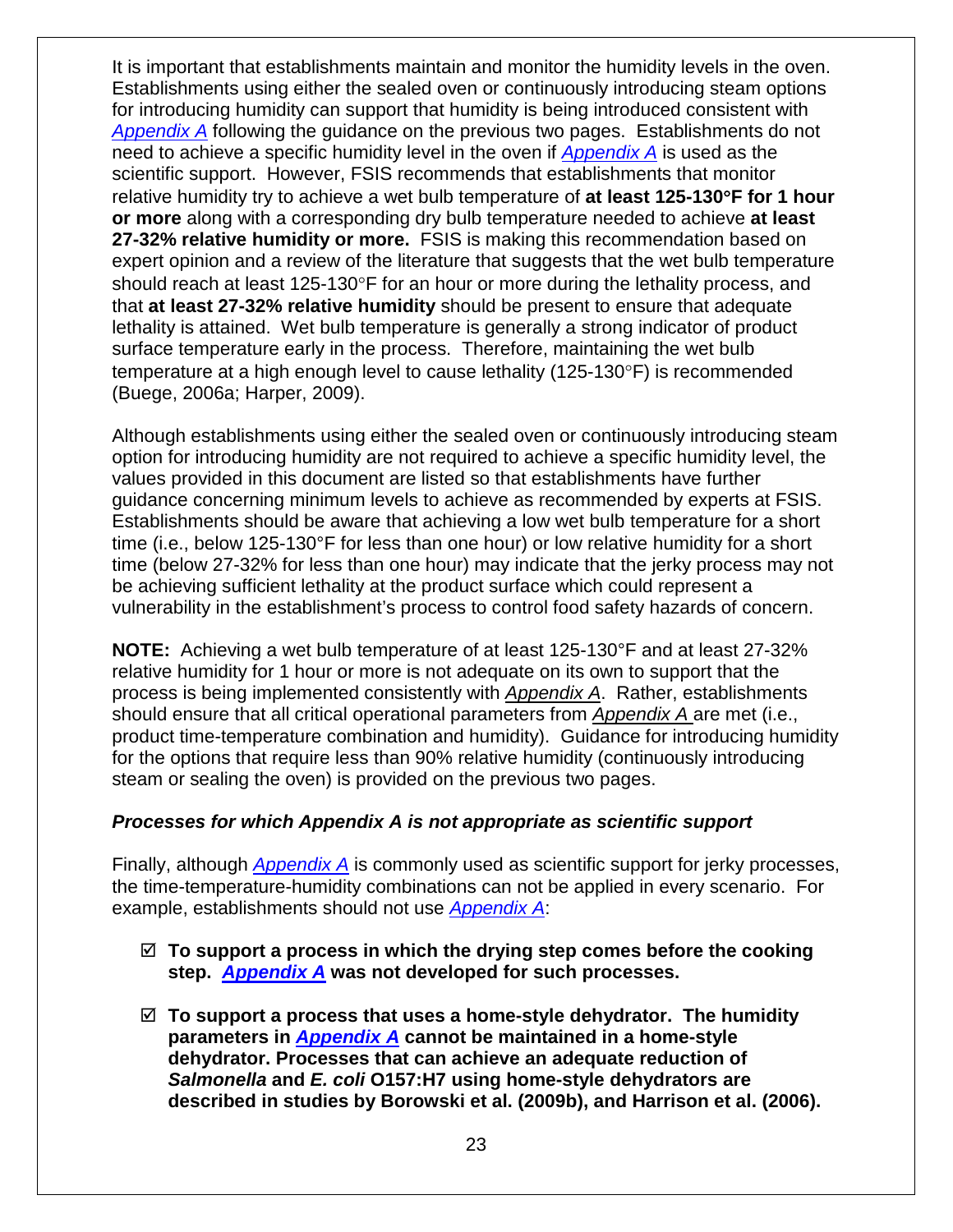It is important that establishments maintain and monitor the humidity levels in the oven. Establishments using either the sealed oven or continuously introducing steam options for introducing humidity can support that humidity is being introduced consistent with *[Appendix A](http://www.fsis.usda.gov/wps/wcm/connect/212e40b3-b59d-43aa-882e-e5431ea7035f/95033F-a.pdf?MOD=AJPERES)* following the guidance on the previous two pages. Establishments do not need to achieve a specific humidity level in the oven if *[Appendix A](http://www.fsis.usda.gov/wps/wcm/connect/212e40b3-b59d-43aa-882e-e5431ea7035f/95033F-a.pdf?MOD=AJPERES)* is used as the scientific support. However, FSIS recommends that establishments that monitor relative humidity try to achieve a wet bulb temperature of **at least 125-130**°**F for 1 hour or more** along with a corresponding dry bulb temperature needed to achieve **at least 27-32% relative humidity or more.** FSIS is making this recommendation based on expert opinion and a review of the literature that suggests that the wet bulb temperature should reach at least 125-130°F for an hour or more during the lethality process, and that **at least 27-32% relative humidity** should be present to ensure that adequate lethality is attained. Wet bulb temperature is generally a strong indicator of product surface temperature early in the process. Therefore, maintaining the wet bulb temperature at a high enough level to cause lethality (125-130°F) is recommended (Buege, 2006a; Harper, 2009).

Although establishments using either the sealed oven or continuously introducing steam option for introducing humidity are not required to achieve a specific humidity level, the values provided in this document are listed so that establishments have further guidance concerning minimum levels to achieve as recommended by experts at FSIS. Establishments should be aware that achieving a low wet bulb temperature for a short time (i.e., below 125-130°F for less than one hour) or low relative humidity for a short time (below 27-32% for less than one hour) may indicate that the jerky process may not be achieving sufficient lethality at the product surface which could represent a vulnerability in the establishment's process to control food safety hazards of concern.

**NOTE:** Achieving a wet bulb temperature of at least 125-130°F and at least 27-32% relative humidity for 1 hour or more is not adequate on its own to support that the process is being implemented consistently with *[Appendix A](http://www.fsis.usda.gov/wps/wcm/connect/212e40b3-b59d-43aa-882e-e5431ea7035f/95033F-a.pdf?MOD=AJPERES)*. Rather, establishments should ensure that all critical operational parameters from *[Appendix A](http://www.fsis.usda.gov/wps/wcm/connect/212e40b3-b59d-43aa-882e-e5431ea7035f/95033F-a.pdf?MOD=AJPERES)* are met (i.e., product time-temperature combination and humidity). Guidance for introducing humidity for the options that require less than 90% relative humidity (continuously introducing steam or sealing the oven) is provided on the previous two pages.

#### *Processes for which Appendix A is not appropriate as scientific support*

Finally, although *[Appendix A](http://www.fsis.usda.gov/wps/wcm/connect/212e40b3-b59d-43aa-882e-e5431ea7035f/95033F-a.pdf?MOD=AJPERES)* is commonly used as scientific support for jerky processes, the time-temperature-humidity combinations can not be applied in every scenario. For example, establishments should not use *[Appendix A](http://www.fsis.usda.gov/wps/wcm/connect/212e40b3-b59d-43aa-882e-e5431ea7035f/95033F-a.pdf?MOD=AJPERES)*:

- **To support a process in which the drying step comes before the cooking step.** *[Appendix A](http://www.fsis.usda.gov/wps/wcm/connect/212e40b3-b59d-43aa-882e-e5431ea7035f/95033F-a.pdf?MOD=AJPERES)* **was not developed for such processes.**
- **To support a process that uses a home-style dehydrator. The humidity parameters in** *[Appendix A](http://www.fsis.usda.gov/wps/wcm/connect/212e40b3-b59d-43aa-882e-e5431ea7035f/95033F-a.pdf?MOD=AJPERES)* **cannot be maintained in a home-style dehydrator. Processes that can achieve an adequate reduction of**  *Salmonella* **and** *E. coli* **O157:H7 using home-style dehydrators are described in studies by Borowski et al. (2009b), and Harrison et al. (2006).**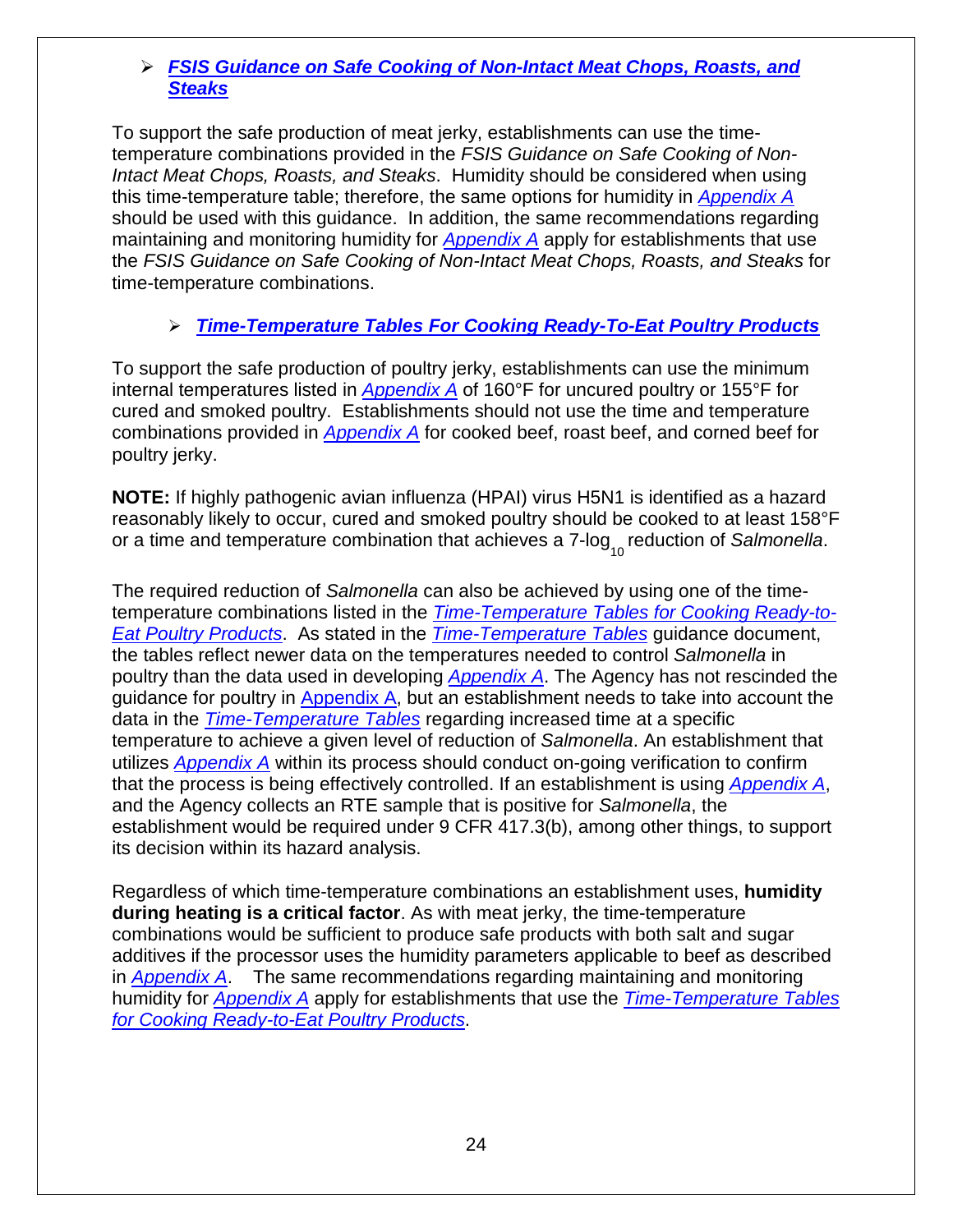#### *[FSIS Guidance on Safe Cooking of Non-Intact Meat Chops, Roasts, and](http://www.fsis.usda.gov/wps/wcm/connect/6d2ee972-3fd1-4186-b1e7-656e7a57beb2/time-temperature-table-042009.pdf?MOD=AJPERES)  [Steaks](http://www.fsis.usda.gov/wps/wcm/connect/6d2ee972-3fd1-4186-b1e7-656e7a57beb2/time-temperature-table-042009.pdf?MOD=AJPERES)*

To support the safe production of meat jerky, establishments can use the timetemperature combinations provided in the *FSIS Guidance on Safe Cooking of Non-Intact Meat Chops, Roasts, and Steaks*. Humidity should be considered when using this time-temperature table; therefore, the same options for humidity in *[Appendix A](http://www.fsis.usda.gov/wps/wcm/connect/212e40b3-b59d-43aa-882e-e5431ea7035f/95033F-a.pdf?MOD=AJPERES)* should be used with this guidance. In addition, the same recommendations regarding maintaining and monitoring humidity for *[Appendix A](http://www.fsis.usda.gov/wps/wcm/connect/212e40b3-b59d-43aa-882e-e5431ea7035f/95033F-a.pdf?MOD=AJPERES)* apply for establishments that use the *FSIS Guidance on Safe Cooking of Non-Intact Meat Chops, Roasts, and Steaks* for time-temperature combinations.

### *[Time-Temperature Tables For Cooking Ready-To-Eat Poultry Products](http://www.fsis.usda.gov/wps/wcm/connect/9ab2e062-7ac8-49b7-aea1-f070048a113a/RTE_Poultry_Tables.pdf?MOD=AJPERES)*

To support the safe production of poultry jerky, establishments can use the minimum internal temperatures listed in *[Appendix A](http://www.fsis.usda.gov/wps/wcm/connect/212e40b3-b59d-43aa-882e-e5431ea7035f/95033F-a.pdf?MOD=AJPERES)* of 160°F for uncured poultry or 155°F for cured and smoked poultry. Establishments should not use the time and temperature combinations provided in *[Appendix A](http://www.fsis.usda.gov/wps/wcm/connect/212e40b3-b59d-43aa-882e-e5431ea7035f/95033F-a.pdf?MOD=AJPERES)* for cooked beef, roast beef, and corned beef for poultry jerky.

**NOTE:** If highly pathogenic avian influenza (HPAI) virus H5N1 is identified as a hazard reasonably likely to occur, cured and smoked poultry should be cooked to at least 158°F or a time and temperature combination that achieves a 7-log<sub>10</sub> reduction of *Salmonella.* 

The required reduction of *Salmonella* can also be achieved by using one of the timetemperature combinations listed in the *[Time-Temperature Tables for Cooking Ready-to-](http://www.fsis.usda.gov/wps/wcm/connect/9ab2e062-7ac8-49b7-aea1-f070048a113a/RTE_Poultry_Tables.pdf?MOD=AJPERES)[Eat Poultry Products](http://www.fsis.usda.gov/wps/wcm/connect/9ab2e062-7ac8-49b7-aea1-f070048a113a/RTE_Poultry_Tables.pdf?MOD=AJPERES)*. As stated in the *[Time-Temperature Tables](http://www.fsis.usda.gov/wps/wcm/connect/9ab2e062-7ac8-49b7-aea1-f070048a113a/RTE_Poultry_Tables.pdf?MOD=AJPERES)* guidance document, the tables reflect newer data on the temperatures needed to control *Salmonella* in poultry than the data used in developing *[Appendix A](http://www.fsis.usda.gov/wps/wcm/connect/212e40b3-b59d-43aa-882e-e5431ea7035f/95033F-a.pdf?MOD=AJPERES)*. The Agency has not rescinded the guidance for poultry in  $\Delta p$  and  $\Delta \Lambda$ , but an establishment needs to take into account the data in the *[Time-Temperature Tables](http://www.fsis.usda.gov/wps/wcm/connect/9ab2e062-7ac8-49b7-aea1-f070048a113a/RTE_Poultry_Tables.pdf?MOD=AJPERES)* regarding increased time at a specific temperature to achieve a given level of reduction of *Salmonella*. An establishment that utilizes *[Appendix A](http://www.fsis.usda.gov/wps/wcm/connect/212e40b3-b59d-43aa-882e-e5431ea7035f/95033F-a.pdf?MOD=AJPERES)* within its process should conduct on-going verification to confirm that the process is being effectively controlled. If an establishment is using *[Appendix A](http://www.fsis.usda.gov/wps/wcm/connect/212e40b3-b59d-43aa-882e-e5431ea7035f/95033F-a.pdf?MOD=AJPERES)*, and the Agency collects an RTE sample that is positive for *Salmonella*, the establishment would be required under 9 CFR 417.3(b), among other things, to support its decision within its hazard analysis.

Regardless of which time-temperature combinations an establishment uses, **humidity during heating is a critical factor**. As with meat jerky, the time-temperature combinations would be sufficient to produce safe products with both salt and sugar additives if the processor uses the humidity parameters applicable to beef as described in *[Appendix A](http://www.fsis.usda.gov/wps/wcm/connect/212e40b3-b59d-43aa-882e-e5431ea7035f/95033F-a.pdf?MOD=AJPERES)*. The same recommendations regarding maintaining and monitoring humidity for *[Appendix A](http://www.fsis.usda.gov/wps/wcm/connect/212e40b3-b59d-43aa-882e-e5431ea7035f/95033F-a.pdf?MOD=AJPERES)* apply for establishments that use the *[Time-Temperature Tables](http://www.fsis.usda.gov/wps/wcm/connect/9ab2e062-7ac8-49b7-aea1-f070048a113a/RTE_Poultry_Tables.pdf?MOD=AJPERES)  [for Cooking Ready-to-Eat Poultry Products](http://www.fsis.usda.gov/wps/wcm/connect/9ab2e062-7ac8-49b7-aea1-f070048a113a/RTE_Poultry_Tables.pdf?MOD=AJPERES)*.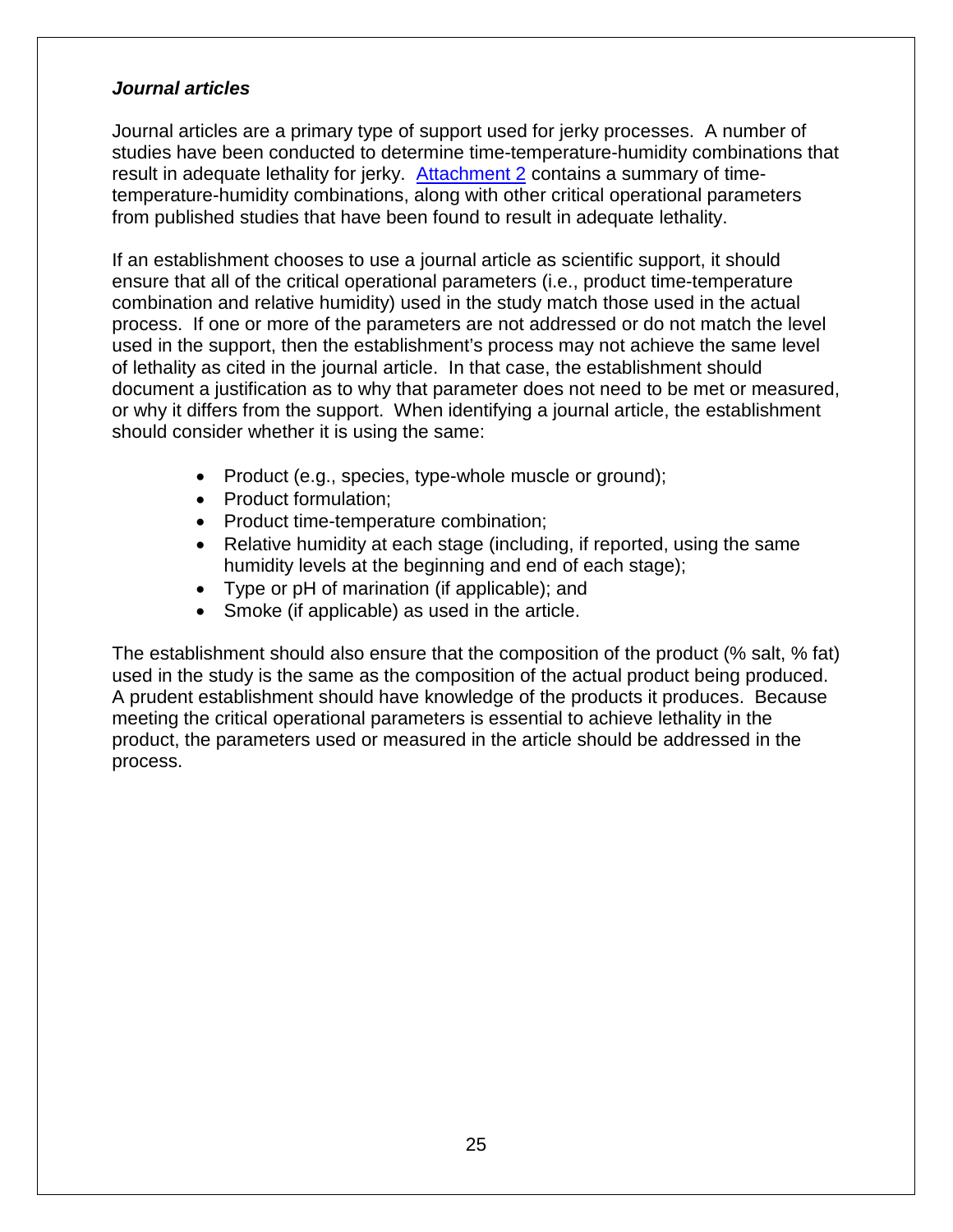#### *Journal articles*

Journal articles are a primary type of support used for jerky processes. A number of studies have been conducted to determine time-temperature-humidity combinations that result in adequate lethality for jerky. [Attachment](#page-39-0) 2 contains a summary of timetemperature-humidity combinations, along with other critical operational parameters from published studies that have been found to result in adequate lethality.

If an establishment chooses to use a journal article as scientific support, it should ensure that all of the critical operational parameters (i.e., product time-temperature combination and relative humidity) used in the study match those used in the actual process. If one or more of the parameters are not addressed or do not match the level used in the support, then the establishment's process may not achieve the same level of lethality as cited in the journal article. In that case, the establishment should document a justification as to why that parameter does not need to be met or measured, or why it differs from the support. When identifying a journal article, the establishment should consider whether it is using the same:

- Product (e.g., species, type-whole muscle or ground);
- Product formulation;
- Product time-temperature combination;
- Relative humidity at each stage (including, if reported, using the same humidity levels at the beginning and end of each stage);
- Type or pH of marination (if applicable); and
- Smoke (if applicable) as used in the article.

The establishment should also ensure that the composition of the product (% salt, % fat) used in the study is the same as the composition of the actual product being produced. A prudent establishment should have knowledge of the products it produces. Because meeting the critical operational parameters is essential to achieve lethality in the product, the parameters used or measured in the article should be addressed in the process.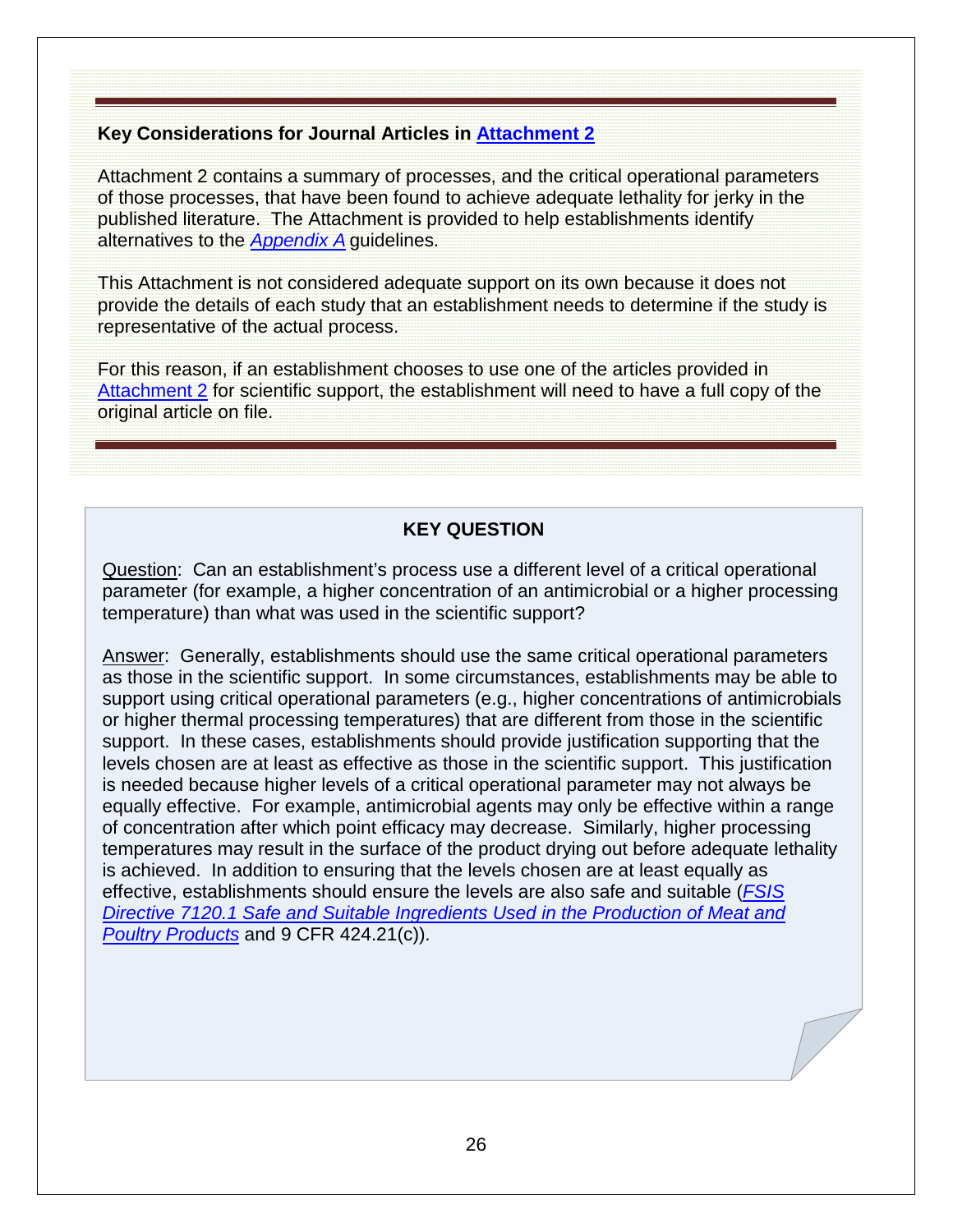#### **Key Considerations for Journal Articles in [Attachment 2](#page-39-0)**

Attachment 2 contains a summary of processes, and the critical operational parameters of those processes, that have been found to achieve adequate lethality for jerky in the published literature. The Attachment is provided to help establishments identify alternatives to the *[Appendix A](http://www.fsis.usda.gov/wps/wcm/connect/212e40b3-b59d-43aa-882e-e5431ea7035f/95033F-a.pdf?MOD=AJPERES)* guidelines.

This Attachment is not considered adequate support on its own because it does not provide the details of each study that an establishment needs to determine if the study is representative of the actual process.

For this reason, if an establishment chooses to use one of the articles provided in [Attachment 2](#page-39-0) for scientific support, the establishment will need to have a full copy of the original article on file.

### **KEY QUESTION**

Question: Can an establishment's process use a different level of a critical operational parameter (for example, a higher concentration of an antimicrobial or a higher processing temperature) than what was used in the scientific support?

Answer: Generally, establishments should use the same critical operational parameters as those in the scientific support. In some circumstances, establishments may be able to support using critical operational parameters (e.g., higher concentrations of antimicrobials or higher thermal processing temperatures) that are different from those in the scientific support. In these cases, establishments should provide justification supporting that the levels chosen are at least as effective as those in the scientific support. This justification is needed because higher levels of a critical operational parameter may not always be equally effective. For example, antimicrobial agents may only be effective within a range of concentration after which point efficacy may decrease. Similarly, higher processing temperatures may result in the surface of the product drying out before adequate lethality is achieved. In addition to ensuring that the levels chosen are at least equally as effective, establishments should ensure the levels are also safe and suitable (*[FSIS](http://www.fsis.usda.gov/wps/wcm/connect/bab10e09-aefa-483b-8be8-809a1f051d4c/7120.1.pdf?MOD=AJPERES)  [Directive 7120.1 Safe and Suitable Ingredients Used in the Production of Meat and](http://www.fsis.usda.gov/wps/wcm/connect/bab10e09-aefa-483b-8be8-809a1f051d4c/7120.1.pdf?MOD=AJPERES)  [Poultry Products](http://www.fsis.usda.gov/wps/wcm/connect/bab10e09-aefa-483b-8be8-809a1f051d4c/7120.1.pdf?MOD=AJPERES)* and 9 CFR 424.21(c)).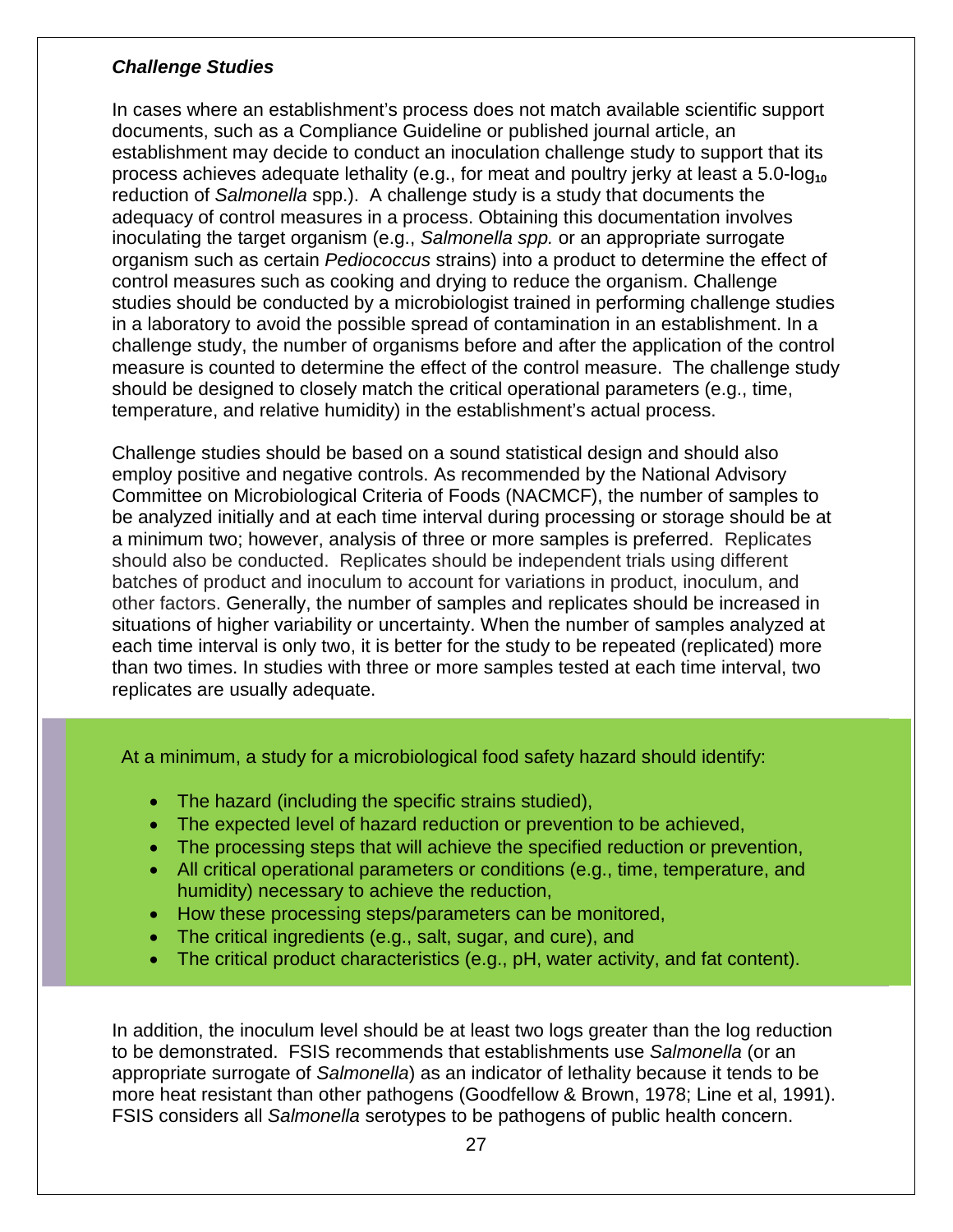#### *Challenge Studies*

In cases where an establishment's process does not match available scientific support documents, such as a Compliance Guideline or published journal article, an establishment may decide to conduct an inoculation challenge study to support that its process achieves adequate lethality (e.g., for meat and poultry jerky at least a 5.0-log<sub>10</sub> reduction of *Salmonella* spp.). A challenge study is a study that documents the adequacy of control measures in a process. Obtaining this documentation involves inoculating the target organism (e.g., *Salmonella spp.* or an appropriate surrogate organism such as certain *Pediococcus* strains) into a product to determine the effect of control measures such as cooking and drying to reduce the organism. Challenge studies should be conducted by a microbiologist trained in performing challenge studies in a laboratory to avoid the possible spread of contamination in an establishment. In a challenge study, the number of organisms before and after the application of the control measure is counted to determine the effect of the control measure. The challenge study should be designed to closely match the critical operational parameters (e.g., time, temperature, and relative humidity) in the establishment's actual process.

Challenge studies should be based on a sound statistical design and should also employ positive and negative controls. As recommended by the National Advisory Committee on Microbiological Criteria of Foods (NACMCF), the number of samples to be analyzed initially and at each time interval during processing or storage should be at a minimum two; however, analysis of three or more samples is preferred. Replicates should also be conducted. Replicates should be independent trials using different batches of product and inoculum to account for variations in product, inoculum, and other factors. Generally, the number of samples and replicates should be increased in situations of higher variability or uncertainty. When the number of samples analyzed at each time interval is only two, it is better for the study to be repeated (replicated) more than two times. In studies with three or more samples tested at each time interval, two replicates are usually adequate.

At a minimum, a study for a microbiological food safety hazard should identify:

- The hazard (including the specific strains studied),
- The expected level of hazard reduction or prevention to be achieved,
- The processing steps that will achieve the specified reduction or prevention,
- All critical operational parameters or conditions (e.g., time, temperature, and humidity) necessary to achieve the reduction,
- How these processing steps/parameters can be monitored,
- The critical ingredients (e.g., salt, sugar, and cure), and
- The critical product characteristics (e.g., pH, water activity, and fat content).

In addition, the inoculum level should be at least two logs greater than the log reduction to be demonstrated. FSIS recommends that establishments use *Salmonella* (or an appropriate surrogate of *Salmonella*) as an indicator of lethality because it tends to be more heat resistant than other pathogens (Goodfellow & Brown, 1978; Line et al, 1991). FSIS considers all *Salmonella* serotypes to be pathogens of public health concern.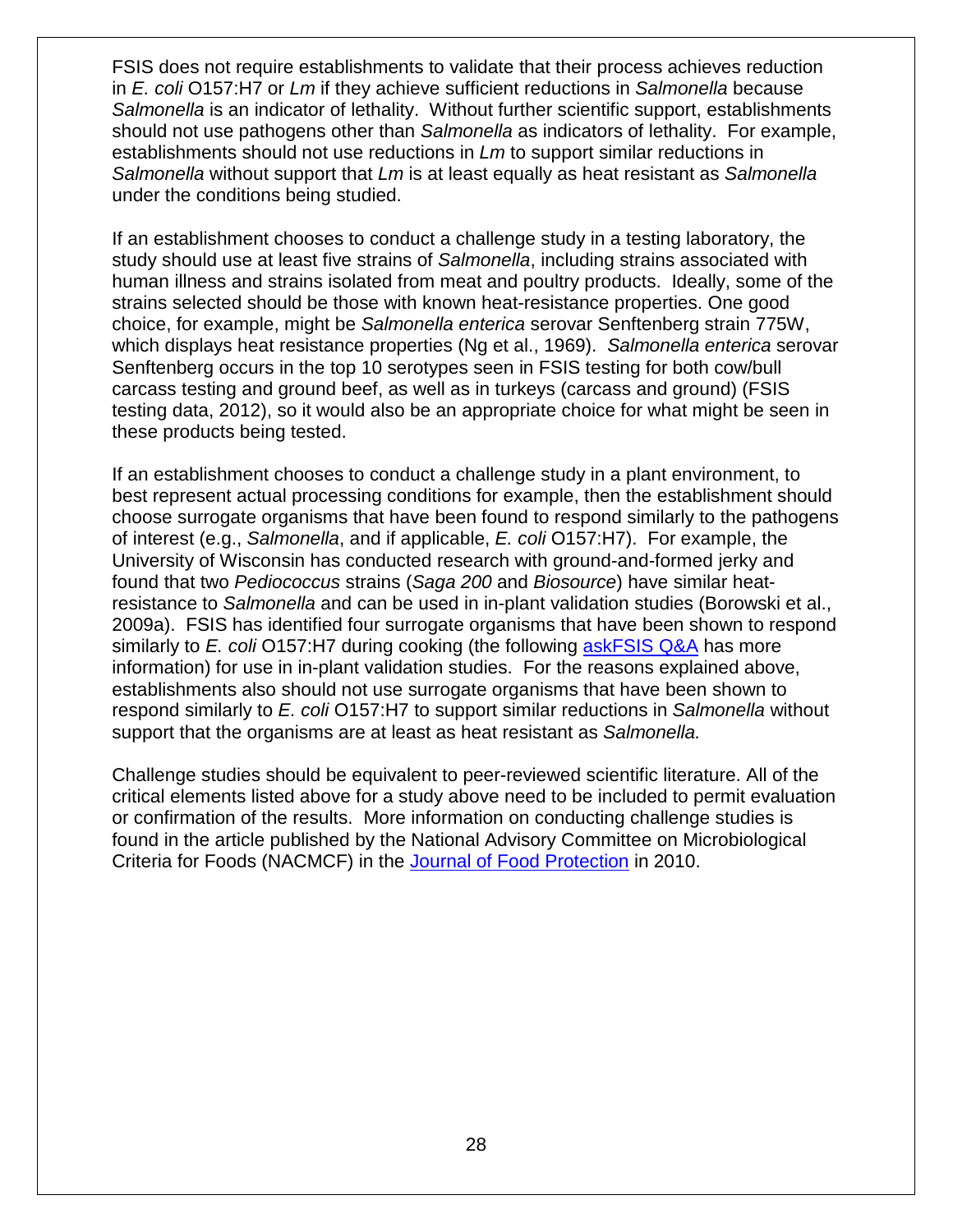FSIS does not require establishments to validate that their process achieves reduction in *E. coli* O157:H7 or *Lm* if they achieve sufficient reductions in *Salmonella* because *Salmonella* is an indicator of lethality. Without further scientific support, establishments should not use pathogens other than *Salmonella* as indicators of lethality. For example, establishments should not use reductions in *Lm* to support similar reductions in *Salmonella* without support that *Lm* is at least equally as heat resistant as *Salmonella* under the conditions being studied.

If an establishment chooses to conduct a challenge study in a testing laboratory, the study should use at least five strains of *Salmonella*, including strains associated with human illness and strains isolated from meat and poultry products. Ideally, some of the strains selected should be those with known heat-resistance properties. One good choice, for example, might be *Salmonella enterica* serovar Senftenberg strain 775W, which displays heat resistance properties (Ng et al., 1969). *Salmonella enterica* serovar Senftenberg occurs in the top 10 serotypes seen in FSIS testing for both cow/bull carcass testing and ground beef, as well as in turkeys (carcass and ground) (FSIS testing data, 2012), so it would also be an appropriate choice for what might be seen in these products being tested.

If an establishment chooses to conduct a challenge study in a plant environment, to best represent actual processing conditions for example, then the establishment should choose surrogate organisms that have been found to respond similarly to the pathogens of interest (e.g., *Salmonella*, and if applicable, *E. coli* O157:H7). For example, the University of Wisconsin has conducted research with ground-and-formed jerky and found that two *Pediococcus* strains (*Saga 200* and *Biosource*) have similar heatresistance to *Salmonella* and can be used in in-plant validation studies (Borowski et al., 2009a). FSIS has identified four surrogate organisms that have been shown to respond similarly to *E. coli* O157:H7 during cooking (the following [askFSIS Q&A](http://askfsis.custhelp.com/app/answers/detail/a_id/1392/kw/surrogate/session/L3RpbWUvMTMyNzUyMTY0Ni9zaWQvVFR6c3cyUGs%3D) has more information) for use in in-plant validation studies. For the reasons explained above, establishments also should not use surrogate organisms that have been shown to respond similarly to *E. coli* O157:H7 to support similar reductions in *Salmonella* without support that the organisms are at least as heat resistant as *Salmonella.*

<span id="page-27-0"></span>Challenge studies should be equivalent to peer-reviewed scientific literature. All of the critical elements listed above for a study above need to be included to permit evaluation or confirmation of the results. More information on conducting challenge studies is found in the article published by the National Advisory Committee on Microbiological Criteria for Foods (NACMCF) in the [Journal of Food Protection](http://www.fsis.usda.gov/wps/wcm/connect/a7f8aa06-d2ac-40bf-bd7f-11c5a59b6c6a/NACMCF_JFP_Inoculated_Pack.pdf?MOD=AJPERES) in 2010.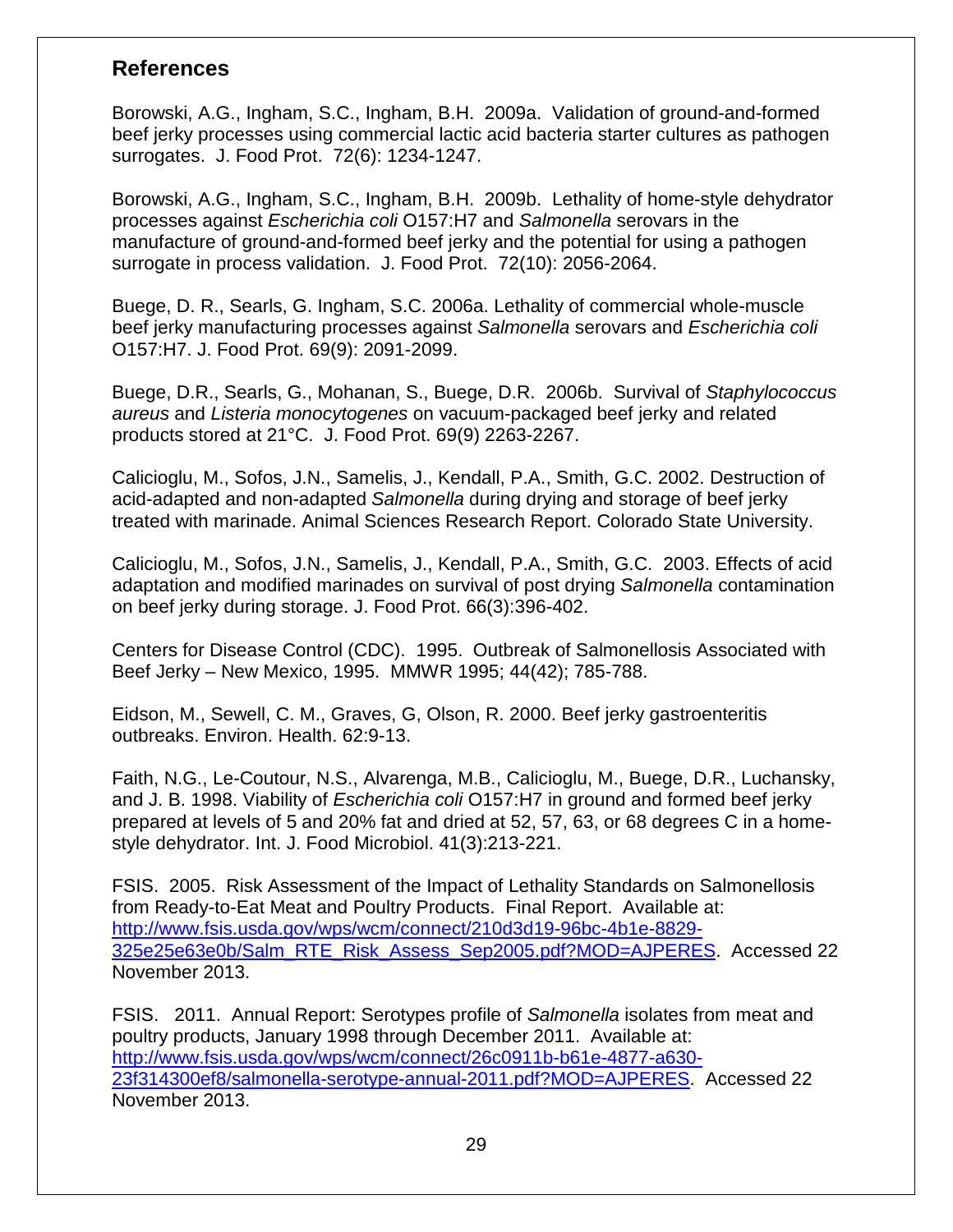### **References**

Borowski, A.G., Ingham, S.C., Ingham, B.H. 2009a. Validation of ground-and-formed beef jerky processes using commercial lactic acid bacteria starter cultures as pathogen surrogates. J. Food Prot. 72(6): 1234-1247.

Borowski, A.G., Ingham, S.C., Ingham, B.H. 2009b. Lethality of home-style dehydrator processes against *Escherichia coli* O157:H7 and *Salmonella* serovars in the manufacture of ground-and-formed beef jerky and the potential for using a pathogen surrogate in process validation. J. Food Prot. 72(10): 2056-2064.

Buege, D. R., Searls, G. Ingham, S.C. 2006a. Lethality of commercial whole-muscle beef jerky manufacturing processes against *Salmonella* serovars and *Escherichia coli*  O157:H7. J. Food Prot. 69(9): 2091-2099.

Buege, D.R., Searls, G., Mohanan, S., Buege, D.R. 2006b. Survival of *Staphylococcus aureus* and *Listeria monocytogenes* on vacuum-packaged beef jerky and related products stored at 21°C. J. Food Prot. 69(9) 2263-2267.

Calicioglu, M., Sofos, J.N., Samelis, J., Kendall, P.A., Smith, G.C. 2002. Destruction of acid-adapted and non-adapted *Salmonella* during drying and storage of beef jerky treated with marinade. Animal Sciences Research Report. Colorado State University.

Calicioglu, M., Sofos, J.N., Samelis, J., Kendall, P.A., Smith, G.C. 2003. Effects of acid adaptation and modified marinades on survival of post drying *Salmonella* contamination on beef jerky during storage. J. Food Prot. 66(3):396-402.

Centers for Disease Control (CDC). 1995. Outbreak of Salmonellosis Associated with Beef Jerky – New Mexico, 1995. MMWR 1995; 44(42); 785-788.

Eidson, M., Sewell, C. M., Graves, G, Olson, R. 2000. Beef jerky gastroenteritis outbreaks. Environ. Health. 62:9-13.

Faith, N.G., Le-Coutour, N.S., Alvarenga, M.B., Calicioglu, M., Buege, D.R., Luchansky, and J. B. 1998. Viability of *Escherichia coli* O157:H7 in ground and formed beef jerky prepared at levels of 5 and 20% fat and dried at 52, 57, 63, or 68 degrees C in a homestyle dehydrator. Int. J. Food Microbiol. 41(3):213-221.

FSIS. 2005. Risk Assessment of the Impact of Lethality Standards on Salmonellosis from Ready-to-Eat Meat and Poultry Products. Final Report. Available at: [http://www.fsis.usda.gov/wps/wcm/connect/210d3d19-96bc-4b1e-8829-](http://www.fsis.usda.gov/wps/wcm/connect/210d3d19-96bc-4b1e-8829-325e25e63e0b/Salm_RTE_Risk_Assess_Sep2005.pdf?MOD=AJPERES) [325e25e63e0b/Salm\\_RTE\\_Risk\\_Assess\\_Sep2005.pdf?MOD=AJPERES.](http://www.fsis.usda.gov/wps/wcm/connect/210d3d19-96bc-4b1e-8829-325e25e63e0b/Salm_RTE_Risk_Assess_Sep2005.pdf?MOD=AJPERES) Accessed 22 November 2013.

FSIS. 2011. Annual Report: Serotypes profile of *Salmonella* isolates from meat and poultry products, January 1998 through December 2011. Available at: [http://www.fsis.usda.gov/wps/wcm/connect/26c0911b-b61e-4877-a630-](http://www.fsis.usda.gov/wps/wcm/connect/26c0911b-b61e-4877-a630-23f314300ef8/salmonella-serotype-annual-2011.pdf?MOD=AJPERES) [23f314300ef8/salmonella-serotype-annual-2011.pdf?MOD=AJPERES.](http://www.fsis.usda.gov/wps/wcm/connect/26c0911b-b61e-4877-a630-23f314300ef8/salmonella-serotype-annual-2011.pdf?MOD=AJPERES) Accessed 22 November 2013.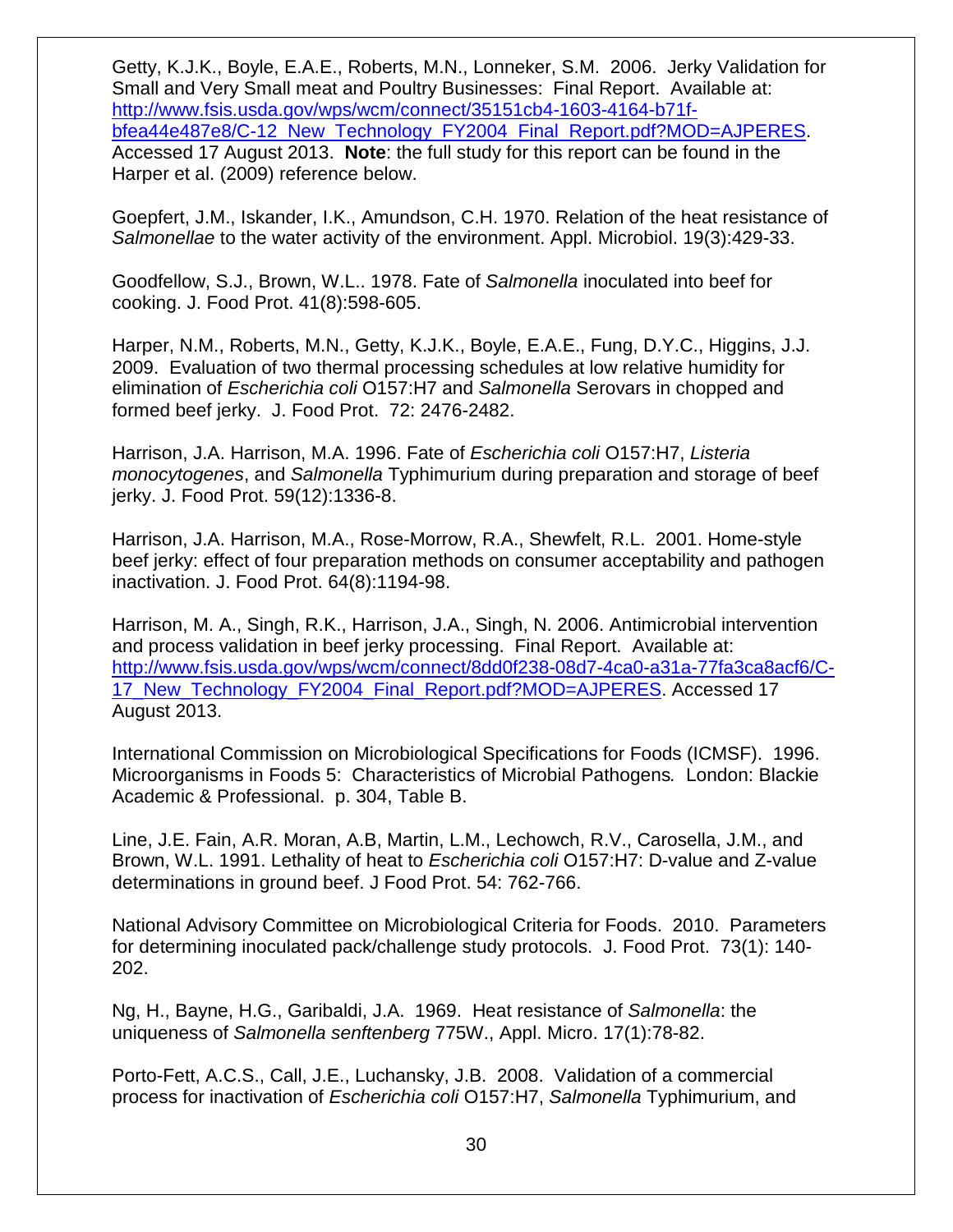Getty, K.J.K., Boyle, E.A.E., Roberts, M.N., Lonneker, S.M. 2006. Jerky Validation for Small and Very Small meat and Poultry Businesses: Final Report. Available at: [http://www.fsis.usda.gov/wps/wcm/connect/35151cb4-1603-4164-b71f](http://www.fsis.usda.gov/wps/wcm/connect/35151cb4-1603-4164-b71f-bfea44e487e8/C-12_New_Technology_FY2004_Final_Report.pdf?MOD=AJPERES&CACHEID=dd1fdb52-87f9-4eba-9752-83f4e0e946ed)[bfea44e487e8/C-12\\_New\\_Technology\\_FY2004\\_Final\\_Report.pdf?MOD=AJPERES.](http://www.fsis.usda.gov/wps/wcm/connect/35151cb4-1603-4164-b71f-bfea44e487e8/C-12_New_Technology_FY2004_Final_Report.pdf?MOD=AJPERES&CACHEID=dd1fdb52-87f9-4eba-9752-83f4e0e946ed) Accessed 17 August 2013. **Note**: the full study for this report can be found in the Harper et al. (2009) reference below.

Goepfert, J.M., Iskander, I.K., Amundson, C.H. 1970. Relation of the heat resistance of *Salmonellae* to the water activity of the environment. Appl. Microbiol. 19(3):429-33.

Goodfellow, S.J., Brown, W.L.. 1978. Fate of *Salmonella* inoculated into beef for cooking. J. Food Prot. 41(8):598-605.

Harper, N.M., Roberts, M.N., Getty, K.J.K., Boyle, E.A.E., Fung, D.Y.C., Higgins, J.J. 2009. Evaluation of two thermal processing schedules at low relative humidity for elimination of *Escherichia coli* O157:H7 and *Salmonella* Serovars in chopped and formed beef jerky. J. Food Prot. 72: 2476-2482.

Harrison, J.A. Harrison, M.A. 1996. Fate of *Escherichia coli* O157:H7, *Listeria monocytogenes*, and *Salmonella* Typhimurium during preparation and storage of beef jerky. J. Food Prot. 59(12):1336-8.

Harrison, J.A. Harrison, M.A., Rose-Morrow, R.A., Shewfelt, R.L. 2001. Home-style beef jerky: effect of four preparation methods on consumer acceptability and pathogen inactivation. J. Food Prot. 64(8):1194-98.

Harrison, M. A., Singh, R.K., Harrison, J.A., Singh, N. 2006. Antimicrobial intervention and process validation in beef jerky processing. Final Report. Available at: [http://www.fsis.usda.gov/wps/wcm/connect/8dd0f238-08d7-4ca0-a31a-77fa3ca8acf6/C-](http://www.fsis.usda.gov/wps/wcm/connect/8dd0f238-08d7-4ca0-a31a-77fa3ca8acf6/C-17_New_Technology_FY2004_Final_Report.pdf?MOD=AJPERES&CACHEID=be40c305-17fa-48c1-9d16-8b9f789b4932)[17\\_New\\_Technology\\_FY2004\\_Final\\_Report.pdf?MOD=AJPERES.](http://www.fsis.usda.gov/wps/wcm/connect/8dd0f238-08d7-4ca0-a31a-77fa3ca8acf6/C-17_New_Technology_FY2004_Final_Report.pdf?MOD=AJPERES&CACHEID=be40c305-17fa-48c1-9d16-8b9f789b4932) Accessed 17 August 2013.

International Commission on Microbiological Specifications for Foods (ICMSF). 1996. Microorganisms in Foods 5: Characteristics of Microbial Pathogens*.* London: Blackie Academic & Professional. p. 304, Table B.

Line, J.E. Fain, A.R. Moran, A.B, Martin, L.M., Lechowch, R.V., Carosella, J.M., and Brown, W.L. 1991. Lethality of heat to *Escherichia coli* O157:H7: D-value and Z-value determinations in ground beef. J Food Prot. 54: 762-766.

National Advisory Committee on Microbiological Criteria for Foods. 2010. Parameters for determining inoculated pack/challenge study protocols. J. Food Prot. 73(1): 140- 202.

Ng, H., Bayne, H.G., Garibaldi, J.A. 1969. Heat resistance of *Salmonella*: the uniqueness of *Salmonella senftenberg* 775W., Appl. Micro. 17(1):78-82.

Porto-Fett, A.C.S., Call, J.E., Luchansky, J.B. 2008. Validation of a commercial process for inactivation of *Escherichia coli* O157:H7, *Salmonella* Typhimurium, and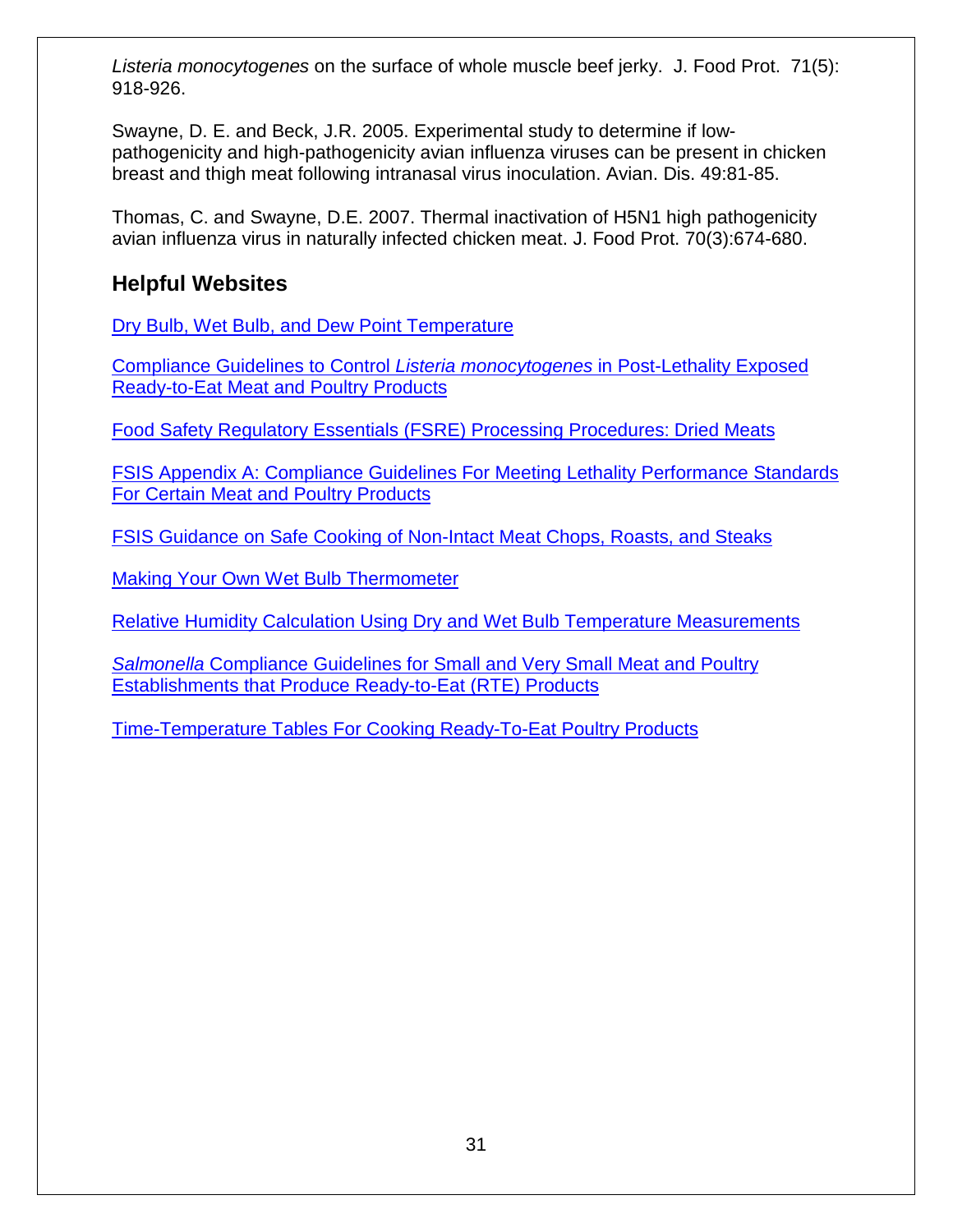*Listeria monocytogenes* on the surface of whole muscle beef jerky. J. Food Prot. 71(5): 918-926.

Swayne, D. E. and Beck, J.R. 2005. Experimental study to determine if lowpathogenicity and high-pathogenicity avian influenza viruses can be present in chicken breast and thigh meat following intranasal virus inoculation. Avian. Dis. 49:81-85.

Thomas, C. and Swayne, D.E. 2007. Thermal inactivation of H5N1 high pathogenicity avian influenza virus in naturally infected chicken meat. J. Food Prot. 70(3):674-680.

## <span id="page-30-0"></span>**Helpful Websites**

[Dry Bulb, Wet Bulb, and Dew Point Temperature](http://www.engineeringtoolbox.com/dry-wet-bulb-dew-point-air-d_682.html)

[Compliance Guidelines to Control](http://www.fsis.usda.gov/wps/wcm/connect/d3373299-50e6-47d6-a577-e74a1e549fde/Controlling_LM_RTE_guideline_0912.pdf?MOD=AJPERES) *Listeria monocytogenes* in Post-Lethality Exposed [Ready-to-Eat Meat and Poultry Products](http://www.fsis.usda.gov/wps/wcm/connect/d3373299-50e6-47d6-a577-e74a1e549fde/Controlling_LM_RTE_guideline_0912.pdf?MOD=AJPERES)

[Food Safety Regulatory Essentials \(FSRE\) Processing Procedures: Dried Meats](http://www.fsis.usda.gov/wps/wcm/connect/db1bf7f1-218a-4b20-a6e6-f2797542df9b/FSRE_SS_6DriedMeatsProcessing.pdf?MOD=AJPERES)

FSIS Appendix A: Compliance [Guidelines For Meeting Lethality Performance Standards](http://www.fsis.usda.gov/wps/wcm/connect/212e40b3-b59d-43aa-882e-e5431ea7035f/95033F-a.pdf?MOD=AJPERES)  [For Certain Meat and Poultry Products](http://www.fsis.usda.gov/wps/wcm/connect/212e40b3-b59d-43aa-882e-e5431ea7035f/95033F-a.pdf?MOD=AJPERES)

FSIS Guidance on Safe Cooking of Non-Intact Meat [Chops, Roasts, and Steaks](http://www.fsis.usda.gov/wps/wcm/connect/6d2ee972-3fd1-4186-b1e7-656e7a57beb2/time-temperature-table-042009.pdf?MOD=AJPERES)

[Making Your Own Wet Bulb Thermometer](http://www.meathaccp.wisc.edu/assets/Wet_Bulb.pdf)

Relative [Humidity Calculation Using Dry and Wet Bulb Temperature Measurements](http://home.fuse.net/clymer/water/wet.html)

*Salmonella* [Compliance Guidelines for Small and Very Small Meat and Poultry](http://www.fsis.usda.gov/wps/wcm/connect/2ed353b4-7a3a-4f31-80d8-20262c1950c8/Salmonella_Comp_Guide_091912.pdf?MOD=AJPERES)  [Establishments that Produce Ready-to-Eat \(RTE\) Products](http://www.fsis.usda.gov/wps/wcm/connect/2ed353b4-7a3a-4f31-80d8-20262c1950c8/Salmonella_Comp_Guide_091912.pdf?MOD=AJPERES)

[Time-Temperature Tables For Cooking Ready-To-Eat Poultry Products](http://www.fsis.usda.gov/wps/wcm/connect/9ab2e062-7ac8-49b7-aea1-f070048a113a/RTE_Poultry_Tables.pdf?MOD=AJPERES)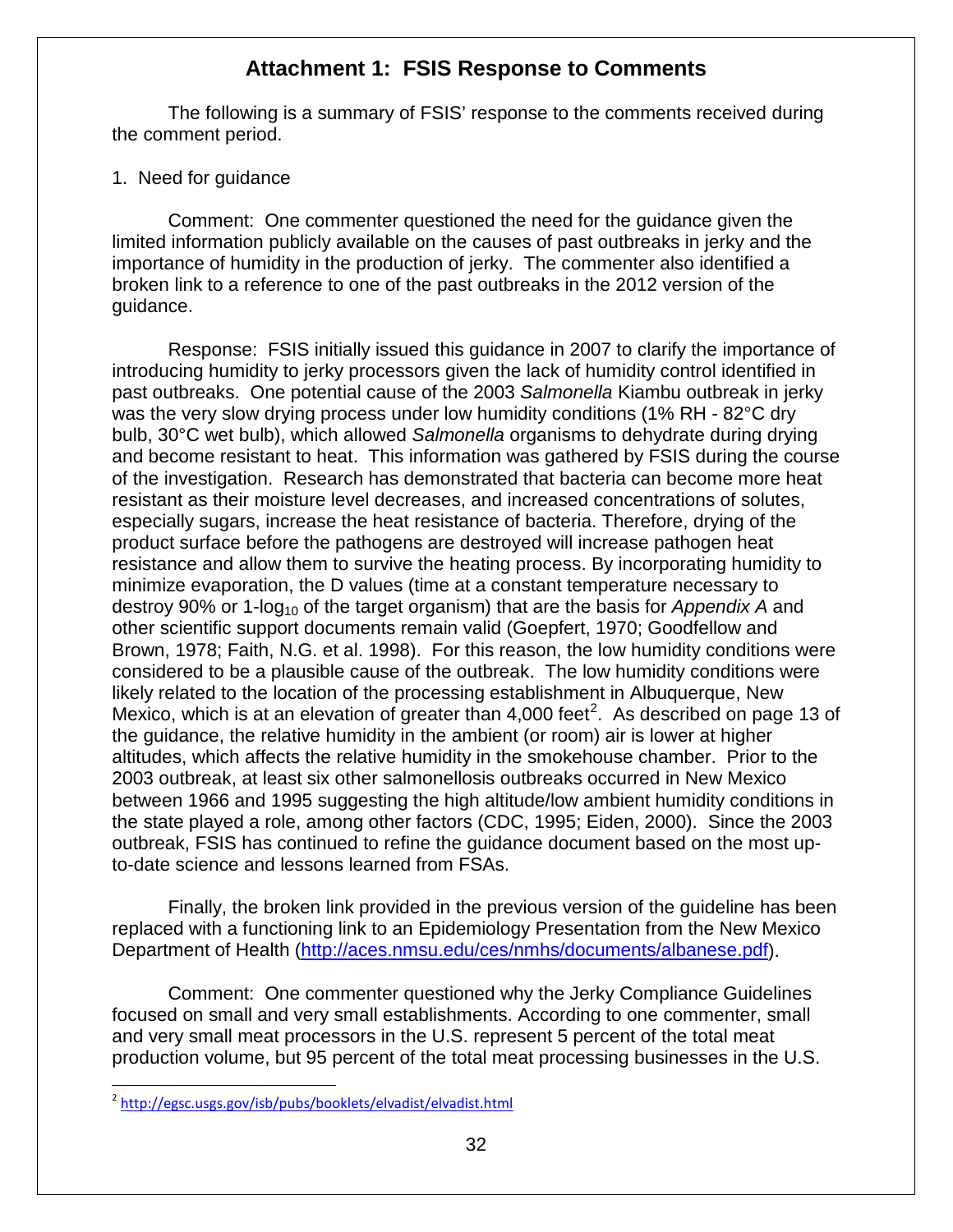### **Attachment 1: FSIS Response to Comments**

<span id="page-31-0"></span>The following is a summary of FSIS' response to the comments received during the comment period.

#### 1. Need for guidance

Comment: One commenter questioned the need for the guidance given the limited information publicly available on the causes of past outbreaks in jerky and the importance of humidity in the production of jerky. The commenter also identified a broken link to a reference to one of the past outbreaks in the 2012 version of the guidance.

Response: FSIS initially issued this guidance in 2007 to clarify the importance of introducing humidity to jerky processors given the lack of humidity control identified in past outbreaks. One potential cause of the 2003 *Salmonella* Kiambu outbreak in jerky was the very slow drying process under low humidity conditions (1% RH - 82°C dry bulb, 30°C wet bulb), which allowed *Salmonella* organisms to dehydrate during drying and become resistant to heat. This information was gathered by FSIS during the course of the investigation. Research has demonstrated that bacteria can become more heat resistant as their moisture level decreases, and increased concentrations of solutes, especially sugars, increase the heat resistance of bacteria. Therefore, drying of the product surface before the pathogens are destroyed will increase pathogen heat resistance and allow them to survive the heating process. By incorporating humidity to minimize evaporation, the D values (time at a constant temperature necessary to destroy 90% or 1-log<sub>10</sub> of the target organism) that are the basis for *Appendix A* and other scientific support documents remain valid (Goepfert, 1970; Goodfellow and Brown, 1978; Faith, N.G. et al. 1998). For this reason, the low humidity conditions were considered to be a plausible cause of the outbreak. The low humidity conditions were likely related to the location of the processing establishment in Albuquerque, New Mexico, which is at an elevation of greater than  $4,000$  feet<sup>[2](#page-31-1)</sup>. As described on page 13 of the guidance, the relative humidity in the ambient (or room) air is lower at higher altitudes, which affects the relative humidity in the smokehouse chamber. Prior to the 2003 outbreak, at least six other salmonellosis outbreaks occurred in New Mexico between 1966 and 1995 suggesting the high altitude/low ambient humidity conditions in the state played a role, among other factors (CDC, 1995; Eiden, 2000). Since the 2003 outbreak, FSIS has continued to refine the guidance document based on the most upto-date science and lessons learned from FSAs.

Finally, the broken link provided in the previous version of the guideline has been replaced with a functioning link to an Epidemiology Presentation from the New Mexico Department of Health [\(http://aces.nmsu.edu/ces/nmhs/documents/albanese.pdf\)](http://aces.nmsu.edu/ces/nmhs/documents/albanese.pdf).

Comment: One commenter questioned why the Jerky Compliance Guidelines focused on small and very small establishments. According to one commenter, small and very small meat processors in the U.S. represent 5 percent of the total meat production volume, but 95 percent of the total meat processing businesses in the U.S.

<span id="page-31-1"></span><sup>&</sup>lt;sup>2</sup> <http://egsc.usgs.gov/isb/pubs/booklets/elvadist/elvadist.html>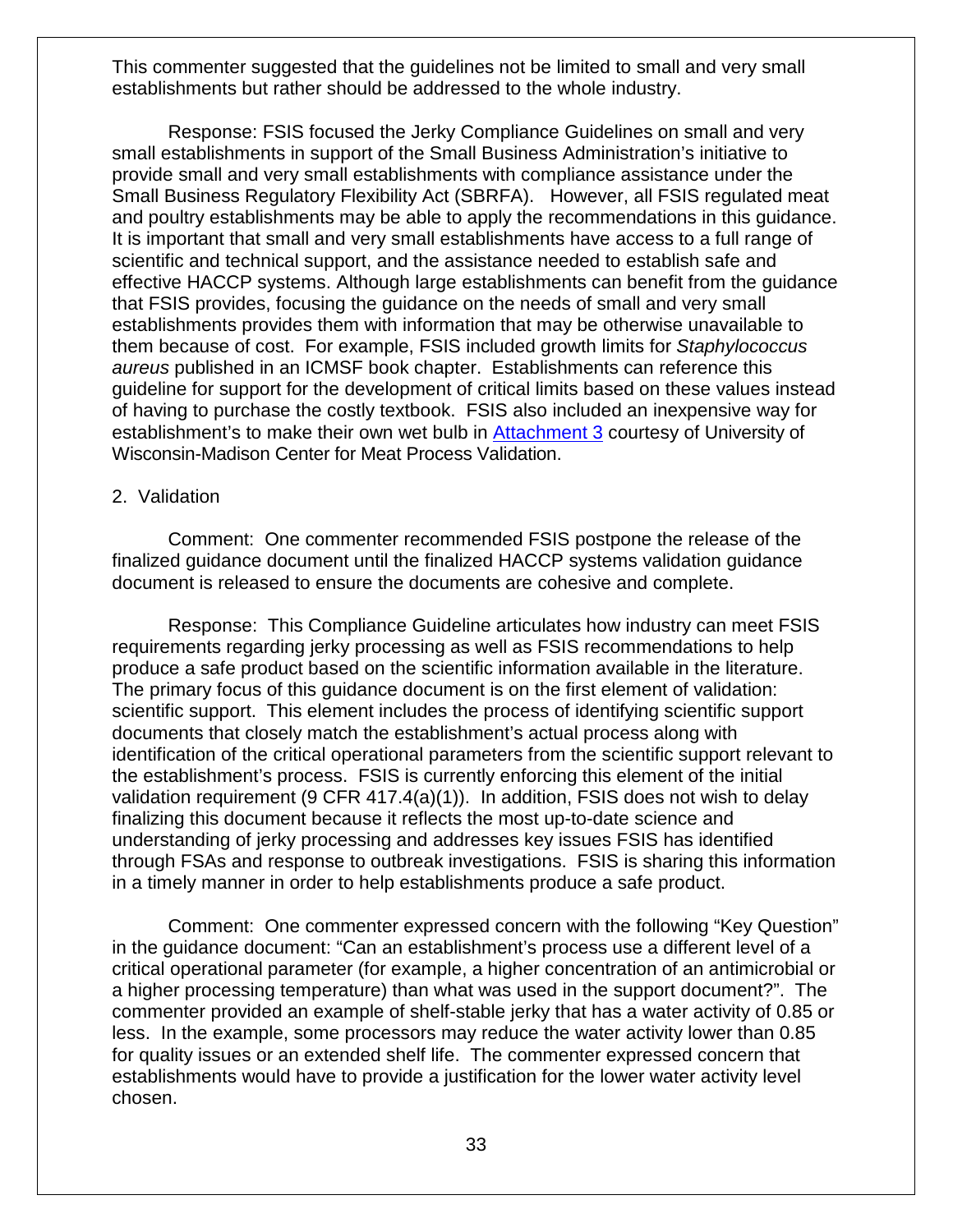This commenter suggested that the guidelines not be limited to small and very small establishments but rather should be addressed to the whole industry.

Response: FSIS focused the Jerky Compliance Guidelines on small and very small establishments in support of the Small Business Administration's initiative to provide small and very small establishments with compliance assistance under the Small Business Regulatory Flexibility Act (SBRFA). However, all FSIS regulated meat and poultry establishments may be able to apply the recommendations in this guidance. It is important that small and very small establishments have access to a full range of scientific and technical support, and the assistance needed to establish safe and effective HACCP systems. Although large establishments can benefit from the guidance that FSIS provides, focusing the guidance on the needs of small and very small establishments provides them with information that may be otherwise unavailable to them because of cost. For example, FSIS included growth limits for *Staphylococcus aureus* published in an ICMSF book chapter. Establishments can reference this guideline for support for the development of critical limits based on these values instead of having to purchase the costly textbook. FSIS also included an inexpensive way for establishment's to make their own wet bulb in [Attachment 3](#page-48-0) courtesy of University of Wisconsin-Madison Center for Meat Process Validation.

#### 2. Validation

Comment: One commenter recommended FSIS postpone the release of the finalized guidance document until the finalized HACCP systems validation guidance document is released to ensure the documents are cohesive and complete.

Response: This Compliance Guideline articulates how industry can meet FSIS requirements regarding jerky processing as well as FSIS recommendations to help produce a safe product based on the scientific information available in the literature. The primary focus of this guidance document is on the first element of validation: scientific support. This element includes the process of identifying scientific support documents that closely match the establishment's actual process along with identification of the critical operational parameters from the scientific support relevant to the establishment's process. FSIS is currently enforcing this element of the initial validation requirement (9 CFR 417.4(a)(1)). In addition, FSIS does not wish to delay finalizing this document because it reflects the most up-to-date science and understanding of jerky processing and addresses key issues FSIS has identified through FSAs and response to outbreak investigations. FSIS is sharing this information in a timely manner in order to help establishments produce a safe product.

Comment: One commenter expressed concern with the following "Key Question" in the guidance document: "Can an establishment's process use a different level of a critical operational parameter (for example, a higher concentration of an antimicrobial or a higher processing temperature) than what was used in the support document?". The commenter provided an example of shelf-stable jerky that has a water activity of 0.85 or less. In the example, some processors may reduce the water activity lower than 0.85 for quality issues or an extended shelf life. The commenter expressed concern that establishments would have to provide a justification for the lower water activity level chosen.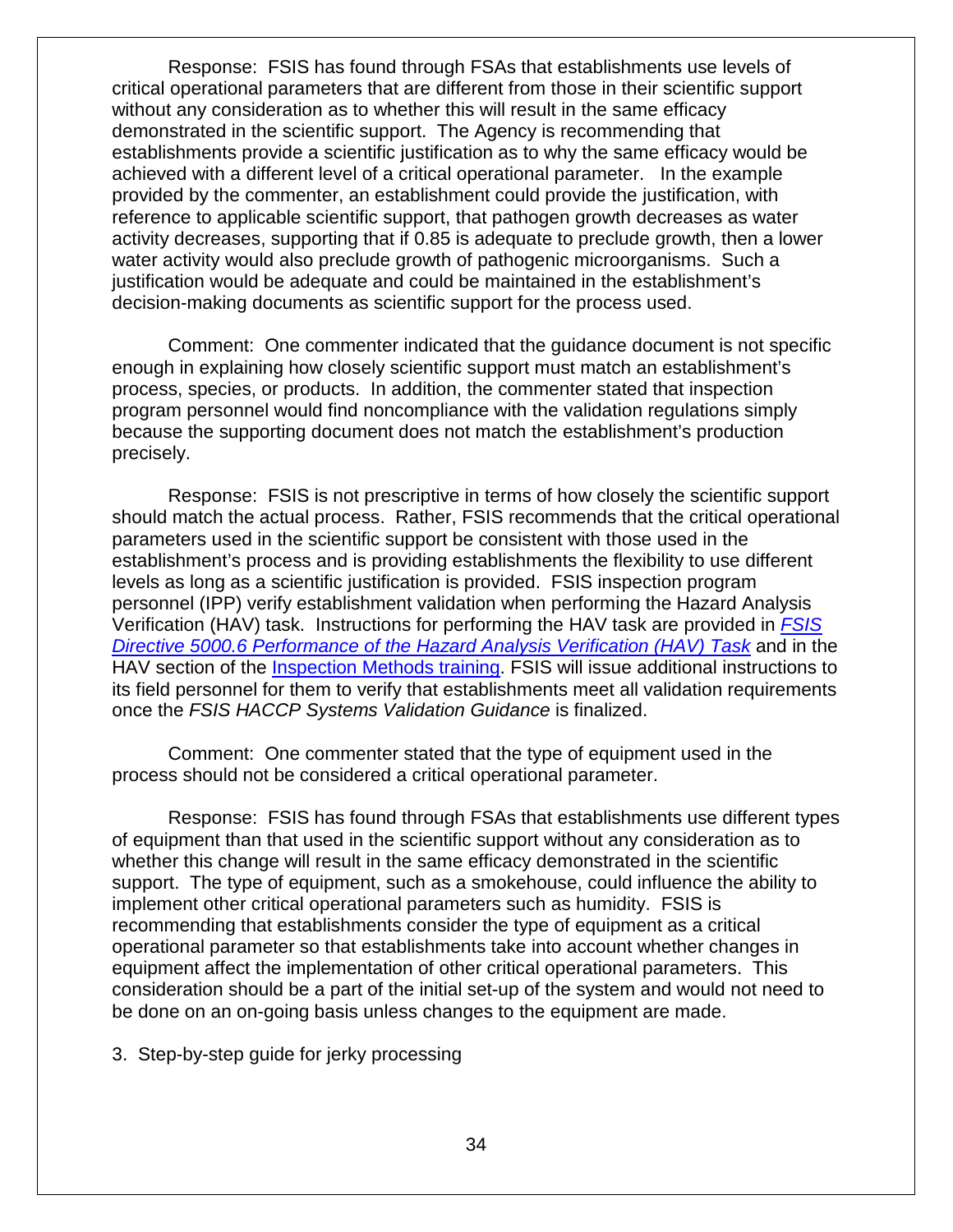Response: FSIS has found through FSAs that establishments use levels of critical operational parameters that are different from those in their scientific support without any consideration as to whether this will result in the same efficacy demonstrated in the scientific support. The Agency is recommending that establishments provide a scientific justification as to why the same efficacy would be achieved with a different level of a critical operational parameter. In the example provided by the commenter, an establishment could provide the justification, with reference to applicable scientific support, that pathogen growth decreases as water activity decreases, supporting that if 0.85 is adequate to preclude growth, then a lower water activity would also preclude growth of pathogenic microorganisms. Such a justification would be adequate and could be maintained in the establishment's decision-making documents as scientific support for the process used.

Comment: One commenter indicated that the guidance document is not specific enough in explaining how closely scientific support must match an establishment's process, species, or products. In addition, the commenter stated that inspection program personnel would find noncompliance with the validation regulations simply because the supporting document does not match the establishment's production precisely.

Response: FSIS is not prescriptive in terms of how closely the scientific support should match the actual process. Rather, FSIS recommends that the critical operational parameters used in the scientific support be consistent with those used in the establishment's process and is providing establishments the flexibility to use different levels as long as a scientific justification is provided. FSIS inspection program personnel (IPP) verify establishment validation when performing the Hazard Analysis Verification (HAV) task. Instructions for performing the HAV task are provided in *[FSIS](http://www.fsis.usda.gov/wps/wcm/connect/23780cc8-0ccf-45ad-8504-68501b1b3c20/5000.6.pdf?MOD=AJPERES)  [Directive 5000.6 Performance of the Hazard Analysis Verification \(HAV\) Task](http://www.fsis.usda.gov/wps/wcm/connect/23780cc8-0ccf-45ad-8504-68501b1b3c20/5000.6.pdf?MOD=AJPERES)* and in the HAV section of the [Inspection Methods training.](http://www.fsis.usda.gov/wps/wcm/connect/9d5deef3-b336-4232-9777-c9eb8aa552d2/21_IM_HAV_Methodology.pdf?MOD=AJPERES) FSIS will issue additional instructions to its field personnel for them to verify that establishments meet all validation requirements once the *FSIS HACCP Systems Validation Guidance* is finalized.

Comment: One commenter stated that the type of equipment used in the process should not be considered a critical operational parameter.

Response: FSIS has found through FSAs that establishments use different types of equipment than that used in the scientific support without any consideration as to whether this change will result in the same efficacy demonstrated in the scientific support. The type of equipment, such as a smokehouse, could influence the ability to implement other critical operational parameters such as humidity. FSIS is recommending that establishments consider the type of equipment as a critical operational parameter so that establishments take into account whether changes in equipment affect the implementation of other critical operational parameters. This consideration should be a part of the initial set-up of the system and would not need to be done on an on-going basis unless changes to the equipment are made.

3. Step-by-step guide for jerky processing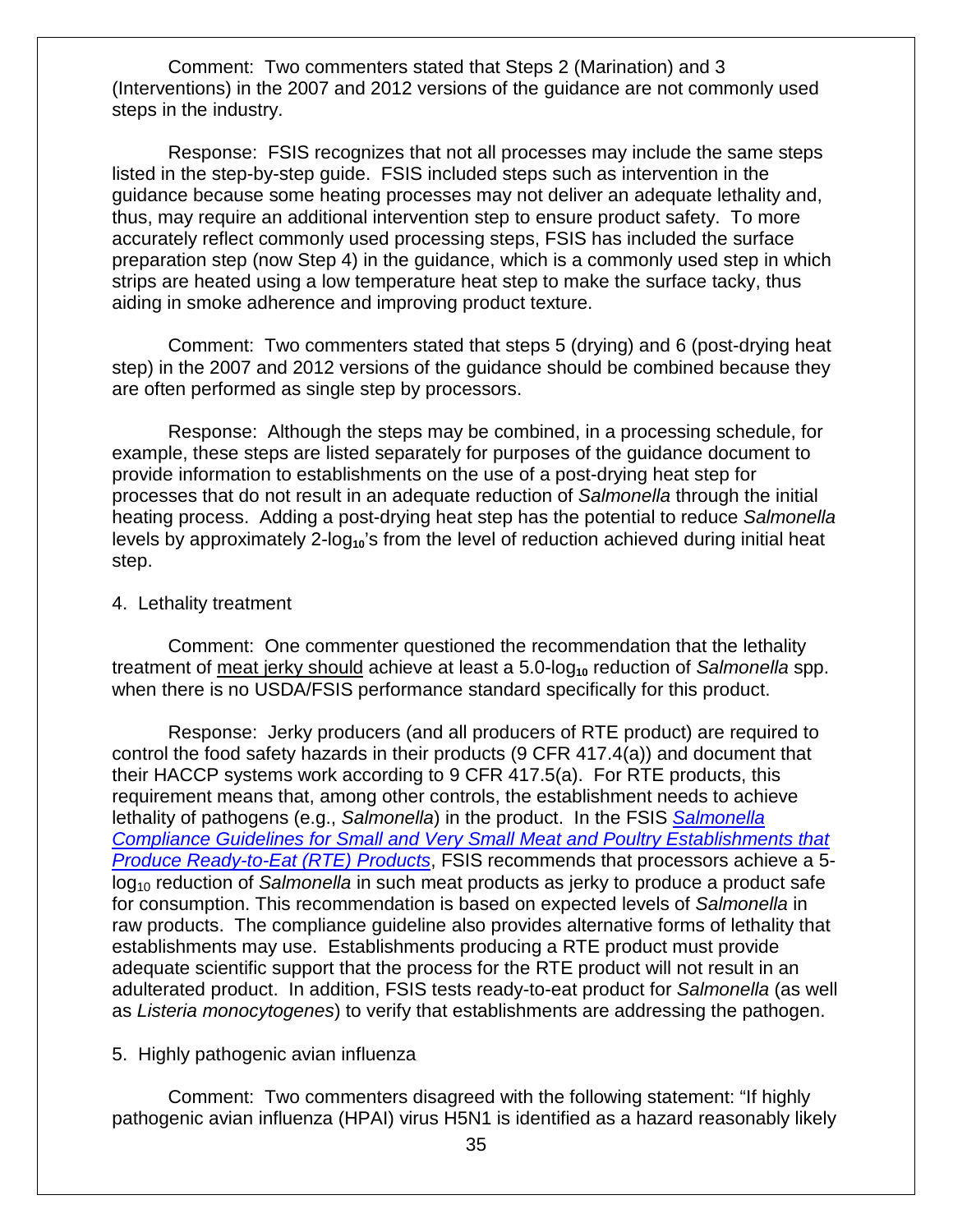Comment: Two commenters stated that Steps 2 (Marination) and 3 (Interventions) in the 2007 and 2012 versions of the guidance are not commonly used steps in the industry.

Response: FSIS recognizes that not all processes may include the same steps listed in the step-by-step guide. FSIS included steps such as intervention in the guidance because some heating processes may not deliver an adequate lethality and, thus, may require an additional intervention step to ensure product safety. To more accurately reflect commonly used processing steps, FSIS has included the surface preparation step (now Step 4) in the guidance, which is a commonly used step in which strips are heated using a low temperature heat step to make the surface tacky, thus aiding in smoke adherence and improving product texture.

Comment: Two commenters stated that steps 5 (drying) and 6 (post-drying heat step) in the 2007 and 2012 versions of the guidance should be combined because they are often performed as single step by processors.

Response: Although the steps may be combined, in a processing schedule, for example, these steps are listed separately for purposes of the guidance document to provide information to establishments on the use of a post-drying heat step for processes that do not result in an adequate reduction of *Salmonella* through the initial heating process. Adding a post-drying heat step has the potential to reduce *Salmonella*  levels by approximately 2-log<sub>10</sub>'s from the level of reduction achieved during initial heat step.

#### 4. Lethality treatment

Comment: One commenter questioned the recommendation that the lethality treatment of meat jerky should achieve at least a 5.0-log<sub>10</sub> reduction of *Salmonella* spp. when there is no USDA/FSIS performance standard specifically for this product.

Response: Jerky producers (and all producers of RTE product) are required to control the food safety hazards in their products (9 CFR 417.4(a)) and document that their HACCP systems work according to 9 CFR 417.5(a). For RTE products, this requirement means that, among other controls, the establishment needs to achieve lethality of pathogens (e.g., *Salmonella*) in the product. In the FSIS *[Salmonella](http://www.fsis.usda.gov/wps/wcm/connect/212e40b3-b59d-43aa-882e-e5431ea7035f/95033F-a.pdf?MOD=AJPERES)  [Compliance Guidelines for Small and Very Small Meat and Poultry Establishments that](http://www.fsis.usda.gov/wps/wcm/connect/212e40b3-b59d-43aa-882e-e5431ea7035f/95033F-a.pdf?MOD=AJPERES)  [Produce Ready-to-Eat \(RTE\) Products](http://www.fsis.usda.gov/wps/wcm/connect/212e40b3-b59d-43aa-882e-e5431ea7035f/95033F-a.pdf?MOD=AJPERES)*, FSIS recommends that processors achieve a 5 log10 reduction of *Salmonella* in such meat products as jerky to produce a product safe for consumption. This recommendation is based on expected levels of *Salmonella* in raw products. The compliance guideline also provides alternative forms of lethality that establishments may use. Establishments producing a RTE product must provide adequate scientific support that the process for the RTE product will not result in an adulterated product. In addition, FSIS tests ready-to-eat product for *Salmonella* (as well as *Listeria monocytogenes*) to verify that establishments are addressing the pathogen.

#### 5. Highly pathogenic avian influenza

Comment: Two commenters disagreed with the following statement: "If highly pathogenic avian influenza (HPAI) virus H5N1 is identified as a hazard reasonably likely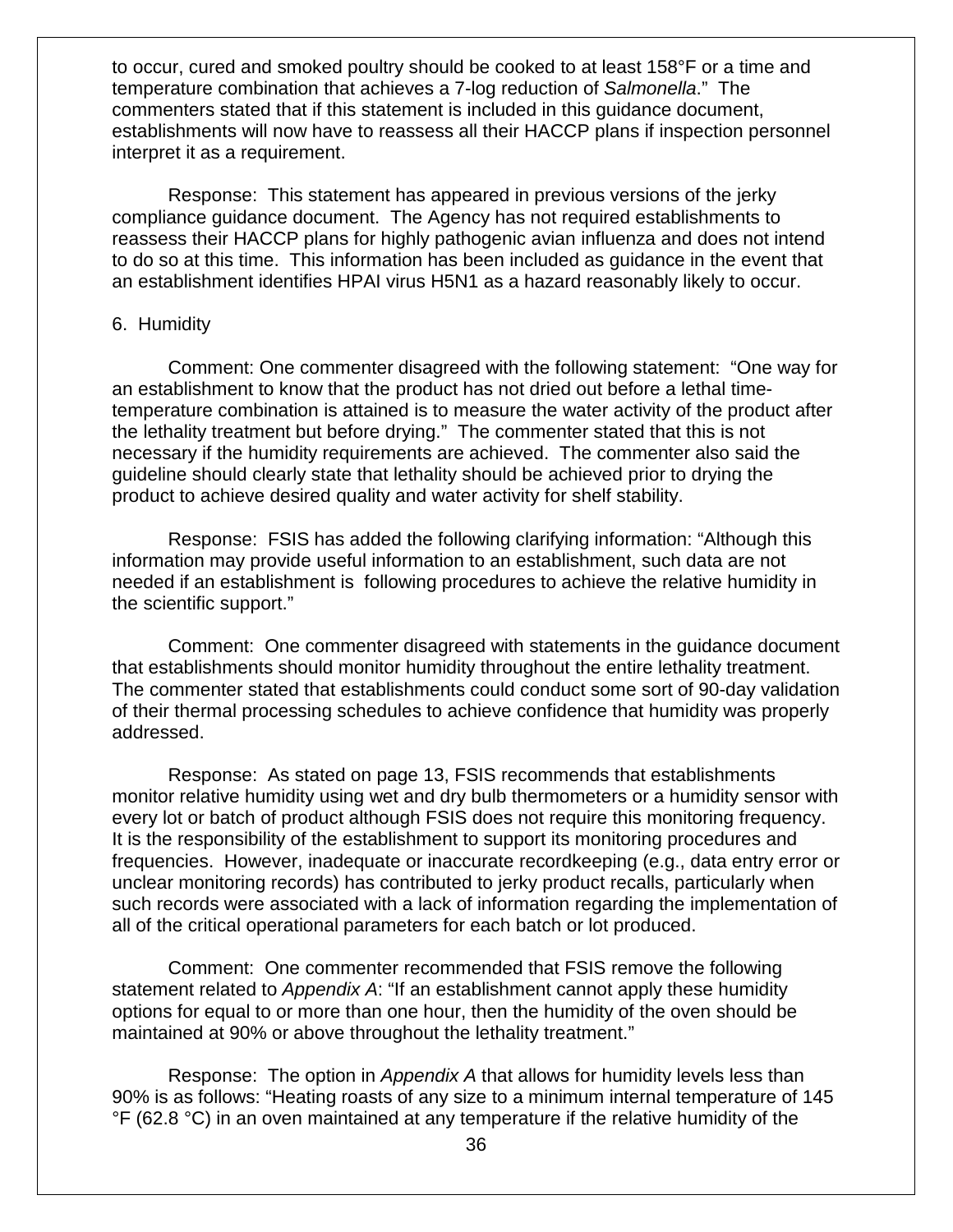to occur, cured and smoked poultry should be cooked to at least 158°F or a time and temperature combination that achieves a 7-log reduction of *Salmonella*." The commenters stated that if this statement is included in this guidance document, establishments will now have to reassess all their HACCP plans if inspection personnel interpret it as a requirement.

Response: This statement has appeared in previous versions of the jerky compliance guidance document. The Agency has not required establishments to reassess their HACCP plans for highly pathogenic avian influenza and does not intend to do so at this time. This information has been included as guidance in the event that an establishment identifies HPAI virus H5N1 as a hazard reasonably likely to occur.

#### 6. Humidity

Comment: One commenter disagreed with the following statement: "One way for an establishment to know that the product has not dried out before a lethal timetemperature combination is attained is to measure the water activity of the product after the lethality treatment but before drying." The commenter stated that this is not necessary if the humidity requirements are achieved. The commenter also said the guideline should clearly state that lethality should be achieved prior to drying the product to achieve desired quality and water activity for shelf stability.

Response: FSIS has added the following clarifying information: "Although this information may provide useful information to an establishment, such data are not needed if an establishment is following procedures to achieve the relative humidity in the scientific support."

Comment: One commenter disagreed with statements in the guidance document that establishments should monitor humidity throughout the entire lethality treatment. The commenter stated that establishments could conduct some sort of 90-day validation of their thermal processing schedules to achieve confidence that humidity was properly addressed.

Response: As stated on page 13, FSIS recommends that establishments monitor relative humidity using wet and dry bulb thermometers or a humidity sensor with every lot or batch of product although FSIS does not require this monitoring frequency. It is the responsibility of the establishment to support its monitoring procedures and frequencies. However, inadequate or inaccurate recordkeeping (e.g., data entry error or unclear monitoring records) has contributed to jerky product recalls, particularly when such records were associated with a lack of information regarding the implementation of all of the critical operational parameters for each batch or lot produced.

Comment: One commenter recommended that FSIS remove the following statement related to *Appendix A*: "If an establishment cannot apply these humidity options for equal to or more than one hour, then the humidity of the oven should be maintained at 90% or above throughout the lethality treatment."

Response: The option in *Appendix A* that allows for humidity levels less than 90% is as follows: "Heating roasts of any size to a minimum internal temperature of 145 °F (62.8 °C) in an oven maintained at any temperature if the relative humidity of the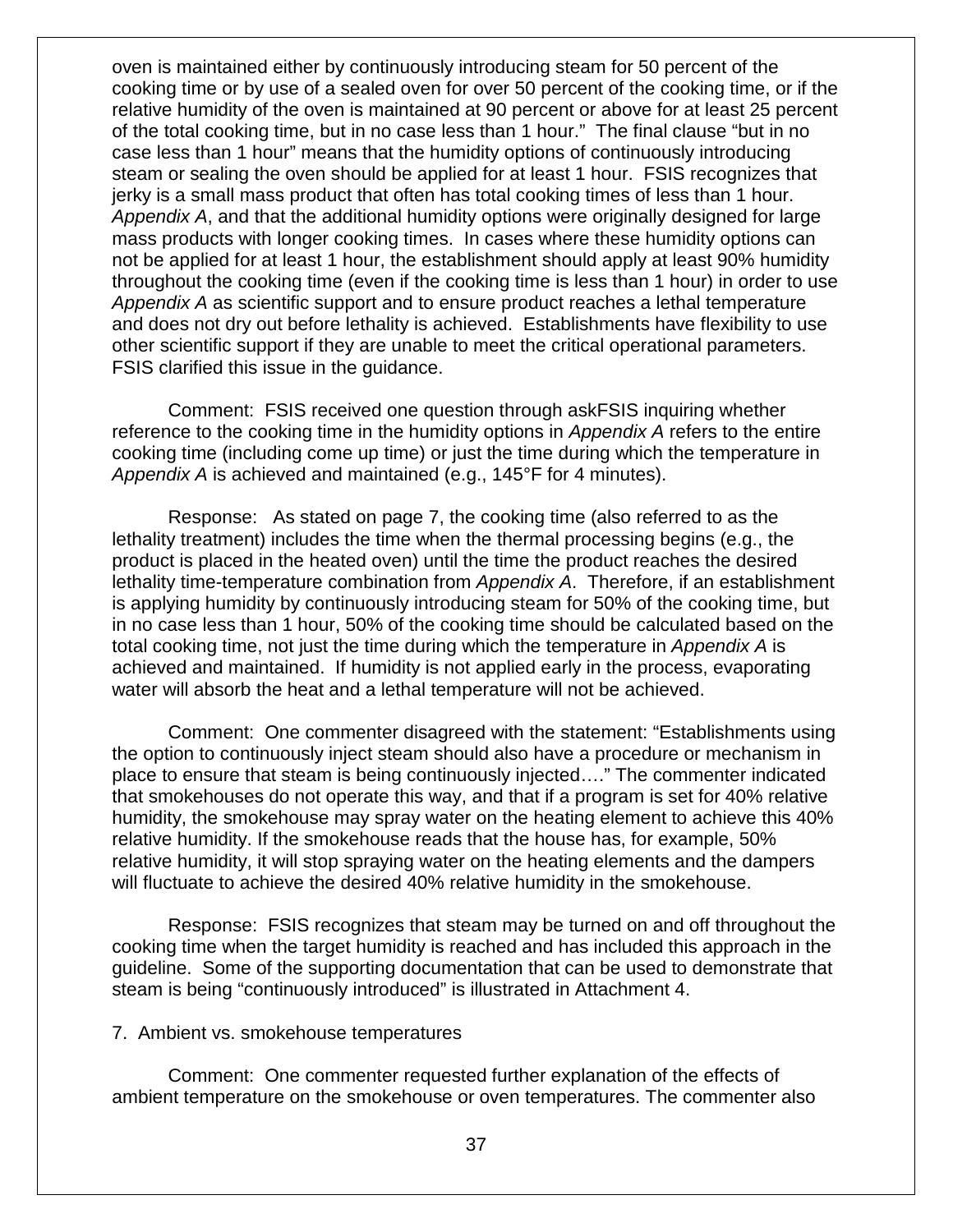oven is maintained either by continuously introducing steam for 50 percent of the cooking time or by use of a sealed oven for over 50 percent of the cooking time, or if the relative humidity of the oven is maintained at 90 percent or above for at least 25 percent of the total cooking time, but in no case less than 1 hour." The final clause "but in no case less than 1 hour" means that the humidity options of continuously introducing steam or sealing the oven should be applied for at least 1 hour. FSIS recognizes that jerky is a small mass product that often has total cooking times of less than 1 hour. *Appendix A*, and that the additional humidity options were originally designed for large mass products with longer cooking times. In cases where these humidity options can not be applied for at least 1 hour, the establishment should apply at least 90% humidity throughout the cooking time (even if the cooking time is less than 1 hour) in order to use *Appendix A* as scientific support and to ensure product reaches a lethal temperature and does not dry out before lethality is achieved. Establishments have flexibility to use other scientific support if they are unable to meet the critical operational parameters. FSIS clarified this issue in the guidance.

Comment: FSIS received one question through askFSIS inquiring whether reference to the cooking time in the humidity options in *Appendix A* refers to the entire cooking time (including come up time) or just the time during which the temperature in *Appendix A* is achieved and maintained (e.g., 145°F for 4 minutes).

Response: As stated on page 7, the cooking time (also referred to as the lethality treatment) includes the time when the thermal processing begins (e.g., the product is placed in the heated oven) until the time the product reaches the desired lethality time-temperature combination from *Appendix A*. Therefore, if an establishment is applying humidity by continuously introducing steam for 50% of the cooking time, but in no case less than 1 hour, 50% of the cooking time should be calculated based on the total cooking time, not just the time during which the temperature in *Appendix A* is achieved and maintained. If humidity is not applied early in the process, evaporating water will absorb the heat and a lethal temperature will not be achieved.

Comment: One commenter disagreed with the statement: "Establishments using the option to continuously inject steam should also have a procedure or mechanism in place to ensure that steam is being continuously injected…." The commenter indicated that smokehouses do not operate this way, and that if a program is set for 40% relative humidity, the smokehouse may spray water on the heating element to achieve this 40% relative humidity. If the smokehouse reads that the house has, for example, 50% relative humidity, it will stop spraying water on the heating elements and the dampers will fluctuate to achieve the desired 40% relative humidity in the smokehouse.

Response: FSIS recognizes that steam may be turned on and off throughout the cooking time when the target humidity is reached and has included this approach in the guideline. Some of the supporting documentation that can be used to demonstrate that steam is being "continuously introduced" is illustrated in Attachment 4.

#### 7. Ambient vs. smokehouse temperatures

Comment: One commenter requested further explanation of the effects of ambient temperature on the smokehouse or oven temperatures. The commenter also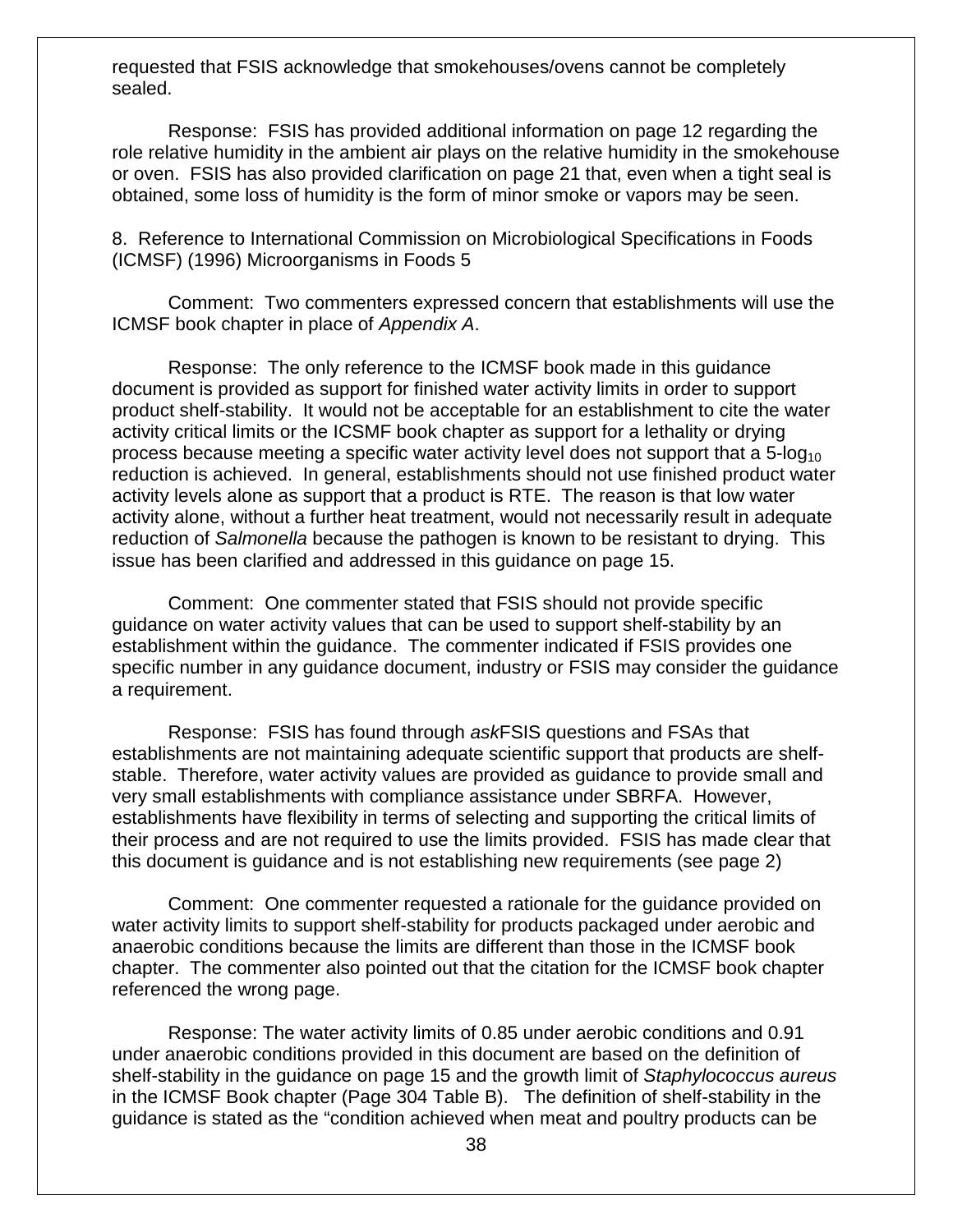requested that FSIS acknowledge that smokehouses/ovens cannot be completely sealed.

Response: FSIS has provided additional information on page 12 regarding the role relative humidity in the ambient air plays on the relative humidity in the smokehouse or oven. FSIS has also provided clarification on page 21 that, even when a tight seal is obtained, some loss of humidity is the form of minor smoke or vapors may be seen.

8. Reference to International Commission on Microbiological Specifications in Foods (ICMSF) (1996) Microorganisms in Foods 5

Comment: Two commenters expressed concern that establishments will use the ICMSF book chapter in place of *Appendix A*.

Response: The only reference to the ICMSF book made in this guidance document is provided as support for finished water activity limits in order to support product shelf-stability. It would not be acceptable for an establishment to cite the water activity critical limits or the ICSMF book chapter as support for a lethality or drying process because meeting a specific water activity level does not support that a  $5$ -log<sub>10</sub> reduction is achieved. In general, establishments should not use finished product water activity levels alone as support that a product is RTE. The reason is that low water activity alone, without a further heat treatment, would not necessarily result in adequate reduction of *Salmonella* because the pathogen is known to be resistant to drying. This issue has been clarified and addressed in this guidance on page 15.

Comment: One commenter stated that FSIS should not provide specific guidance on water activity values that can be used to support shelf-stability by an establishment within the guidance. The commenter indicated if FSIS provides one specific number in any guidance document, industry or FSIS may consider the guidance a requirement.

Response: FSIS has found through *ask*FSIS questions and FSAs that establishments are not maintaining adequate scientific support that products are shelfstable. Therefore, water activity values are provided as guidance to provide small and very small establishments with compliance assistance under SBRFA. However, establishments have flexibility in terms of selecting and supporting the critical limits of their process and are not required to use the limits provided. FSIS has made clear that this document is guidance and is not establishing new requirements (see page 2)

Comment: One commenter requested a rationale for the guidance provided on water activity limits to support shelf-stability for products packaged under aerobic and anaerobic conditions because the limits are different than those in the ICMSF book chapter. The commenter also pointed out that the citation for the ICMSF book chapter referenced the wrong page.

Response: The water activity limits of 0.85 under aerobic conditions and 0.91 under anaerobic conditions provided in this document are based on the definition of shelf-stability in the guidance on page 15 and the growth limit of *Staphylococcus aureus* in the ICMSF Book chapter (Page 304 Table B). The definition of shelf-stability in the guidance is stated as the "condition achieved when meat and poultry products can be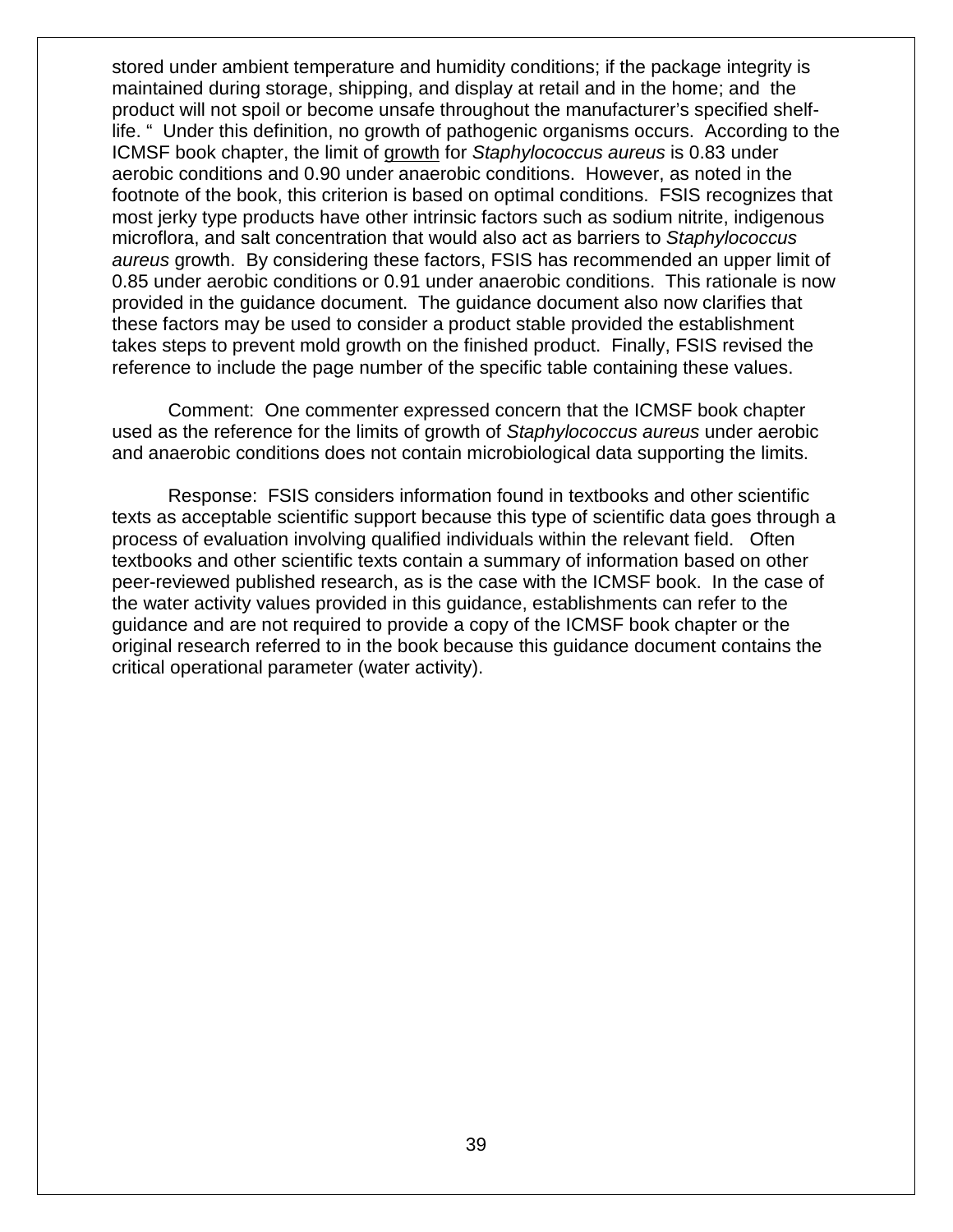stored under ambient temperature and humidity conditions; if the package integrity is maintained during storage, shipping, and display at retail and in the home; and the product will not spoil or become unsafe throughout the manufacturer's specified shelflife. " Under this definition, no growth of pathogenic organisms occurs. According to the ICMSF book chapter, the limit of growth for *Staphylococcus aureus* is 0.83 under aerobic conditions and 0.90 under anaerobic conditions. However, as noted in the footnote of the book, this criterion is based on optimal conditions. FSIS recognizes that most jerky type products have other intrinsic factors such as sodium nitrite, indigenous microflora, and salt concentration that would also act as barriers to *Staphylococcus aureus* growth. By considering these factors, FSIS has recommended an upper limit of 0.85 under aerobic conditions or 0.91 under anaerobic conditions. This rationale is now provided in the guidance document. The guidance document also now clarifies that these factors may be used to consider a product stable provided the establishment takes steps to prevent mold growth on the finished product. Finally, FSIS revised the reference to include the page number of the specific table containing these values.

Comment: One commenter expressed concern that the ICMSF book chapter used as the reference for the limits of growth of *Staphylococcus aureus* under aerobic and anaerobic conditions does not contain microbiological data supporting the limits.

Response: FSIS considers information found in textbooks and other scientific texts as acceptable scientific support because this type of scientific data goes through a process of evaluation involving qualified individuals within the relevant field. Often textbooks and other scientific texts contain a summary of information based on other peer-reviewed published research, as is the case with the ICMSF book. In the case of the water activity values provided in this guidance, establishments can refer to the guidance and are not required to provide a copy of the ICMSF book chapter or the original research referred to in the book because this guidance document contains the critical operational parameter (water activity).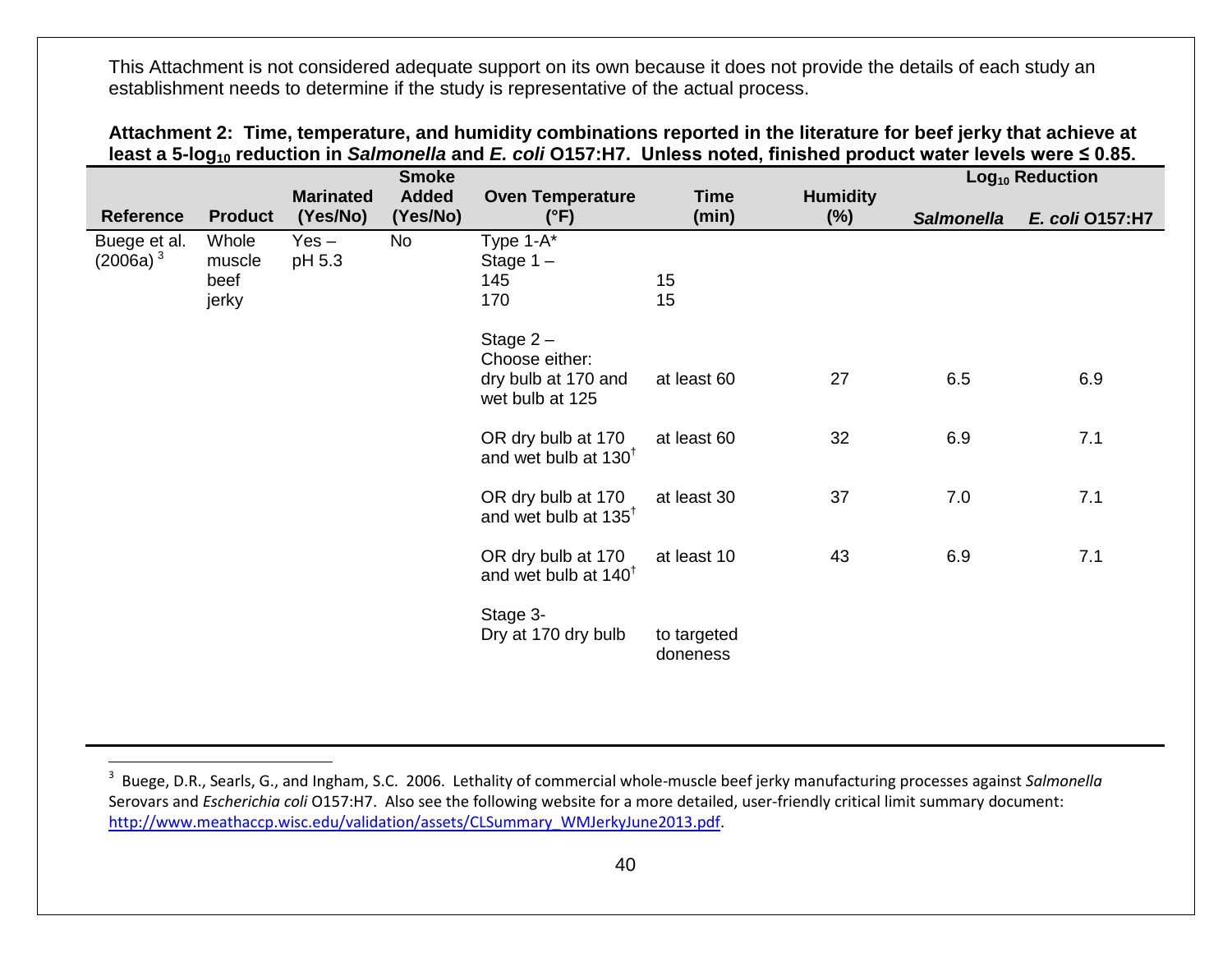<span id="page-39-0"></span>

|                             |                                  |                              | <b>Smoke</b>             |                                                                                               |                         |                           |                   | Log <sub>10</sub> Reduction |
|-----------------------------|----------------------------------|------------------------------|--------------------------|-----------------------------------------------------------------------------------------------|-------------------------|---------------------------|-------------------|-----------------------------|
| <b>Reference</b>            | <b>Product</b>                   | <b>Marinated</b><br>(Yes/No) | <b>Added</b><br>(Yes/No) | <b>Oven Temperature</b><br>$(^{\circ}F)$                                                      | <b>Time</b><br>(min)    | <b>Humidity</b><br>$(\%)$ | <b>Salmonella</b> | E. coli 0157:H7             |
| Buege et al.<br>$(2006a)^3$ | Whole<br>muscle<br>beef<br>jerky | $Yes -$<br>pH 5.3            | <b>No</b>                | Type 1-A*<br>Stage $1 -$<br>145<br>170<br>Stage $2-$<br>Choose either:<br>dry bulb at 170 and | 15<br>15<br>at least 60 | 27                        | 6.5               | 6.9                         |
|                             |                                  |                              |                          | wet bulb at 125<br>OR dry bulb at 170<br>and wet bulb at 130 <sup>t</sup>                     | at least 60             | 32                        | 6.9               | 7.1                         |
|                             |                                  |                              |                          | OR dry bulb at 170<br>and wet bulb at 135 <sup>t</sup>                                        | at least 30             | 37                        | 7.0               | 7.1                         |
|                             |                                  |                              |                          | OR dry bulb at 170<br>and wet bulb at 140 <sup>t</sup>                                        | at least 10             | 43                        | 6.9               | 7.1                         |
|                             |                                  |                              |                          | Stage 3-<br>Dry at 170 dry bulb                                                               | to targeted<br>doneness |                           |                   |                             |

<span id="page-39-1"></span>

| Attachment 2: Time, temperature, and humidity combinations reported in the literature for beef jerky that achieve at                            |
|-------------------------------------------------------------------------------------------------------------------------------------------------|
| least a 5-log <sub>10</sub> reduction in <i>Salmonella</i> and <i>E. coli</i> O157:H7. Unless noted, finished product water levels were ≤ 0.85. |

 <sup>3</sup> Buege, D.R., Searls, G., and Ingham, S.C. 2006. Lethality of commercial whole-muscle beef jerky manufacturing processes against *Salmonella*  Serovars and *Escherichia coli* O157:H7. Also see the following website for a more detailed, user-friendly critical limit summary document: [http://www.meathaccp.wisc.edu/validation/assets/CLSummary\\_WMJerkyJune2013.pdf.](http://www.meathaccp.wisc.edu/validation/assets/CLSummary_WMJerkyJune2013.pdf)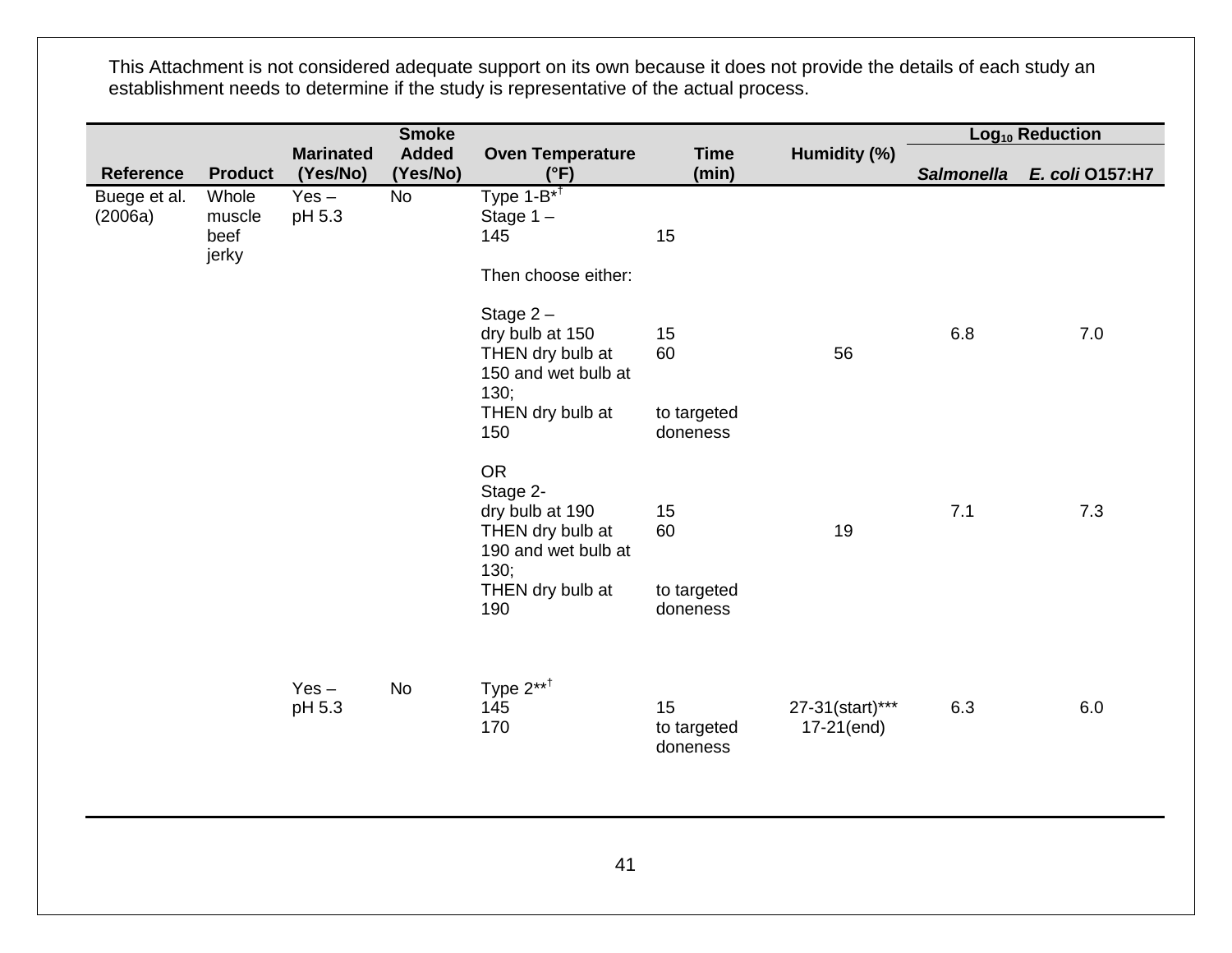|                         |                                  |                              | <b>Smoke</b>             |                                                                                                                        |                                     |                               |                   | Log <sub>10</sub> Reduction |
|-------------------------|----------------------------------|------------------------------|--------------------------|------------------------------------------------------------------------------------------------------------------------|-------------------------------------|-------------------------------|-------------------|-----------------------------|
| <b>Reference</b>        | <b>Product</b>                   | <b>Marinated</b><br>(Yes/No) | <b>Added</b><br>(Yes/No) | <b>Oven Temperature</b><br>$(^{\circ}F)$                                                                               | <b>Time</b><br>(min)                | Humidity (%)                  | <b>Salmonella</b> | E. coli 0157:H7             |
| Buege et al.<br>(2006a) | Whole<br>muscle<br>beef<br>jerky | $Yes -$<br>pH 5.3            | <b>No</b>                | Type $1-\overline{B^{*T}}$<br>Stage $1 -$<br>145<br>Then choose either:                                                | 15                                  |                               |                   |                             |
|                         |                                  |                              |                          | Stage $2 -$<br>dry bulb at 150<br>THEN dry bulb at<br>150 and wet bulb at<br>130;<br>THEN dry bulb at                  | 15<br>60<br>to targeted             | 56                            | 6.8               | 7.0                         |
|                         |                                  |                              |                          | 150                                                                                                                    | doneness                            |                               |                   |                             |
|                         |                                  |                              |                          | <b>OR</b><br>Stage 2-<br>dry bulb at 190<br>THEN dry bulb at<br>190 and wet bulb at<br>130;<br>THEN dry bulb at<br>190 | 15<br>60<br>to targeted<br>doneness | 19                            | 7.1               | 7.3                         |
|                         |                                  | $Yes -$<br>pH 5.3            | <b>No</b>                | Type $2***^{\dagger}$<br>145<br>170                                                                                    | 15<br>to targeted<br>doneness       | 27-31(start)***<br>17-21(end) | 6.3               | 6.0                         |
|                         |                                  |                              |                          |                                                                                                                        |                                     |                               |                   |                             |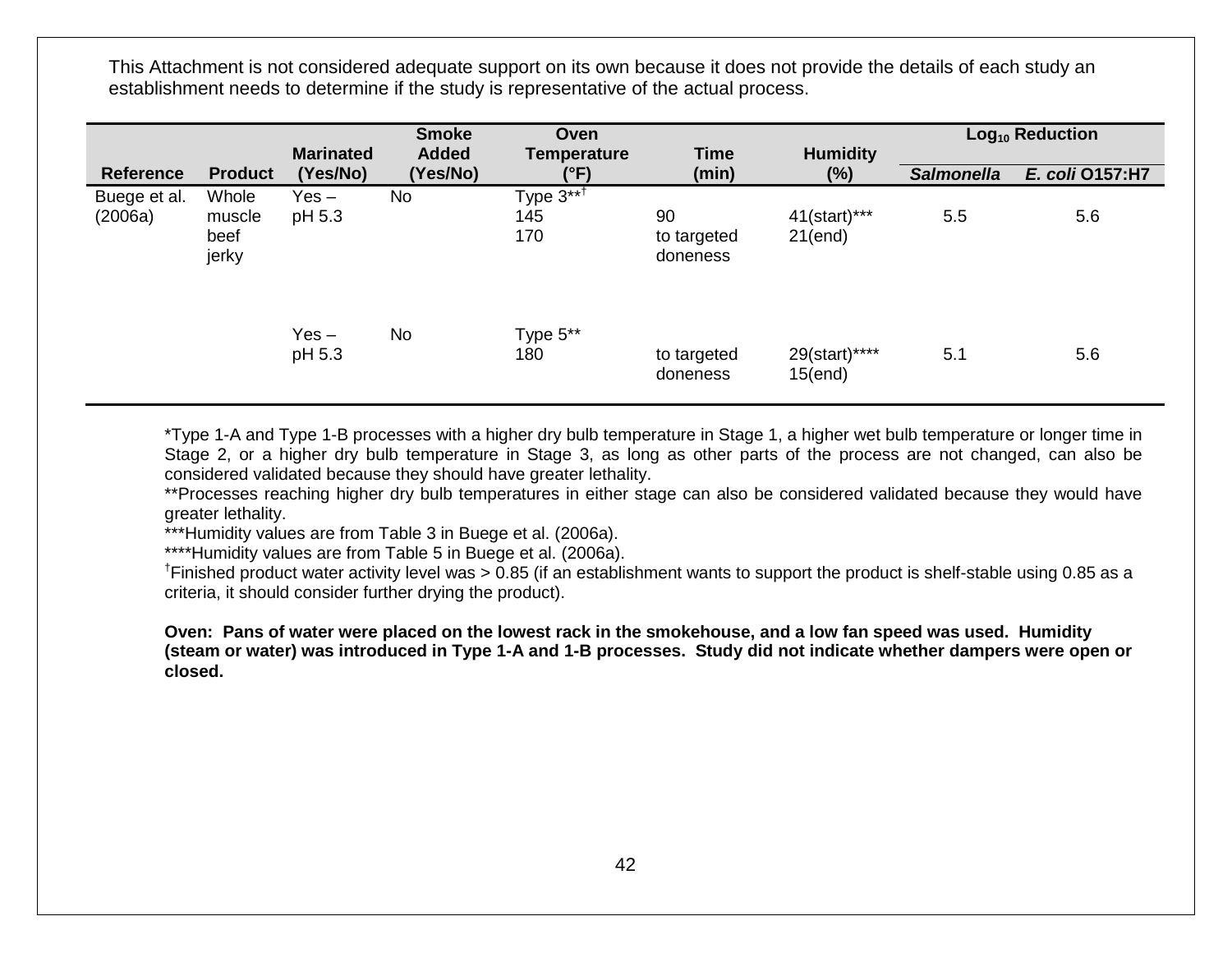|                         |                                  |                              | <b>Smoke</b>             | Oven                       |                               |                           |                   | Log <sub>10</sub> Reduction |
|-------------------------|----------------------------------|------------------------------|--------------------------|----------------------------|-------------------------------|---------------------------|-------------------|-----------------------------|
| <b>Reference</b>        | <b>Product</b>                   | <b>Marinated</b><br>(Yes/No) | <b>Added</b><br>(Yes/No) | <b>Temperature</b><br>(°F) | <b>Time</b><br>(min)          | <b>Humidity</b><br>$(\%)$ | <b>Salmonella</b> | E. coli 0157:H7             |
| Buege et al.<br>(2006a) | Whole<br>muscle<br>beef<br>jerky | Yes –<br>pH 5.3              | No                       | Type $3***$<br>145<br>170  | 90<br>to targeted<br>doneness | 41(start)***<br>21(end)   | 5.5               | 5.6                         |
|                         |                                  | $Yes -$<br>pH 5.3            | No                       | Type 5**<br>180            | to targeted<br>doneness       | 29(start)****<br>15(end)  | 5.1               | 5.6                         |

\*Type 1-A and Type 1-B processes with a higher dry bulb temperature in Stage 1, a higher wet bulb temperature or longer time in Stage 2, or a higher dry bulb temperature in Stage 3, as long as other parts of the process are not changed, can also be considered validated because they should have greater lethality.

\*\*Processes reaching higher dry bulb temperatures in either stage can also be considered validated because they would have greater lethality.

\*\*\*Humidity values are from Table 3 in Buege et al. (2006a).

\*\*\*\*Humidity values are from Table 5 in Buege et al. (2006a).

<sup>†</sup>Finished product water activity level was > 0.85 (if an establishment wants to support the product is shelf-stable using 0.85 as a criteria, it should consider further drying the product).

**Oven: Pans of water were placed on the lowest rack in the smokehouse, and a low fan speed was used. Humidity (steam or water) was introduced in Type 1-A and 1-B processes. Study did not indicate whether dampers were open or closed.**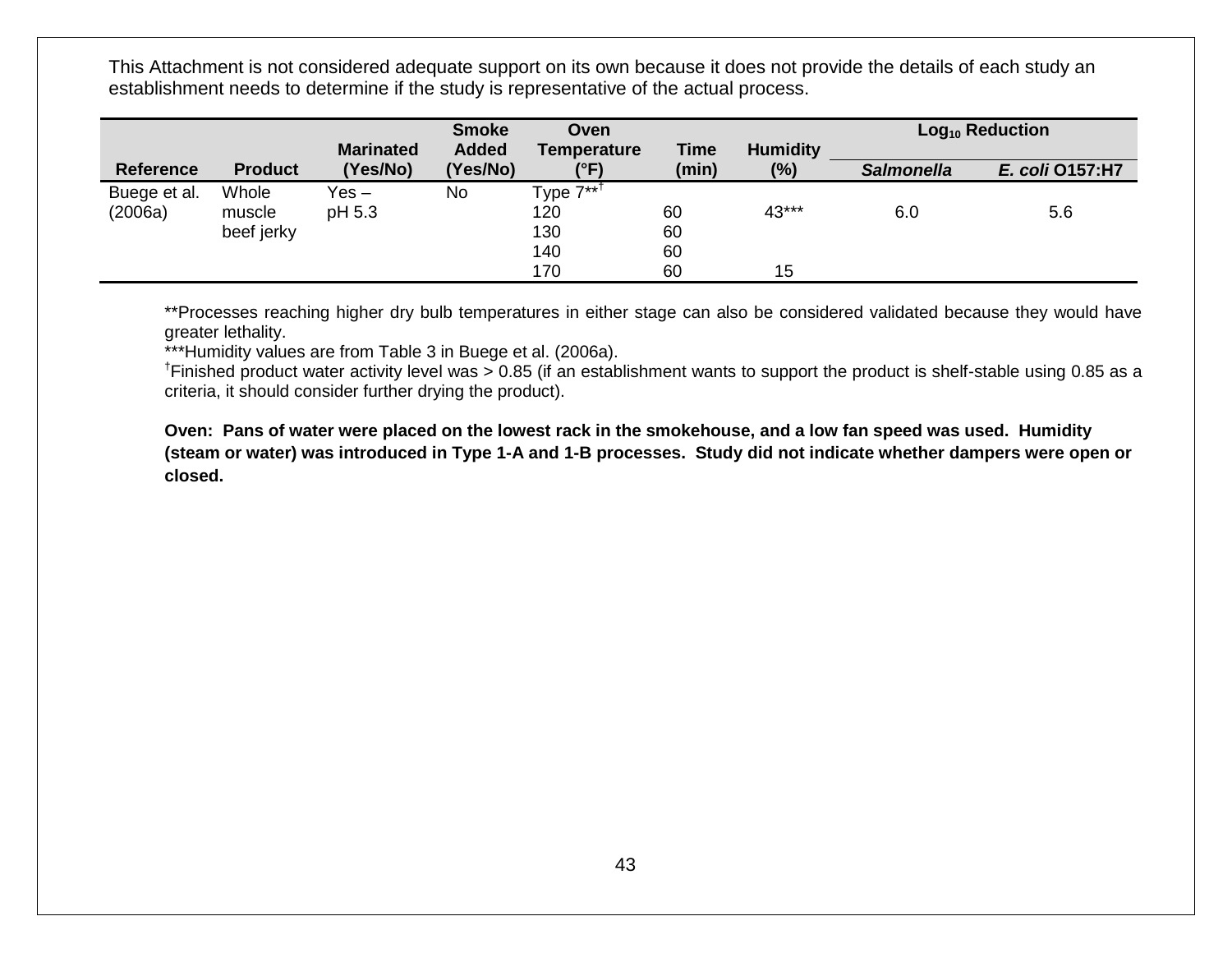|                         |                               |                              | <b>Smoke</b>             | Oven                                              |                      |                           |                   | $Log10$ Reduction |
|-------------------------|-------------------------------|------------------------------|--------------------------|---------------------------------------------------|----------------------|---------------------------|-------------------|-------------------|
| <b>Reference</b>        | <b>Product</b>                | <b>Marinated</b><br>(Yes/No) | <b>Added</b><br>(Yes/No) | Temperature<br>(°F)                               | <b>Time</b><br>(min) | <b>Humidity</b><br>$(\%)$ | <b>Salmonella</b> | E. coli 0157:H7   |
| Buege et al.<br>(2006a) | Whole<br>muscle<br>beef jerky | Yes –<br>pH 5.3              | No                       | Type 7** <sup>†</sup><br>120<br>130<br>140<br>170 | 60<br>60<br>60<br>60 | 43***<br>15               | 6.0               | 5.6               |

\*\*Processes reaching higher dry bulb temperatures in either stage can also be considered validated because they would have greater lethality.

\*\*\*Humidity values are from Table 3 in Buege et al. (2006a).

<sup>†</sup>Finished product water activity level was > 0.85 (if an establishment wants to support the product is shelf-stable using 0.85 as a criteria, it should consider further drying the product).

**Oven: Pans of water were placed on the lowest rack in the smokehouse, and a low fan speed was used. Humidity (steam or water) was introduced in Type 1-A and 1-B processes. Study did not indicate whether dampers were open or closed.**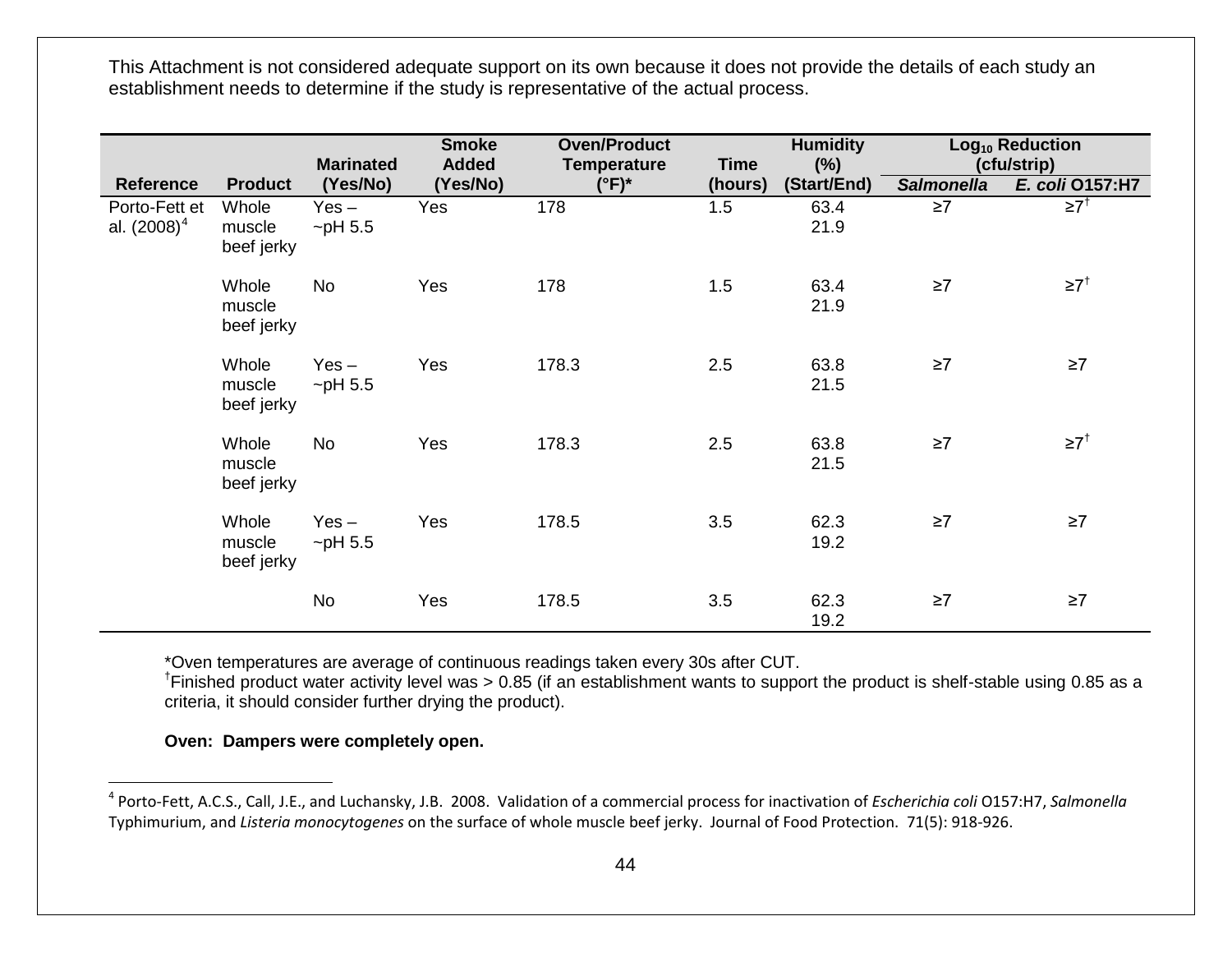<span id="page-43-0"></span>

|                                 |                               | <b>Marinated</b>         | <b>Smoke</b><br><b>Added</b> | <b>Oven/Product</b><br><b>Temperature</b> | <b>Time</b> | <b>Humidity</b><br>$(\%)$ |                   | Log <sub>10</sub> Reduction<br>(cfu/strip) |
|---------------------------------|-------------------------------|--------------------------|------------------------------|-------------------------------------------|-------------|---------------------------|-------------------|--------------------------------------------|
| <b>Reference</b>                | <b>Product</b>                | (Yes/No)                 | (Yes/No)                     | $(^{\circ}F)^*$                           | (hours)     | (Start/End)               | <b>Salmonella</b> | E. coli 0157:H7                            |
| Porto-Fett et<br>al. $(2008)^4$ | Whole<br>muscle<br>beef jerky | $Yes -$<br>$\neg$ pH 5.5 | Yes                          | 178                                       | 1.5         | 63.4<br>21.9              | $\geq 7$          | $\geq 7^+$                                 |
|                                 | Whole<br>muscle<br>beef jerky | No                       | Yes                          | 178                                       | 1.5         | 63.4<br>21.9              | $\geq 7$          | $\geq 7$ <sup>†</sup>                      |
|                                 | Whole<br>muscle<br>beef jerky | $Yes -$<br>$\neg$ pH 5.5 | Yes                          | 178.3                                     | 2.5         | 63.8<br>21.5              | $\geq 7$          | $\geq 7$                                   |
|                                 | Whole<br>muscle<br>beef jerky | <b>No</b>                | Yes                          | 178.3                                     | 2.5         | 63.8<br>21.5              | $\geq 7$          | $\geq 7^{\dagger}$                         |
|                                 | Whole<br>muscle<br>beef jerky | $Yes -$<br>$\neg$ pH 5.5 | Yes                          | 178.5                                     | 3.5         | 62.3<br>19.2              | $\geq 7$          | $\geq 7$                                   |
|                                 |                               | No                       | Yes                          | 178.5                                     | 3.5         | 62.3<br>19.2              | $\geq 7$          | $\geq 7$                                   |

\*Oven temperatures are average of continuous readings taken every 30s after CUT.

† Finished product water activity level was > 0.85 (if an establishment wants to support the product is shelf-stable using 0.85 as a criteria, it should consider further drying the product).

**Oven: Dampers were completely open.** 

 <sup>4</sup> Porto-Fett, A.C.S., Call, J.E., and Luchansky, J.B. 2008. Validation of a commercial process for inactivation of *Escherichia coli* O157:H7, *Salmonella* Typhimurium, and *Listeria monocytogenes* on the surface of whole muscle beef jerky. Journal of Food Protection. 71(5): 918-926.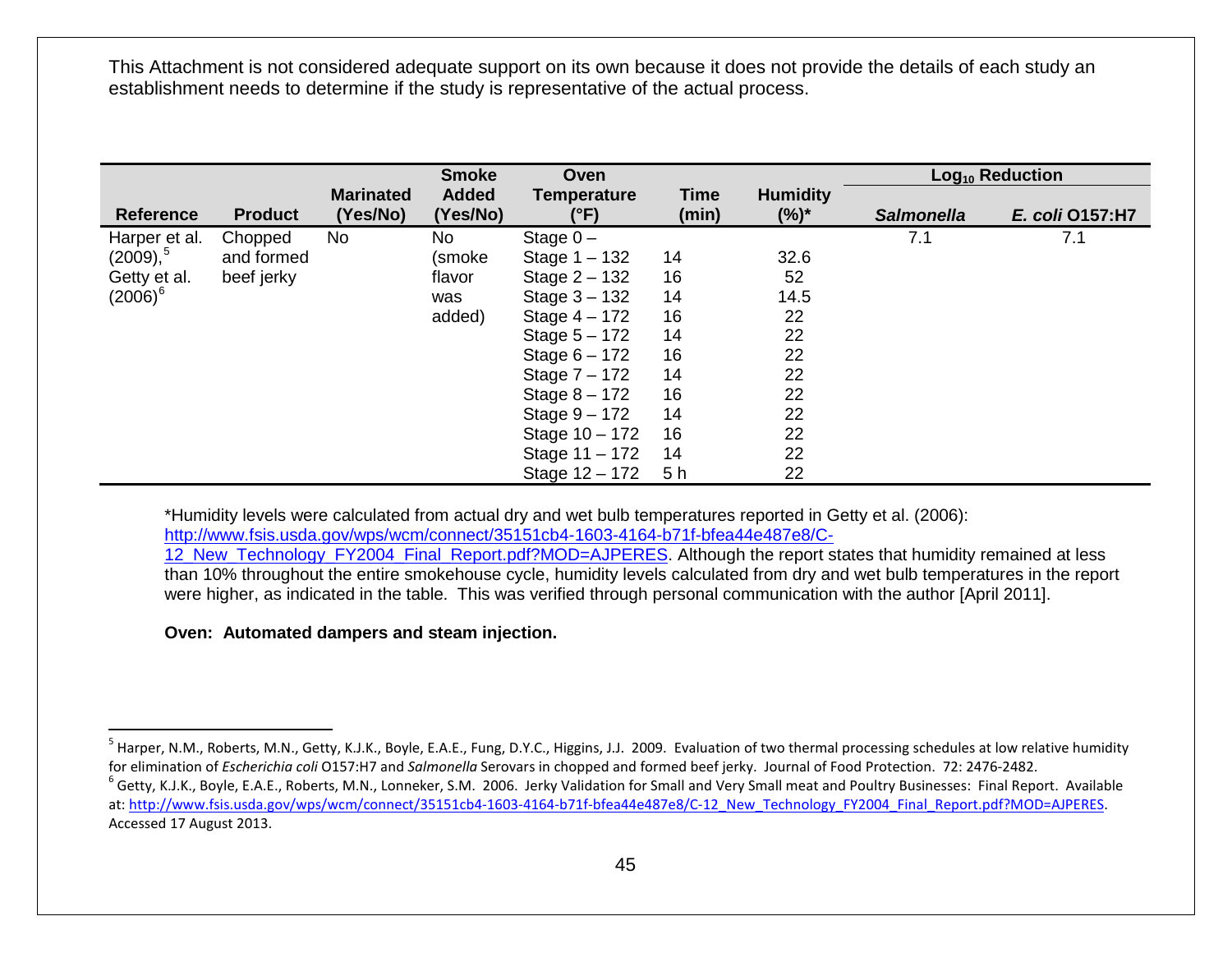<span id="page-44-1"></span><span id="page-44-0"></span>

|                      |                |                  | <b>Smoke</b> | Oven               |                |                 |                   | Log <sub>10</sub> Reduction |
|----------------------|----------------|------------------|--------------|--------------------|----------------|-----------------|-------------------|-----------------------------|
|                      |                | <b>Marinated</b> | <b>Added</b> | <b>Temperature</b> | <b>Time</b>    | <b>Humidity</b> |                   |                             |
| <b>Reference</b>     | <b>Product</b> | (Yes/No)         | (Yes/No)     | $(^{\circ}F)$      | (min)          | $(%)^*$         | <b>Salmonella</b> | E. coli 0157:H7             |
| Harper et al.        | Chopped        | No               | No           | Stage $0 -$        |                |                 | 7.1               | 7.1                         |
| (2009), <sup>5</sup> | and formed     |                  | (smoke       | Stage $1 - 132$    | 14             | 32.6            |                   |                             |
| Getty et al.         | beef jerky     |                  | flavor       | Stage $2 - 132$    | 16             | 52              |                   |                             |
| $(2006)^6$           |                |                  | was          | Stage $3 - 132$    | 14             | 14.5            |                   |                             |
|                      |                |                  | added)       | Stage $4 - 172$    | 16             | 22              |                   |                             |
|                      |                |                  |              | Stage $5 - 172$    | 14             | 22              |                   |                             |
|                      |                |                  |              | Stage $6 - 172$    | 16             | 22              |                   |                             |
|                      |                |                  |              | Stage $7 - 172$    | 14             | 22              |                   |                             |
|                      |                |                  |              | Stage $8 - 172$    | 16             | 22              |                   |                             |
|                      |                |                  |              | Stage $9 - 172$    | 14             | 22              |                   |                             |
|                      |                |                  |              | Stage 10 - 172     | 16             | 22              |                   |                             |
|                      |                |                  |              | Stage 11 - 172     | 14             | 22              |                   |                             |
|                      |                |                  |              | Stage 12 - 172     | 5 <sub>h</sub> | 22              |                   |                             |

\*Humidity levels were calculated from actual dry and wet bulb temperatures reported in Getty et al. (2006): [http://www.fsis.usda.gov/wps/wcm/connect/35151cb4-1603-4164-b71f-bfea44e487e8/C-](http://www.fsis.usda.gov/wps/wcm/connect/35151cb4-1603-4164-b71f-bfea44e487e8/C-12_New_Technology_FY2004_Final_Report.pdf?MOD=AJPERES)

12 New Technology FY2004 Final Report.pdf?MOD=AJPERES. Although the report states that humidity remained at less than 10% throughout the entire smokehouse cycle, humidity levels calculated from dry and wet bulb temperatures in the report were higher, as indicated in the table. This was verified through personal communication with the author [April 2011].

#### **Oven: Automated dampers and steam injection.**

<sup>&</sup>lt;sup>5</sup> Harper, N.M., Roberts, M.N., Getty, K.J.K., Boyle, E.A.E., Fung, D.Y.C., Higgins, J.J. 2009. Evaluation of two thermal processing schedules at low relative humidity for elimination of Escherichia coli O157:H7 and Salmonella Serovars in chopped and formed beef jerky. Journal of Food Protection. 72: 2476-2482.<br><sup>6</sup> Getty, K.J.K., Boyle, E.A.E., Roberts, M.N., Lonneker, S.M. 2006. Jerky V

at: [http://www.fsis.usda.gov/wps/wcm/connect/35151cb4-1603-4164-b71f-bfea44e487e8/C-12\\_New\\_Technology\\_FY2004\\_Final\\_Report.pdf?MOD=AJPERES.](http://www.fsis.usda.gov/wps/wcm/connect/35151cb4-1603-4164-b71f-bfea44e487e8/C-12_New_Technology_FY2004_Final_Report.pdf?MOD=AJPERES&CACHEID=dd1fdb52-87f9-4eba-9752-83f4e0e946ed) Accessed 17 August 2013.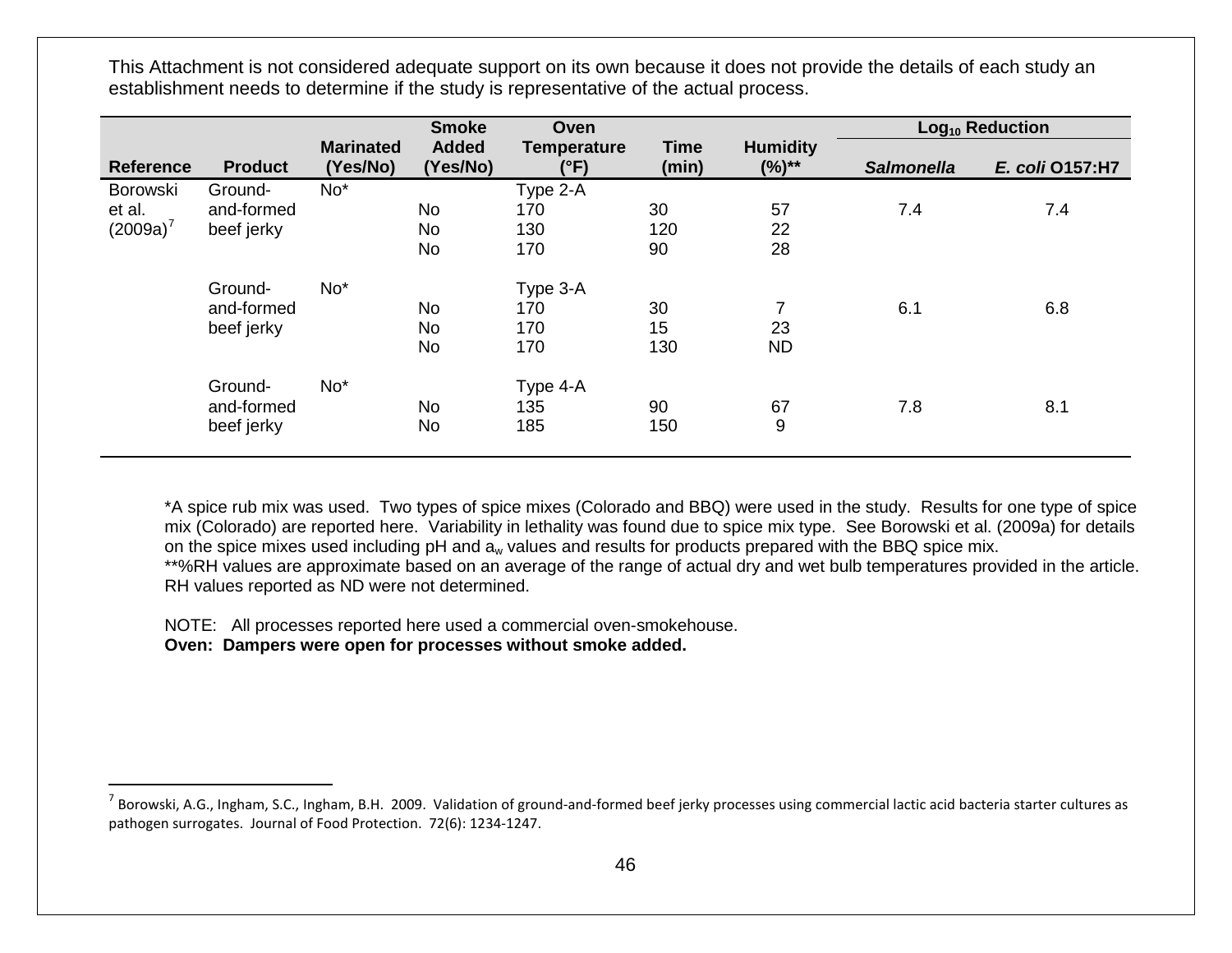<span id="page-45-0"></span>

|                  |                |                              | <b>Smoke</b>             | Oven                       |                      |                               |                   | Log <sub>10</sub> Reduction |
|------------------|----------------|------------------------------|--------------------------|----------------------------|----------------------|-------------------------------|-------------------|-----------------------------|
| <b>Reference</b> | <b>Product</b> | <b>Marinated</b><br>(Yes/No) | <b>Added</b><br>(Yes/No) | <b>Temperature</b><br>(°F) | <b>Time</b><br>(min) | <b>Humidity</b><br>$(%)^{**}$ | <b>Salmonella</b> | E. coli 0157:H7             |
| Borowski         | Ground-        | No*                          |                          | Type 2-A                   |                      |                               |                   |                             |
| et al.           | and-formed     |                              | <b>No</b>                | 170                        | 30                   | 57                            | 7.4               | 7.4                         |
| $(2009a)^7$      | beef jerky     |                              | No                       | 130                        | 120                  | 22                            |                   |                             |
|                  |                |                              | No                       | 170                        | 90                   | 28                            |                   |                             |
|                  | Ground-        | No <sup>*</sup>              |                          | Type 3-A                   |                      |                               |                   |                             |
|                  | and-formed     |                              | <b>No</b>                | 170                        | 30                   | 7                             | 6.1               | 6.8                         |
|                  | beef jerky     |                              | No                       | 170                        | 15                   | 23                            |                   |                             |
|                  |                |                              | <b>No</b>                | 170                        | 130                  | <b>ND</b>                     |                   |                             |
|                  | Ground-        | No <sup>*</sup>              |                          | Type 4-A                   |                      |                               |                   |                             |
|                  | and-formed     |                              | <b>No</b>                | 135                        | 90                   | 67                            | 7.8               | 8.1                         |
|                  | beef jerky     |                              | No                       | 185                        | 150                  | 9                             |                   |                             |

\*A spice rub mix was used. Two types of spice mixes (Colorado and BBQ) were used in the study. Results for one type of spice mix (Colorado) are reported here. Variability in lethality was found due to spice mix type. See Borowski et al. (2009a) for details on the spice mixes used including pH and  $a_w$  values and results for products prepared with the BBQ spice mix. \*\*%RH values are approximate based on an average of the range of actual dry and wet bulb temperatures provided in the article. RH values reported as ND were not determined.

NOTE: All processes reported here used a commercial oven-smokehouse. **Oven: Dampers were open for processes without smoke added.**

 $^7$  Borowski, A.G., Ingham, S.C., Ingham, B.H. 2009. Validation of ground-and-formed beef jerky processes using commercial lactic acid bacteria starter cultures as pathogen surrogates. Journal of Food Protection. 72(6): 1234-1247.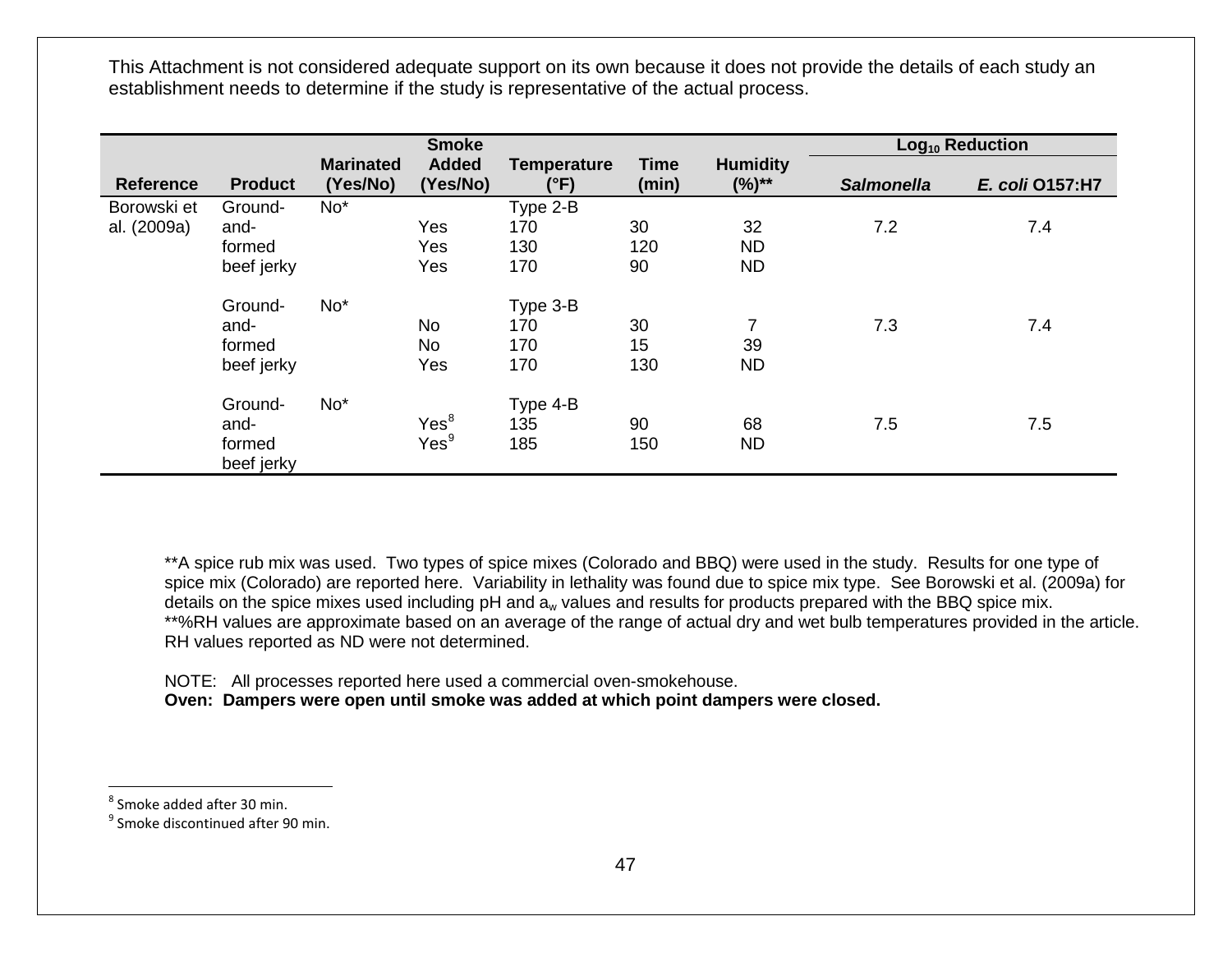<span id="page-46-1"></span><span id="page-46-0"></span>

|                            |                                         |                              | <b>Smoke</b>                         |                               |                      |                                   |                   | Log <sub>10</sub> Reduction |
|----------------------------|-----------------------------------------|------------------------------|--------------------------------------|-------------------------------|----------------------|-----------------------------------|-------------------|-----------------------------|
| <b>Reference</b>           | <b>Product</b>                          | <b>Marinated</b><br>(Yes/No) | <b>Added</b><br>(Yes/No)             | <b>Temperature</b><br>(°F)    | <b>Time</b><br>(min) | <b>Humidity</b><br>$(%)^{**}$     | <b>Salmonella</b> | E. coli 0157:H7             |
| Borowski et<br>al. (2009a) | Ground-<br>and-<br>formed<br>beef jerky | $No*$                        | Yes<br>Yes<br>Yes                    | Type 2-B<br>170<br>130<br>170 | 30<br>120<br>90      | 32<br><b>ND</b><br><b>ND</b>      | 7.2               | 7.4                         |
|                            | Ground-<br>and-<br>formed<br>beef jerky | $No*$                        | No<br>No<br>Yes                      | Type 3-B<br>170<br>170<br>170 | 30<br>15<br>130      | $\overline{7}$<br>39<br><b>ND</b> | 7.3               | 7.4                         |
|                            | Ground-<br>and-<br>formed<br>beef jerky | $No*$                        | Yes <sup>8</sup><br>Yes <sup>9</sup> | Type 4-B<br>135<br>185        | 90<br>150            | 68<br><b>ND</b>                   | 7.5               | 7.5                         |

\*\*A spice rub mix was used. Two types of spice mixes (Colorado and BBQ) were used in the study. Results for one type of spice mix (Colorado) are reported here. Variability in lethality was found due to spice mix type. See Borowski et al. (2009a) for details on the spice mixes used including pH and a<sub>w</sub> values and results for products prepared with the BBQ spice mix. \*\*%RH values are approximate based on an average of the range of actual dry and wet bulb temperatures provided in the article. RH values reported as ND were not determined.

NOTE: All processes reported here used a commercial oven-smokehouse. **Oven: Dampers were open until smoke was added at which point dampers were closed.**

 $8$  Smoke added after 30 min.

<sup>9</sup> Smoke discontinued after 90 min.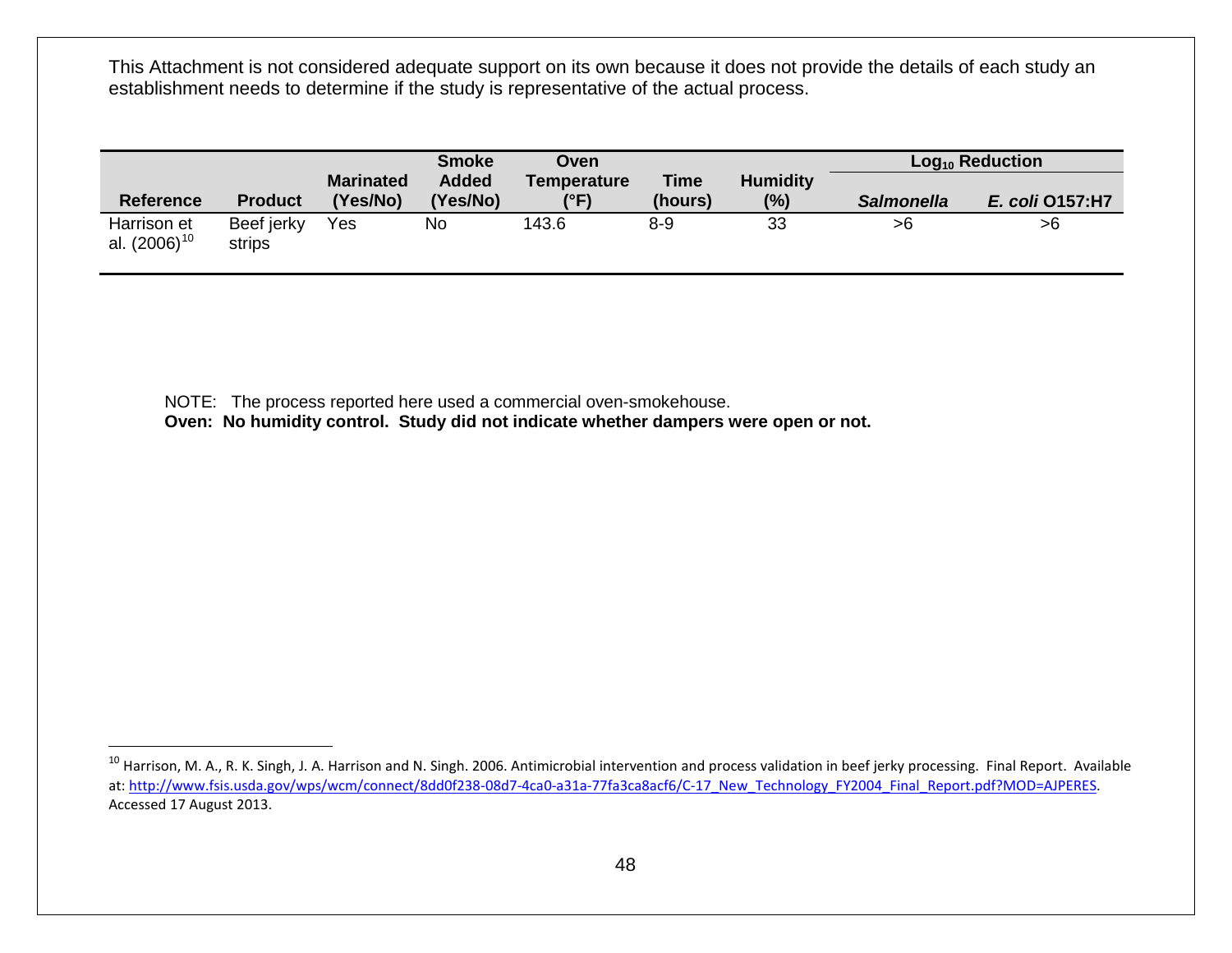<span id="page-47-0"></span>

|                   |                |                              | <b>Smoke</b>             | Oven                |                        |                        |                   | $Log10$ Reduction |
|-------------------|----------------|------------------------------|--------------------------|---------------------|------------------------|------------------------|-------------------|-------------------|
| <b>Reference</b>  | <b>Product</b> | <b>Marinated</b><br>'Yes/No) | <b>Added</b><br>(Yes/No) | Temperature<br>(°F) | <b>Time</b><br>(hours) | <b>Humidity</b><br>(%) | <b>Salmonella</b> | E. coli 0157:H7   |
| Harrison et       | Beef jerky     | Yes                          | No                       | 143.6               | $8 - 9$                | 33                     | >6                | >6                |
| al. $(2006)^{10}$ | strips         |                              |                          |                     |                        |                        |                   |                   |

NOTE: The process reported here used a commercial oven-smokehouse.

**Oven: No humidity control. Study did not indicate whether dampers were open or not.**

<sup>&</sup>lt;sup>10</sup> Harrison, M. A., R. K. Singh, J. A. Harrison and N. Singh. 2006. Antimicrobial intervention and process validation in beef jerky processing. Final Report. Available at: [http://www.fsis.usda.gov/wps/wcm/connect/8dd0f238-08d7-4ca0-a31a-77fa3ca8acf6/C-17\\_New\\_Technology\\_FY2004\\_Final\\_Report.pdf?MOD=AJPERES.](http://www.fsis.usda.gov/wps/wcm/connect/8dd0f238-08d7-4ca0-a31a-77fa3ca8acf6/C-17_New_Technology_FY2004_Final_Report.pdf?MOD=AJPERES&CACHEID=be40c305-17fa-48c1-9d16-8b9f789b4932) Accessed 17 August 2013.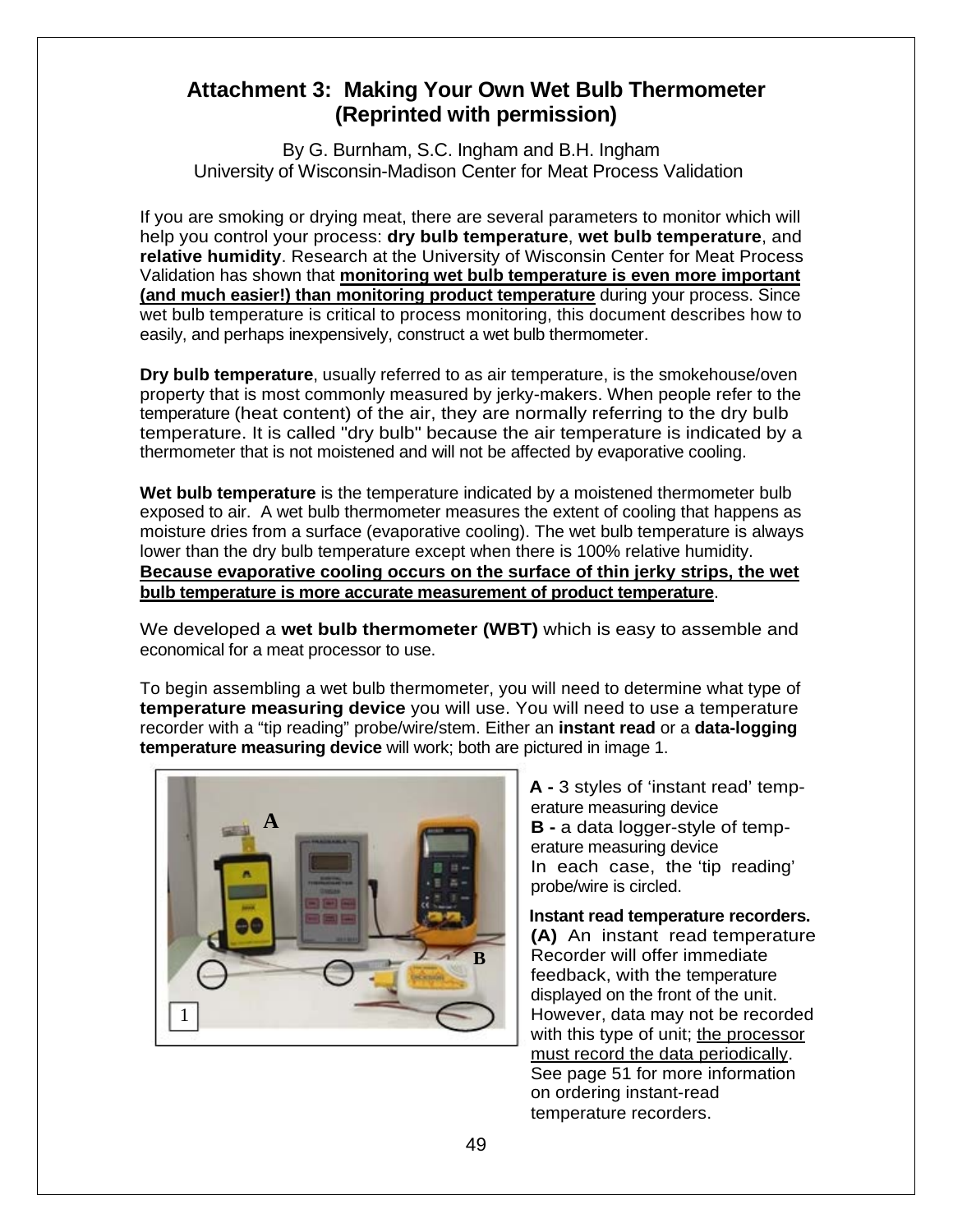## <span id="page-48-0"></span>**Attachment 3: Making Your Own Wet Bulb Thermometer (Reprinted with permission)**

By G. Burnham, S.C. Ingham and B.H. Ingham University of Wisconsin-Madison Center for Meat Process Validation

If you are smoking or drying meat, there are several parameters to monitor which will help you control your process: **dry bulb temperature**, **wet bulb temperature**, and **relative humidity**. Research at the University of Wisconsin Center for Meat Process Validation has shown that **monitoring wet bulb temperature is even more important (and much easier!) than monitoring product temperature** during your process. Since wet bulb temperature is critical to process monitoring, this document describes how to easily, and perhaps inexpensively, construct a wet bulb thermometer.

**Dry bulb temperature**, usually referred to as air temperature, is the smokehouse/oven property that is most commonly measured by jerky-makers. When people refer to the temperature (heat content) of the air, they are normally referring to the dry bulb temperature. It is called "dry bulb" because the air temperature is indicated by a thermometer that is not moistened and will not be affected by evaporative cooling.

**Wet bulb temperature** is the temperature indicated by a moistened thermometer bulb exposed to air. A wet bulb thermometer measures the extent of cooling that happens as moisture dries from a surface (evaporative cooling). The wet bulb temperature is always lower than the dry bulb temperature except when there is 100% relative humidity. **Because evaporative cooling occurs on the surface of thin jerky strips, the wet bulb temperature is more accurate measurement of product temperature**.

We developed a **wet bulb thermometer (WBT)** which is easy to assemble and economical for a meat processor to use.

To begin assembling a wet bulb thermometer, you will need to determine what type of **temperature measuring device** you will use. You will need to use a temperature recorder with a "tip reading" probe/wire/stem. Either an **instant read** or a **data-logging temperature measuring device** will work; both are pictured in image 1.



**A -** 3 styles of 'instant read' temperature measuring device **B -** a data logger-style of temperature measuring device In each case, the 'tip reading' probe/wire is circled.

**Instant read temperature recorders. (A)** An instant read temperature Recorder will offer immediate feedback, with the temperature displayed on the front of the unit. However, data may not be recorded with this type of unit; the processor must record the data periodically. See page 51 for more information on ordering instant-read temperature recorders.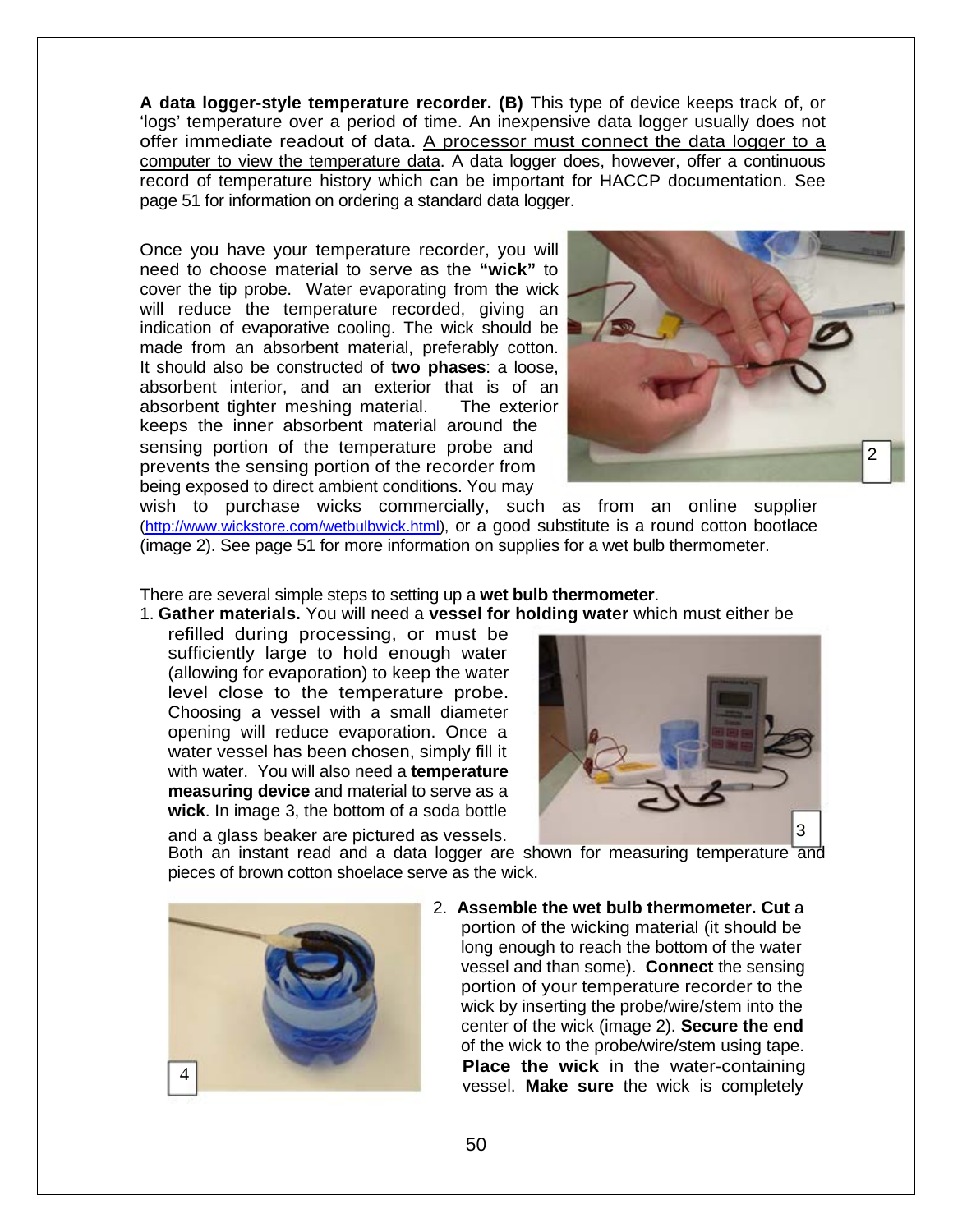**A data logger-style temperature recorder. (B)** This type of device keeps track of, or 'logs' temperature over a period of time. An inexpensive data logger usually does not offer immediate readout of data. A processor must connect the data logger to a computer to view the temperature data. A data logger does, however, offer a continuous record of temperature history which can be important for HACCP documentation. See page 51 for information on ordering a standard data logger.

Once you have your temperature recorder, you will need to choose material to serve as the **"wick"** to cover the tip probe. Water evaporating from the wick will reduce the temperature recorded, giving an indication of evaporative cooling. The wick should be made from an absorbent material, preferably cotton. It should also be constructed of **two phases**: a loose, absorbent interior, and an exterior that is of an absorbent tighter meshing material. The exterior keeps the inner absorbent material around the sensing portion of the temperature probe and prevents the sensing portion of the recorder from being exposed to direct ambient conditions. You may



wish to purchase wicks commercially, such as from an online supplier [\(http://www.wickstore.com/wetbulbwick.html\)](http://www.wickstore.com/wetbulbwick.html), or a good substitute is a round cotton bootlace (image 2). See page 51 for more information on supplies for a wet bulb thermometer.

There are several simple steps to setting up a **wet bulb thermometer**.

1. **Gather materials.** You will need a **vessel for holding water** which must either be

refilled during processing, or must be sufficiently large to hold enough water (allowing for evaporation) to keep the water level close to the temperature probe. Choosing a vessel with a small diameter opening will reduce evaporation. Once a water vessel has been chosen, simply fill it with water. You will also need a **temperature measuring device** and material to serve as a **wick**. In image 3, the bottom of a soda bottle



Both an instant read and a data logger are shown for measuring temperature and pieces of brown cotton shoelace serve as the wick.



2. **Assemble the wet bulb thermometer. Cut** a portion of the wicking material (it should be long enough to reach the bottom of the water vessel and than some). **Connect** the sensing portion of your temperature recorder to the wick by inserting the probe/wire/stem into the center of the wick (image 2). **Secure the end**  of the wick to the probe/wire/stem using tape. **Place the wick** in the water-containing vessel. **Make sure** the wick is completely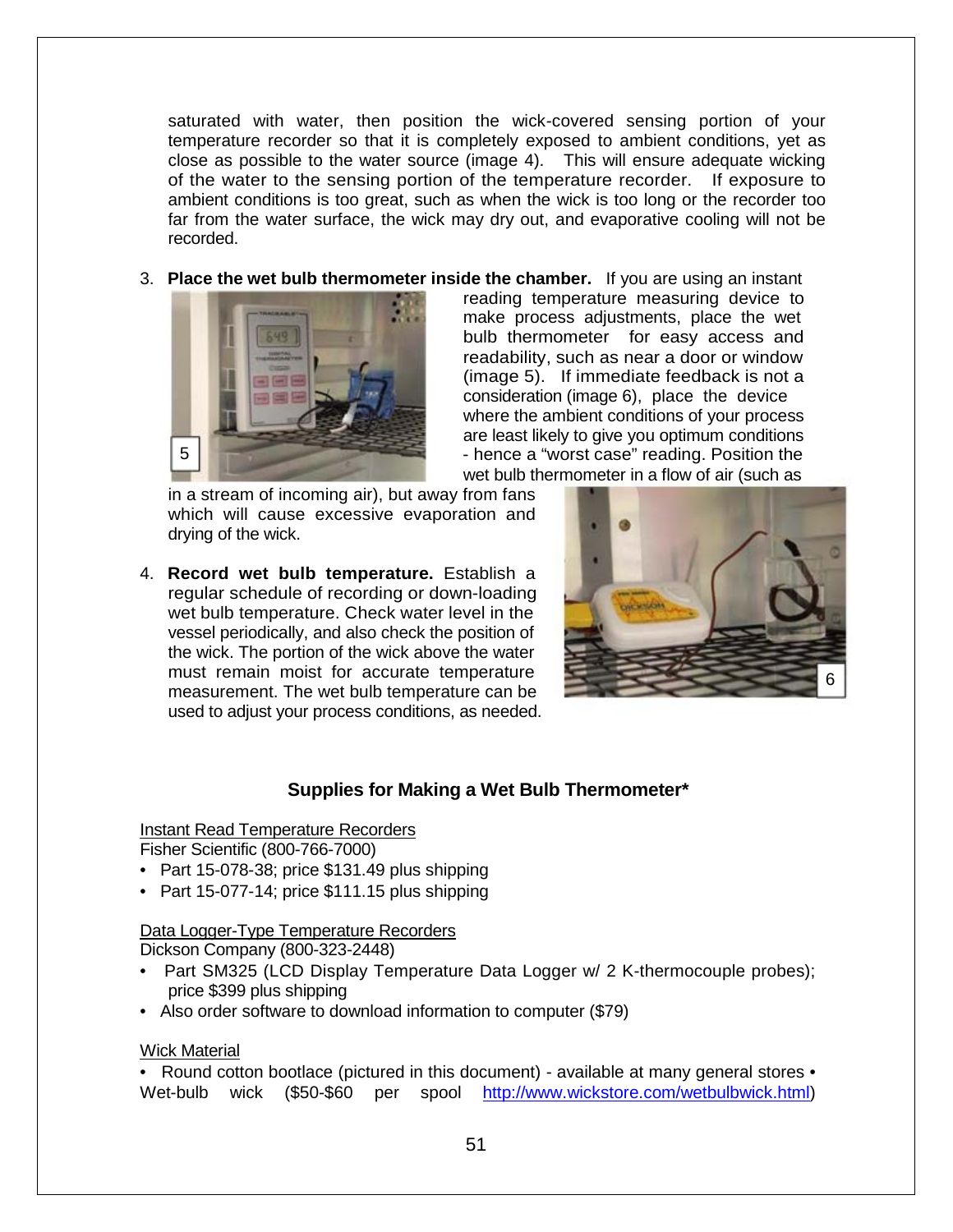saturated with water, then position the wick-covered sensing portion of your temperature recorder so that it is completely exposed to ambient conditions, yet as close as possible to the water source (image 4). This will ensure adequate wicking of the water to the sensing portion of the temperature recorder. If exposure to ambient conditions is too great, such as when the wick is too long or the recorder too far from the water surface, the wick may dry out, and evaporative cooling will not be recorded.

3. **Place the wet bulb thermometer inside the chamber.** If you are using an instant



reading temperature measuring device to make process adjustments, place the wet bulb thermometer for easy access and readability, such as near a door or window (image 5). If immediate feedback is not a consideration (image 6), place the device where the ambient conditions of your process are least likely to give you optimum conditions 5 - hence a "worst case" reading. Position the wet bulb thermometer in a flow of air (such as

in a stream of incoming air), but away from fans which will cause excessive evaporation and drying of the wick.

4. **Record wet bulb temperature.** Establish a regular schedule of recording or down-loading wet bulb temperature. Check water level in the vessel periodically, and also check the position of the wick. The portion of the wick above the water must remain moist for accurate temperature measurement. The wet bulb temperature can be used to adjust your process conditions, as needed.



#### **Supplies for Making a Wet Bulb Thermometer\***

#### Instant Read Temperature Recorders

Fisher Scientific (800-766-7000)

- Part 15-078-38; price \$131.49 plus shipping
- Part 15-077-14; price \$111.15 plus shipping

#### Data Logger-Type Temperature Recorders Dickson Company (800-323-2448)

- Part SM325 (LCD Display Temperature Data Logger w/ 2 K-thermocouple probes); price \$399 plus shipping
- Also order software to download information to computer (\$79)

#### Wick Material

• Round cotton bootlace (pictured in this document) - available at many general stores • Wet-bulb wick (\$50-\$60 per spool [http://www.wickstore.com/wetbulbwick.html\)](http://www.wickstore.com/wetbulbwick.html)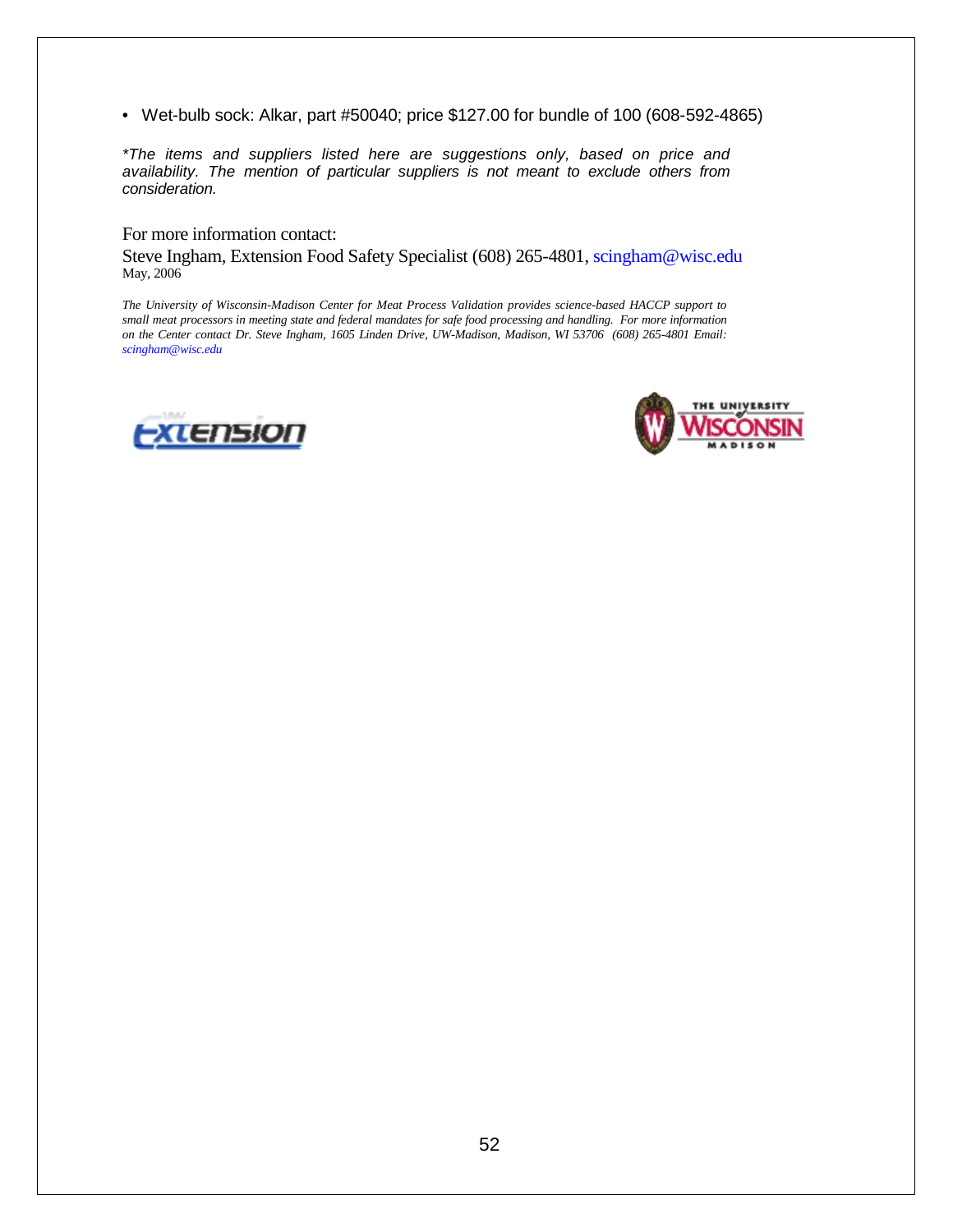• Wet-bulb sock: Alkar, part #50040; price \$127.00 for bundle of 100 (608-592-4865)

*\*The items and suppliers listed here are suggestions only, based on price and availability. The mention of particular suppliers is not meant to exclude others from consideration.* 

For more information contact:

Steve Ingham, Extension Food Safety Specialist (608) 265-4801, scingham@wisc.edu May, 2006

*The University of Wisconsin-Madison Center for Meat Process Validation provides science-based HACCP support to small meat processors in meeting state and federal mandates for safe food processing and handling. For more information on the Center contact Dr. Steve Ingham, 1605 Linden Drive, UW-Madison, Madison, WI 53706 (608) 265-4801 Email: scingham@wisc.edu* 



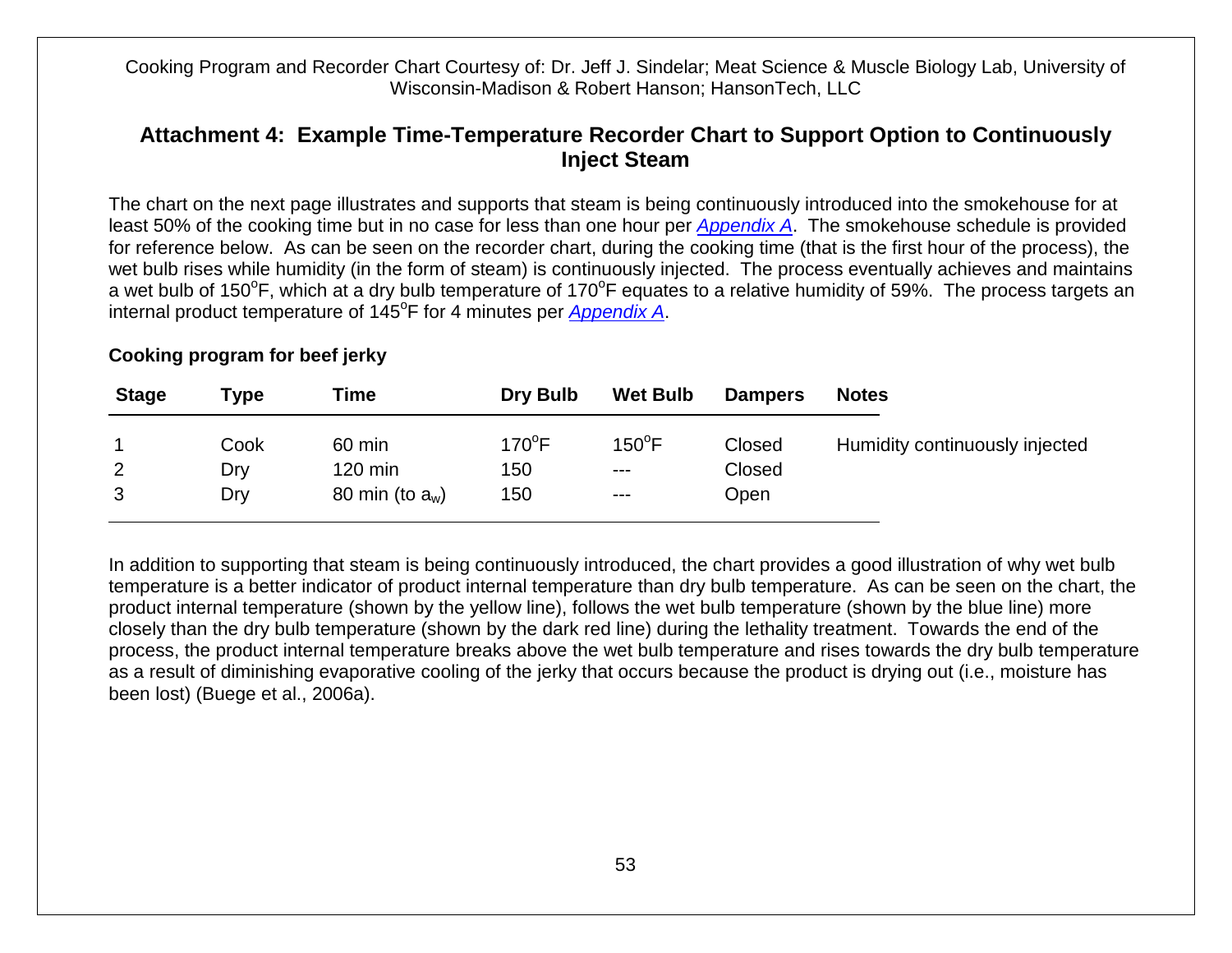Cooking Program and Recorder Chart Courtesy of: Dr. Jeff J. Sindelar; Meat Science & Muscle Biology Lab, University of Wisconsin-Madison & Robert Hanson; HansonTech, LLC

### **Attachment 4: Example Time-Temperature Recorder Chart to Support Option to Continuously Inject Steam**

The chart on the next page illustrates and supports that steam is being continuously introduced into the smokehouse for at least 50% of the cooking time but in no case for less than one hour per *[Appendix A](http://www.fsis.usda.gov/wps/wcm/connect/212e40b3-b59d-43aa-882e-e5431ea7035f/95033F-a.pdf?MOD=AJPERES)*. The smokehouse schedule is provided for reference below. As can be seen on the recorder chart, during the cooking time (that is the first hour of the process), the wet bulb rises while humidity (in the form of steam) is continuously injected. The process eventually achieves and maintains a wet bulb of 150°F, which at a dry bulb temperature of 170°F equates to a relative humidity of 59%. The process targets an internal product temperature of 145<sup>o</sup>F for 4 minutes per *[Appendix A](http://www.fsis.usda.gov/wps/wcm/connect/212e40b3-b59d-43aa-882e-e5431ea7035f/95033F-a.pdf?MOD=AJPERES)*.

#### **Cooking program for beef jerky**

<span id="page-52-0"></span>

| <b>Stage</b> | Type | Time               | <b>Dry Bulb</b> | <b>Wet Bulb</b> | <b>Dampers</b> | <b>Notes</b>                   |
|--------------|------|--------------------|-----------------|-----------------|----------------|--------------------------------|
| 1            | Cook | 60 min             | $170^{\circ}$ F | $150^{\circ}$ F | Closed         | Humidity continuously injected |
| 2            | Dry  | $120 \text{ min}$  | 150             | $---$           | Closed         |                                |
| 3            | Dry  | 80 min (to $a_w$ ) | 150             | $---$           | Open           |                                |

In addition to supporting that steam is being continuously introduced, the chart provides a good illustration of why wet bulb temperature is a better indicator of product internal temperature than dry bulb temperature. As can be seen on the chart, the product internal temperature (shown by the yellow line), follows the wet bulb temperature (shown by the blue line) more closely than the dry bulb temperature (shown by the dark red line) during the lethality treatment. Towards the end of the process, the product internal temperature breaks above the wet bulb temperature and rises towards the dry bulb temperature as a result of diminishing evaporative cooling of the jerky that occurs because the product is drying out (i.e., moisture has been lost) (Buege et al., 2006a).